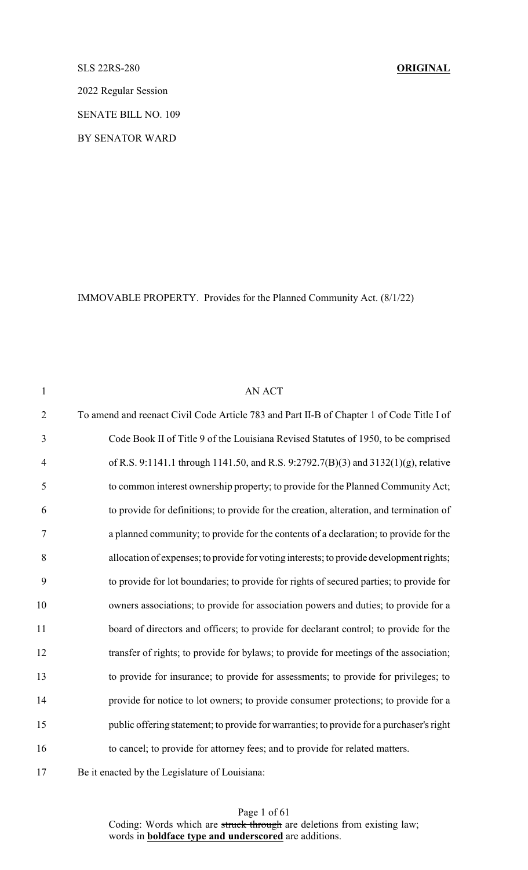## SLS 22RS-280 **ORIGINAL**

2022 Regular Session

SENATE BILL NO. 109

BY SENATOR WARD

IMMOVABLE PROPERTY. Provides for the Planned Community Act. (8/1/22)

| $\mathbf{1}$   | AN ACT                                                                                                                                                                                                                                                                                           |  |
|----------------|--------------------------------------------------------------------------------------------------------------------------------------------------------------------------------------------------------------------------------------------------------------------------------------------------|--|
| $\overline{2}$ | To amend and reenact Civil Code Article 783 and Part II-B of Chapter 1 of Code Title I of                                                                                                                                                                                                        |  |
| 3              | Code Book II of Title 9 of the Louisiana Revised Statutes of 1950, to be comprised                                                                                                                                                                                                               |  |
| $\overline{4}$ | of R.S. 9:1141.1 through 1141.50, and R.S. 9:2792.7(B)(3) and 3132(1)(g), relative                                                                                                                                                                                                               |  |
| 5              | to common interest ownership property; to provide for the Planned Community Act;                                                                                                                                                                                                                 |  |
| 6              | to provide for definitions; to provide for the creation, alteration, and termination of                                                                                                                                                                                                          |  |
| $\tau$         | a planned community; to provide for the contents of a declaration; to provide for the                                                                                                                                                                                                            |  |
| 8              | allocation of expenses; to provide for voting interests; to provide development rights;                                                                                                                                                                                                          |  |
| 9              | to provide for lot boundaries; to provide for rights of secured parties; to provide for                                                                                                                                                                                                          |  |
| 10             | owners associations; to provide for association powers and duties; to provide for a                                                                                                                                                                                                              |  |
| 11             | board of directors and officers; to provide for declarant control; to provide for the                                                                                                                                                                                                            |  |
| 12             | transfer of rights; to provide for bylaws; to provide for meetings of the association;                                                                                                                                                                                                           |  |
| 13             | to provide for insurance; to provide for assessments; to provide for privileges; to                                                                                                                                                                                                              |  |
| 14             | provide for notice to lot owners; to provide consumer protections; to provide for a                                                                                                                                                                                                              |  |
| 15             | public offering statement; to provide for warranties; to provide for a purchaser's right                                                                                                                                                                                                         |  |
| 16             | to cancel; to provide for attorney fees; and to provide for related matters.                                                                                                                                                                                                                     |  |
| $1 -$          | $\mathbf{r}$ and $\mathbf{r}$ and $\mathbf{r}$ and $\mathbf{r}$ and $\mathbf{r}$ and $\mathbf{r}$ and $\mathbf{r}$ and $\mathbf{r}$ and $\mathbf{r}$ and $\mathbf{r}$ and $\mathbf{r}$ and $\mathbf{r}$ and $\mathbf{r}$ and $\mathbf{r}$ and $\mathbf{r}$ and $\mathbf{r}$ and $\mathbf{r}$ and |  |

Be it enacted by the Legislature of Louisiana: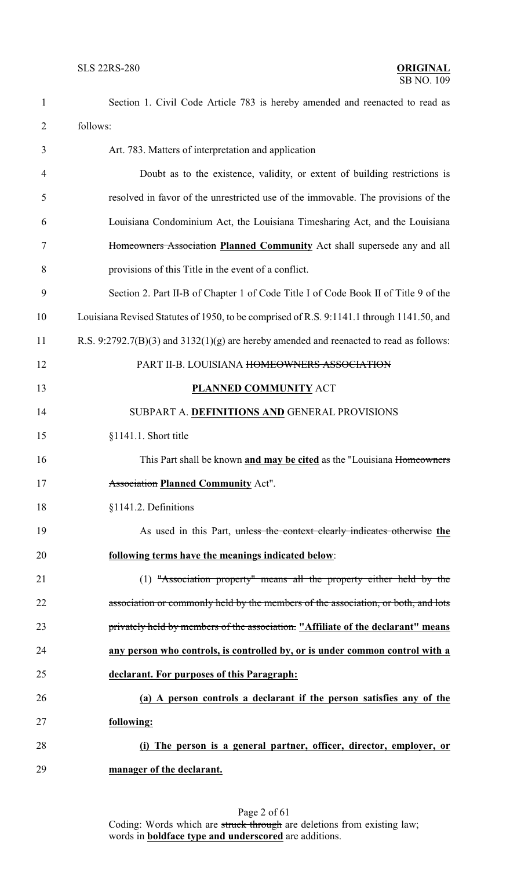| $\mathbf{1}$   | Section 1. Civil Code Article 783 is hereby amended and reenacted to read as              |
|----------------|-------------------------------------------------------------------------------------------|
| $\overline{c}$ | follows:                                                                                  |
| 3              | Art. 783. Matters of interpretation and application                                       |
| 4              | Doubt as to the existence, validity, or extent of building restrictions is                |
| 5              | resolved in favor of the unrestricted use of the immovable. The provisions of the         |
| 6              | Louisiana Condominium Act, the Louisiana Timesharing Act, and the Louisiana               |
| 7              | Homeowners Association Planned Community Act shall supersede any and all                  |
| 8              | provisions of this Title in the event of a conflict.                                      |
| 9              | Section 2. Part II-B of Chapter 1 of Code Title I of Code Book II of Title 9 of the       |
| 10             | Louisiana Revised Statutes of 1950, to be comprised of R.S. 9:1141.1 through 1141.50, and |
| 11             | R.S. 9:2792.7(B)(3) and $3132(1)(g)$ are hereby amended and reenacted to read as follows: |
| 12             | PART II-B. LOUISIANA HOMEOWNERS ASSOCIATION                                               |
| 13             | <b>PLANNED COMMUNITY ACT</b>                                                              |
| 14             | SUBPART A. DEFINITIONS AND GENERAL PROVISIONS                                             |
| 15             | $§1141.1.$ Short title                                                                    |
| 16             | This Part shall be known and may be cited as the "Louisiana Homeowners"                   |
| 17             | <b>Association Planned Community Act".</b>                                                |
| 18             | §1141.2. Definitions                                                                      |
| 19             | As used in this Part, unless the context clearly indicates otherwise the                  |
| 20             | following terms have the meanings indicated below:                                        |
| 21             | $(1)$ "Association property" means all the property either held by the                    |
| 22             | association or commonly held by the members of the association, or both, and lots         |
| 23             | privately held by members of the association. "Affiliate of the declarant" means          |
| 24             | any person who controls, is controlled by, or is under common control with a              |
| 25             | declarant. For purposes of this Paragraph:                                                |
| 26             | (a) A person controls a declarant if the person satisfies any of the                      |
| 27             | following:                                                                                |
| 28             | (i) The person is a general partner, officer, director, employer, or                      |
| 29             | manager of the declarant.                                                                 |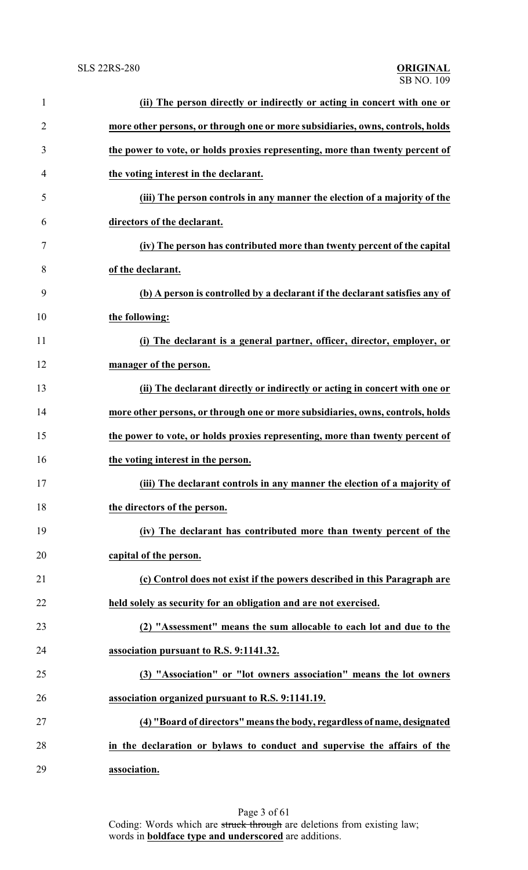| $\mathbf{1}$   | (ii) The person directly or indirectly or acting in concert with one or        |
|----------------|--------------------------------------------------------------------------------|
| $\overline{2}$ | more other persons, or through one or more subsidiaries, owns, controls, holds |
| 3              | the power to vote, or holds proxies representing, more than twenty percent of  |
| 4              | the voting interest in the declarant.                                          |
| 5              | (iii) The person controls in any manner the election of a majority of the      |
| 6              | directors of the declarant.                                                    |
| 7              | (iv) The person has contributed more than twenty percent of the capital        |
| 8              | of the declarant.                                                              |
| 9              | (b) A person is controlled by a declarant if the declarant satisfies any of    |
| 10             | the following:                                                                 |
| 11             | (i) The declarant is a general partner, officer, director, employer, or        |
| 12             | manager of the person.                                                         |
| 13             | (ii) The declarant directly or indirectly or acting in concert with one or     |
| 14             | more other persons, or through one or more subsidiaries, owns, controls, holds |
| 15             | the power to vote, or holds proxies representing, more than twenty percent of  |
| 16             | the voting interest in the person.                                             |
| 17             | (iii) The declarant controls in any manner the election of a majority of       |
| 18             | the directors of the person.                                                   |
| 19             | (iv) The declarant has contributed more than twenty percent of the             |
| 20             | capital of the person.                                                         |
| 21             | (c) Control does not exist if the powers described in this Paragraph are       |
| 22             | held solely as security for an obligation and are not exercised.               |
| 23             | (2) "Assessment" means the sum allocable to each lot and due to the            |
| 24             | association pursuant to R.S. 9:1141.32.                                        |
| 25             | (3) "Association" or "lot owners association" means the lot owners             |
| 26             | association organized pursuant to R.S. 9:1141.19.                              |
| 27             | (4) "Board of directors" means the body, regardless of name, designated        |
| 28             | in the declaration or bylaws to conduct and supervise the affairs of the       |
| 29             | association.                                                                   |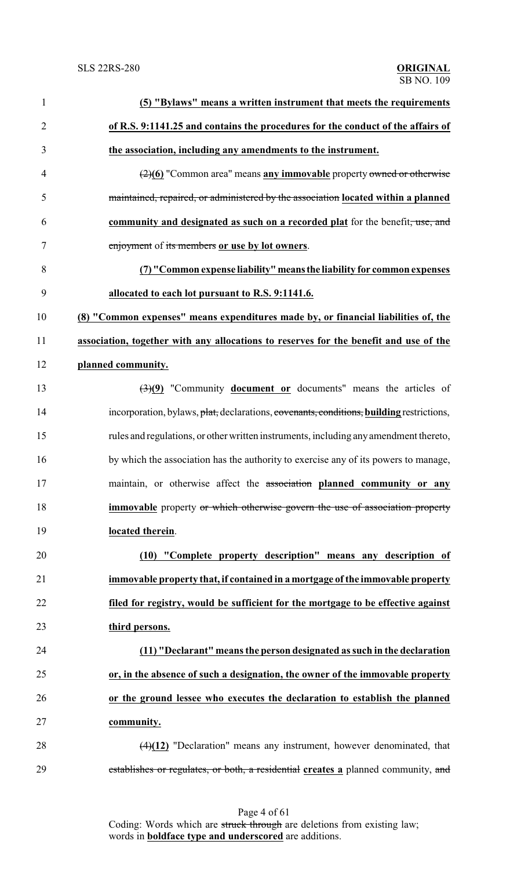| $\mathbf{1}$   | (5) "Bylaws" means a written instrument that meets the requirements                                     |
|----------------|---------------------------------------------------------------------------------------------------------|
| $\overline{2}$ | of R.S. 9:1141.25 and contains the procedures for the conduct of the affairs of                         |
| 3              | the association, including any amendments to the instrument.                                            |
| $\overline{4}$ | (2)(6) "Common area" means any immovable property owned or otherwise                                    |
| 5              | maintained, repaired, or administered by the association located within a planned                       |
| 6              | community and designated as such on a recorded plat for the benefit, use, and                           |
| 7              | enjoyment of its members or use by lot owners.                                                          |
| 8              | (7) "Common expense liability" means the liability for common expenses                                  |
| 9              | allocated to each lot pursuant to R.S. 9:1141.6.                                                        |
| 10             | (8) "Common expenses" means expenditures made by, or financial liabilities of, the                      |
| 11             | association, together with any allocations to reserves for the benefit and use of the                   |
| 12             | planned community.                                                                                      |
| 13             | $\left(\frac{3}{2}\right)\left(9\right)$ "Community <b>document or</b> documents" means the articles of |
| 14             | incorporation, bylaws, plat, declarations, covenants, conditions, building restrictions,                |
| 15             | rules and regulations, or other written instruments, including any amendment thereto,                   |
| 16             | by which the association has the authority to exercise any of its powers to manage,                     |
| 17             | maintain, or otherwise affect the association planned community or any                                  |
| 18             | <b>immovable</b> property or which otherwise govern the use of association property                     |
| 19             | located therein.                                                                                        |
| 20             | (10) "Complete property description" means any description of                                           |
| 21             | immovable property that, if contained in a mortgage of the immovable property                           |
| 22             | filed for registry, would be sufficient for the mortgage to be effective against                        |
| 23             | third persons.                                                                                          |
| 24             | (11) "Declarant" means the person designated as such in the declaration                                 |
| 25             | or, in the absence of such a designation, the owner of the immovable property                           |
| 26             | or the ground lessee who executes the declaration to establish the planned                              |
| 27             | community.                                                                                              |
| 28             | $(4)(12)$ "Declaration" means any instrument, however denominated, that                                 |
| 29             | establishes or regulates, or both, a residential creates a planned community, and                       |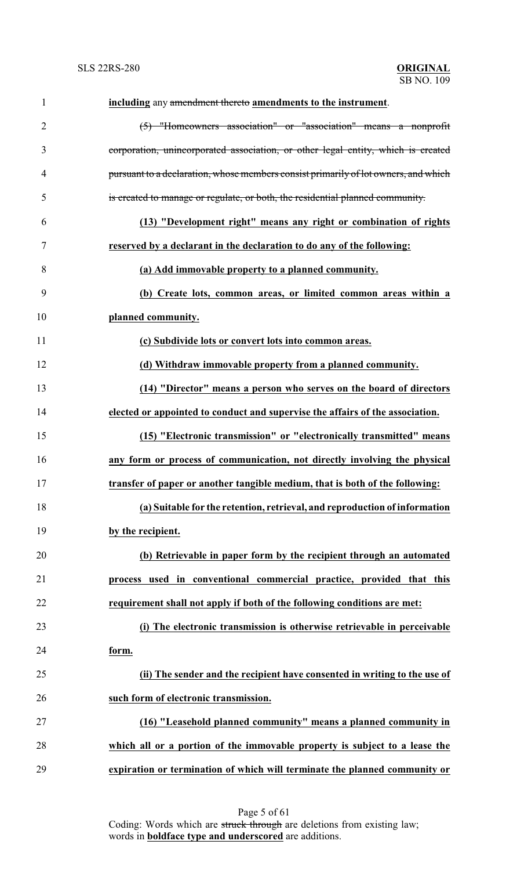| $\mathbf{1}$   | including any amendment thereto amendments to the instrument.                       |
|----------------|-------------------------------------------------------------------------------------|
| $\overline{2}$ | (5) "Homeowners association" or "association" means a nonprofit                     |
| 3              | corporation, unincorporated association, or other legal entity, which is created    |
| 4              | pursuant to a declaration, whose members consist primarily of lot owners, and which |
| 5              | is created to manage or regulate, or both, the residential planned community.       |
| 6              | (13) "Development right" means any right or combination of rights                   |
| 7              | reserved by a declarant in the declaration to do any of the following:              |
| 8              | (a) Add immovable property to a planned community.                                  |
| 9              | (b) Create lots, common areas, or limited common areas within a                     |
| 10             | planned community.                                                                  |
| 11             | (c) Subdivide lots or convert lots into common areas.                               |
| 12             | (d) Withdraw immovable property from a planned community.                           |
| 13             | (14) "Director" means a person who serves on the board of directors                 |
| 14             | elected or appointed to conduct and supervise the affairs of the association.       |
| 15             | (15) "Electronic transmission" or "electronically transmitted" means                |
| 16             | any form or process of communication, not directly involving the physical           |
| 17             | transfer of paper or another tangible medium, that is both of the following:        |
| 18             | (a) Suitable for the retention, retrieval, and reproduction of information          |
| 19             | by the recipient.                                                                   |
| 20             | (b) Retrievable in paper form by the recipient through an automated                 |
| 21             | process used in conventional commercial practice, provided that this                |
| 22             | requirement shall not apply if both of the following conditions are met:            |
| 23             | (i) The electronic transmission is otherwise retrievable in perceivable             |
| 24             | form.                                                                               |
| 25             | (ii) The sender and the recipient have consented in writing to the use of           |
| 26             | such form of electronic transmission.                                               |
| 27             | (16) "Leasehold planned community" means a planned community in                     |
| 28             | which all or a portion of the immovable property is subject to a lease the          |
| 29             | expiration or termination of which will terminate the planned community or          |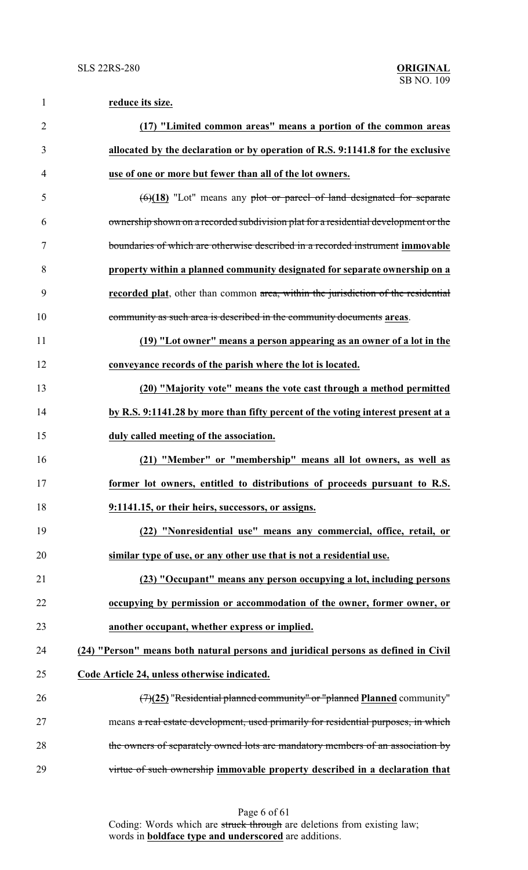| $\mathbf{1}$   | reduce its size.                                                                    |
|----------------|-------------------------------------------------------------------------------------|
| $\overline{2}$ | (17) "Limited common areas" means a portion of the common areas                     |
| 3              | allocated by the declaration or by operation of R.S. 9:1141.8 for the exclusive     |
| $\overline{4}$ | use of one or more but fewer than all of the lot owners.                            |
| 5              | $(6)(18)$ "Lot" means any plot or parcel of land designated for separate            |
| 6              | ownership shown on a recorded subdivision plat for a residential development or the |
| 7              | boundaries of which are otherwise described in a recorded instrument immovable      |
| 8              | property within a planned community designated for separate ownership on a          |
| 9              | recorded plat, other than common area, within the jurisdiction of the residential   |
| 10             | community as such area is described in the community documents areas.               |
| 11             | (19) "Lot owner" means a person appearing as an owner of a lot in the               |
| 12             | conveyance records of the parish where the lot is located.                          |
| 13             | (20) "Majority vote" means the vote cast through a method permitted                 |
| 14             | by R.S. 9:1141.28 by more than fifty percent of the voting interest present at a    |
| 15             | duly called meeting of the association.                                             |
| 16             | (21) "Member" or "membership" means all lot owners, as well as                      |
| 17             | former lot owners, entitled to distributions of proceeds pursuant to R.S.           |
| 18             | 9:1141.15, or their heirs, successors, or assigns.                                  |
| 19             | (22) "Nonresidential use" means any commercial, office, retail, or                  |
| 20             | similar type of use, or any other use that is not a residential use.                |
| 21             | (23) "Occupant" means any person occupying a lot, including persons                 |
| 22             | occupying by permission or accommodation of the owner, former owner, or             |
| 23             | another occupant, whether express or implied.                                       |
| 24             | (24) "Person" means both natural persons and juridical persons as defined in Civil  |
| 25             | Code Article 24, unless otherwise indicated.                                        |
| 26             | $(7)(25)$ "Residential planned community" or "planned Planned community"            |
| 27             | means a real estate development, used primarily for residential purposes, in which  |
| 28             | the owners of separately owned lots are mandatory members of an association by      |
| 29             | virtue of such ownership immovable property described in a declaration that         |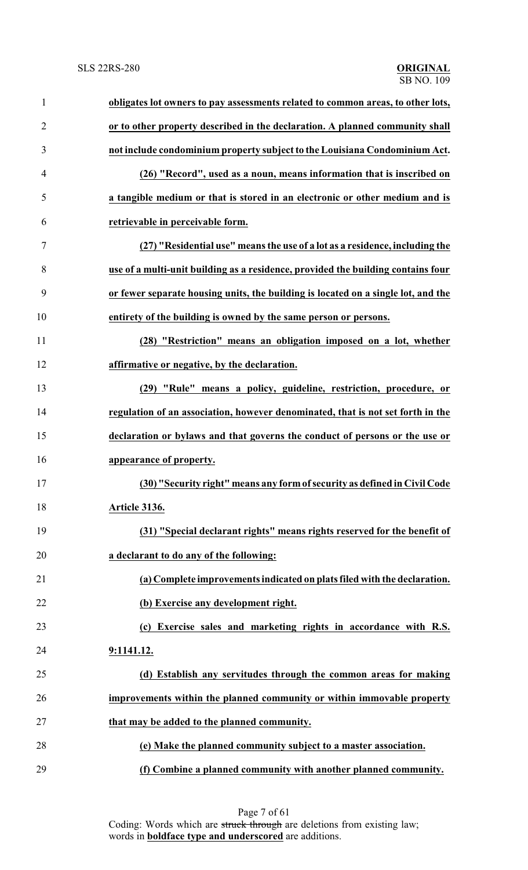| $\mathbf{1}$   | obligates lot owners to pay assessments related to common areas, to other lots,   |
|----------------|-----------------------------------------------------------------------------------|
| $\overline{2}$ | or to other property described in the declaration. A planned community shall      |
| 3              | not include condominium property subject to the Louisiana Condominium Act.        |
| 4              | (26) "Record", used as a noun, means information that is inscribed on             |
| 5              | a tangible medium or that is stored in an electronic or other medium and is       |
| 6              | retrievable in perceivable form.                                                  |
| 7              | (27) "Residential use" means the use of a lot as a residence, including the       |
| 8              | use of a multi-unit building as a residence, provided the building contains four  |
| 9              | or fewer separate housing units, the building is located on a single lot, and the |
| 10             | entirety of the building is owned by the same person or persons.                  |
| 11             | (28) "Restriction" means an obligation imposed on a lot, whether                  |
| 12             | affirmative or negative, by the declaration.                                      |
| 13             | (29) "Rule" means a policy, guideline, restriction, procedure, or                 |
| 14             | regulation of an association, however denominated, that is not set forth in the   |
| 15             | declaration or bylaws and that governs the conduct of persons or the use or       |
| 16             | appearance of property.                                                           |
| 17             | (30) "Security right" means any form of security as defined in Civil Code         |
| 18             | Article 3136.                                                                     |
| 19             | (31) "Special declarant rights" means rights reserved for the benefit of          |
| 20             | a declarant to do any of the following:                                           |
| 21             | (a) Complete improvements indicated on plats filed with the declaration.          |
| 22             | (b) Exercise any development right.                                               |
| 23             | (c) Exercise sales and marketing rights in accordance with R.S.                   |
| 24             | 9:1141.12.                                                                        |
| 25             | (d) Establish any servitudes through the common areas for making                  |
| 26             | improvements within the planned community or within immovable property            |
| 27             | that may be added to the planned community.                                       |
| 28             | (e) Make the planned community subject to a master association.                   |
| 29             | (f) Combine a planned community with another planned community.                   |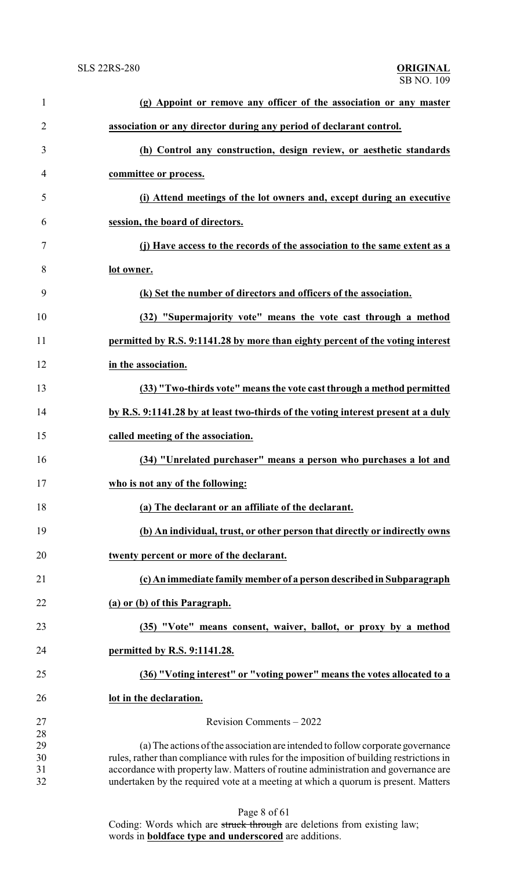| $\mathbf{1}$   | (g) Appoint or remove any officer of the association or any master                                                                                                       |
|----------------|--------------------------------------------------------------------------------------------------------------------------------------------------------------------------|
| $\overline{2}$ | association or any director during any period of declarant control.                                                                                                      |
| 3              | (h) Control any construction, design review, or aesthetic standards                                                                                                      |
| 4              | committee or process.                                                                                                                                                    |
| 5              | (i) Attend meetings of the lot owners and, except during an executive                                                                                                    |
| 6              | session, the board of directors.                                                                                                                                         |
| 7              | (j) Have access to the records of the association to the same extent as a                                                                                                |
| 8              | lot owner.                                                                                                                                                               |
| 9              | (k) Set the number of directors and officers of the association.                                                                                                         |
| 10             | (32) "Supermajority vote" means the vote cast through a method                                                                                                           |
| 11             | permitted by R.S. 9:1141.28 by more than eighty percent of the voting interest                                                                                           |
| 12             | in the association.                                                                                                                                                      |
| 13             | (33) "Two-thirds vote" means the vote cast through a method permitted                                                                                                    |
| 14             | by R.S. 9:1141.28 by at least two-thirds of the voting interest present at a duly                                                                                        |
| 15             | called meeting of the association.                                                                                                                                       |
| 16             | (34) "Unrelated purchaser" means a person who purchases a lot and                                                                                                        |
| 17             | who is not any of the following:                                                                                                                                         |
| 18             | (a) The declarant or an affiliate of the declarant.                                                                                                                      |
| 19             | (b) An individual, trust, or other person that directly or indirectly owns                                                                                               |
| 20             | twenty percent or more of the declarant.                                                                                                                                 |
| 21             | (c) An immediate family member of a person described in Subparagraph                                                                                                     |
| 22             | (a) or (b) of this Paragraph.                                                                                                                                            |
| 23             | (35) "Vote" means consent, waiver, ballot, or proxy by a method                                                                                                          |
| 24             | permitted by R.S. 9:1141.28.                                                                                                                                             |
| 25             | (36) "Voting interest" or "voting power" means the votes allocated to a                                                                                                  |
| 26             | lot in the declaration.                                                                                                                                                  |
| 27             | Revision Comments - 2022                                                                                                                                                 |
| 28<br>29       | (a) The actions of the association are intended to follow corporate governance                                                                                           |
| 30             | rules, rather than compliance with rules for the imposition of building restrictions in                                                                                  |
| 31<br>32       | accordance with property law. Matters of routine administration and governance are<br>undertaken by the required vote at a meeting at which a quorum is present. Matters |
|                | Page 8 of 61                                                                                                                                                             |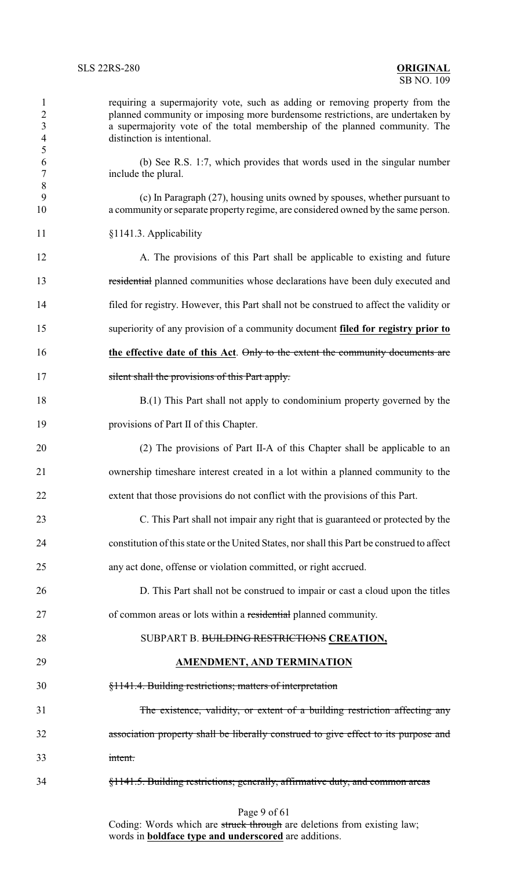| $\mathbf{1}$<br>$\overline{2}$<br>$\mathfrak{Z}$<br>$\overline{4}$<br>$\mathfrak{S}$ | requiring a supermajority vote, such as adding or removing property from the<br>planned community or imposing more burdensome restrictions, are undertaken by<br>a supermajority vote of the total membership of the planned community. The<br>distinction is intentional. |
|--------------------------------------------------------------------------------------|----------------------------------------------------------------------------------------------------------------------------------------------------------------------------------------------------------------------------------------------------------------------------|
| 6<br>$\boldsymbol{7}$                                                                | (b) See R.S. 1:7, which provides that words used in the singular number<br>include the plural.                                                                                                                                                                             |
| $\, 8$<br>9<br>10                                                                    | (c) In Paragraph (27), housing units owned by spouses, whether pursuant to<br>a community or separate property regime, are considered owned by the same person.                                                                                                            |
| 11                                                                                   | §1141.3. Applicability                                                                                                                                                                                                                                                     |
| 12                                                                                   | A. The provisions of this Part shall be applicable to existing and future                                                                                                                                                                                                  |
| 13                                                                                   | residential planned communities whose declarations have been duly executed and                                                                                                                                                                                             |
| 14                                                                                   | filed for registry. However, this Part shall not be construed to affect the validity or                                                                                                                                                                                    |
| 15                                                                                   | superiority of any provision of a community document filed for registry prior to                                                                                                                                                                                           |
| 16                                                                                   | the effective date of this Act. Only to the extent the community documents are                                                                                                                                                                                             |
| 17                                                                                   | silent shall the provisions of this Part apply.                                                                                                                                                                                                                            |
| 18                                                                                   | B.(1) This Part shall not apply to condominium property governed by the                                                                                                                                                                                                    |
| 19                                                                                   | provisions of Part II of this Chapter.                                                                                                                                                                                                                                     |
| 20                                                                                   | (2) The provisions of Part II-A of this Chapter shall be applicable to an                                                                                                                                                                                                  |
| 21                                                                                   | ownership timeshare interest created in a lot within a planned community to the                                                                                                                                                                                            |
| 22                                                                                   | extent that those provisions do not conflict with the provisions of this Part.                                                                                                                                                                                             |
| 23                                                                                   | C. This Part shall not impair any right that is guaranteed or protected by the                                                                                                                                                                                             |
| 24                                                                                   | constitution of this state or the United States, nor shall this Part be construed to affect                                                                                                                                                                                |
| 25                                                                                   | any act done, offense or violation committed, or right accrued.                                                                                                                                                                                                            |
| 26                                                                                   | D. This Part shall not be construed to impair or cast a cloud upon the titles                                                                                                                                                                                              |
| 27                                                                                   | of common areas or lots within a residential planned community.                                                                                                                                                                                                            |
| 28                                                                                   | SUBPART B. BUILDING RESTRICTIONS CREATION,                                                                                                                                                                                                                                 |
| 29                                                                                   | <b>AMENDMENT, AND TERMINATION</b>                                                                                                                                                                                                                                          |
| 30                                                                                   | §1141.4. Building restrictions; matters of interpretation                                                                                                                                                                                                                  |
| 31                                                                                   | The existence, validity, or extent of a building restriction affecting any                                                                                                                                                                                                 |
| 32                                                                                   | association property shall be liberally construed to give effect to its purpose and                                                                                                                                                                                        |
| 33                                                                                   | intent.                                                                                                                                                                                                                                                                    |
| 34                                                                                   | §1141.5. Building restrictions; generally, affirmative duty, and common areas                                                                                                                                                                                              |
|                                                                                      | Page 9 of 61                                                                                                                                                                                                                                                               |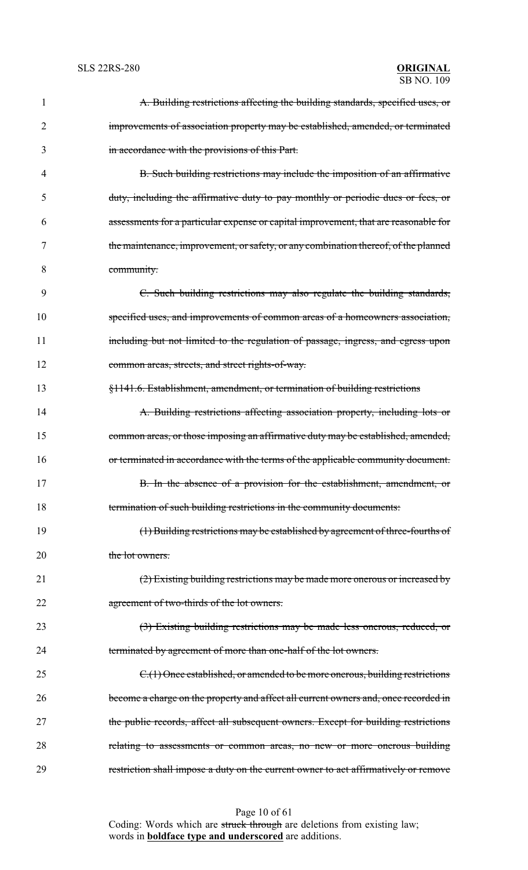| 1  | A. Building restrictions affecting the building standards, specified uses, or        |
|----|--------------------------------------------------------------------------------------|
| 2  | improvements of association property may be established, amended, or terminated      |
| 3  | in accordance with the provisions of this Part.                                      |
| 4  | B. Such building restrictions may include the imposition of an affirmative           |
| 5  | duty, including the affirmative duty to pay monthly or periodic dues or fees, or     |
| 6  | assessments for a particular expense or capital improvement, that are reasonable for |
| 7  | the maintenance, improvement, or safety, or any combination thereof, of the planned  |
| 8  | community.                                                                           |
| 9  | C. Such building restrictions may also regulate the building standards,              |
| 10 | specified uses, and improvements of common areas of a homeowners association,        |
| 11 | including but not limited to the regulation of passage, ingress, and egress upon     |
| 12 | common areas, streets, and street rights-of-way.                                     |
| 13 | §1141.6. Establishment, amendment, or termination of building restrictions           |
| 14 | A. Building restrictions affecting association property, including lots or           |
| 15 | common areas, or those imposing an affirmative duty may be established, amended,     |
| 16 | or terminated in accordance with the terms of the applicable community document.     |
| 17 | B. In the absence of a provision for the establishment, amendment, or                |
| 18 | termination of such building restrictions in the community documents:                |
| 19 | (1) Building restrictions may be established by agreement of three-fourths of        |
| 20 | the lot owners.                                                                      |
| 21 | (2) Existing building restrictions may be made more onerous or increased by          |
| 22 | agreement of two-thirds of the lot owners.                                           |
| 23 | (3) Existing building restrictions may be made less onerous, reduced, or             |
| 24 | terminated by agreement of more than one-half of the lot owners.                     |
| 25 | C.(1) Once established, or amended to be more onerous, building restrictions         |
| 26 | become a charge on the property and affect all current owners and, once recorded in  |
| 27 | the public records, affect all subsequent owners. Except for building restrictions   |
| 28 | relating to assessments or common areas, no new or more onerous building             |
| 29 | restriction shall impose a duty on the current owner to act affirmatively or remove  |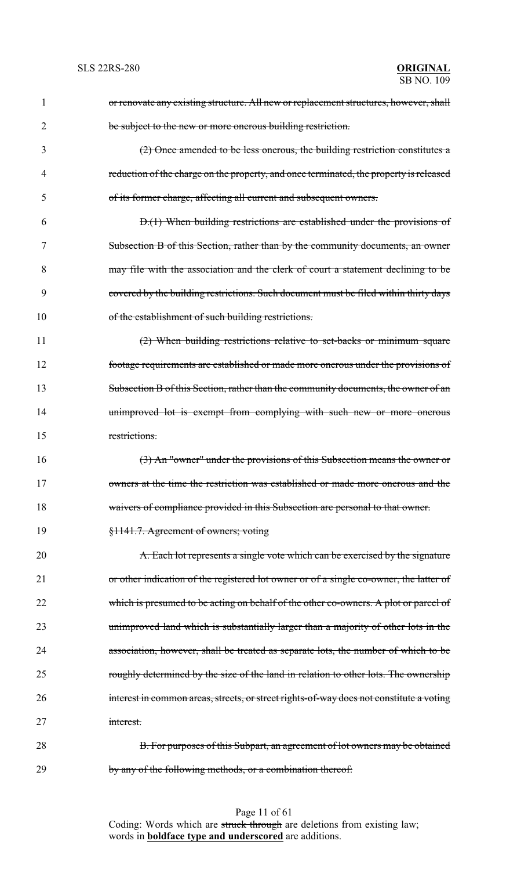| 1  | or renovate any existing structure. All new or replacement structures, however, shall   |
|----|-----------------------------------------------------------------------------------------|
| 2  | be subject to the new or more onerous building restriction.                             |
| 3  | (2) Once amended to be less onerous, the building restriction constitutes a             |
| 4  | reduction of the charge on the property, and once terminated, the property is released  |
| 5  | of its former charge, affecting all current and subsequent owners.                      |
| 6  | D.(1) When building restrictions are established under the provisions of                |
| 7  | Subsection B of this Section, rather than by the community documents, an owner          |
| 8  | may file with the association and the clerk of court a statement declining to be        |
| 9  | covered by the building restrictions. Such document must be filed within thirty days    |
| 10 | of the establishment of such building restrictions.                                     |
| 11 | $(2)$ When building restrictions relative to set-backs or minimum square                |
| 12 | footage requirements are established or made more onerous under the provisions of       |
| 13 | Subsection B of this Section, rather than the community documents, the owner of an      |
| 14 | unimproved lot is exempt from complying with such new or more onerous                   |
| 15 | restrictions.                                                                           |
| 16 | (3) An "owner" under the provisions of this Subsection means the owner or               |
| 17 | owners at the time the restriction was established or made more onerous and the         |
| 18 | waivers of compliance provided in this Subsection are personal to that owner.           |
| 19 | §1141.7. Agreement of owners; voting                                                    |
| 20 | A. Each lot represents a single vote which can be exercised by the signature            |
| 21 | or other indication of the registered lot owner or of a single co-owner, the latter of  |
| 22 | which is presumed to be acting on behalf of the other co-owners. A plot or parcel of    |
| 23 | unimproved land which is substantially larger than a majority of other lots in the      |
| 24 | association, however, shall be treated as separate lots, the number of which to be      |
| 25 | roughly determined by the size of the land in relation to other lots. The ownership     |
| 26 | interest in common areas, streets, or street rights-of-way does not constitute a voting |
| 27 | interest.                                                                               |
| 28 | B. For purposes of this Subpart, an agreement of lot owners may be obtained             |
| 29 | by any of the following methods, or a combination thereof:                              |

Page 11 of 61 Coding: Words which are struck through are deletions from existing law; words in **boldface type and underscored** are additions.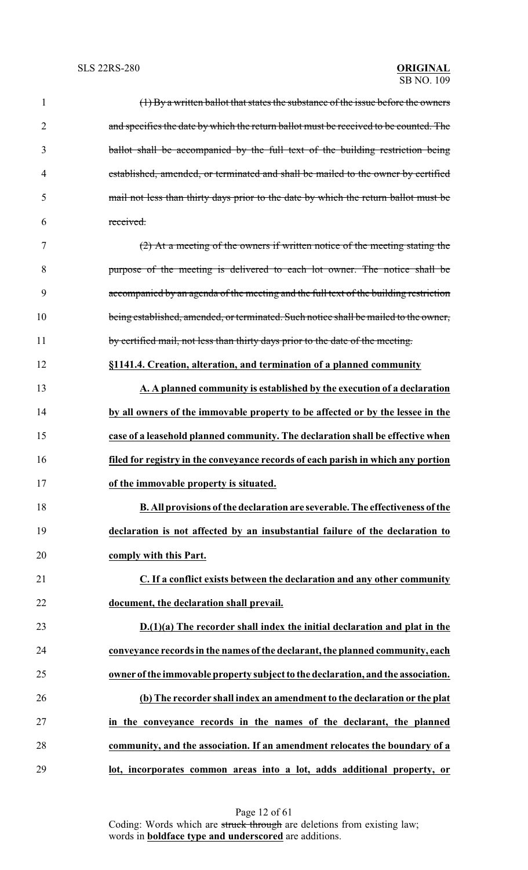| $\mathbf{1}$   | (1) By a written ballot that states the substance of the issue before the owners      |
|----------------|---------------------------------------------------------------------------------------|
| $\overline{2}$ | and specifies the date by which the return ballot must be received to be counted. The |
| 3              | ballot shall be accompanied by the full text of the building restriction being        |
| $\overline{4}$ | established, amended, or terminated and shall be mailed to the owner by certified     |
| 5              | mail not less than thirty days prior to the date by which the return ballot must be   |
| 6              | received.                                                                             |
| $\tau$         | $(2)$ At a meeting of the owners if written notice of the meeting stating the         |
| 8              | purpose of the meeting is delivered to each lot owner. The notice shall be            |
| 9              | accompanied by an agenda of the meeting and the full text of the building restriction |
| 10             | being established, amended, or terminated. Such notice shall be mailed to the owner,  |
| 11             | by certified mail, not less than thirty days prior to the date of the meeting.        |
| 12             | §1141.4. Creation, alteration, and termination of a planned community                 |
| 13             | A. A planned community is established by the execution of a declaration               |
| 14             | by all owners of the immovable property to be affected or by the lessee in the        |
| 15             | case of a leasehold planned community. The declaration shall be effective when        |
| 16             | filed for registry in the conveyance records of each parish in which any portion      |
| 17             | of the immovable property is situated.                                                |
| 18             | <b>B.</b> All provisions of the declaration are severable. The effectiveness of the   |
| 19             | declaration is not affected by an insubstantial failure of the declaration to         |
| 20             | comply with this Part.                                                                |
| 21             | C. If a conflict exists between the declaration and any other community               |
| 22             | document, the declaration shall prevail.                                              |
| 23             | D.(1)(a) The recorder shall index the initial declaration and plat in the             |
| 24             | conveyance records in the names of the declarant, the planned community, each         |
| 25             | owner of the immovable property subject to the declaration, and the association.      |
| 26             | (b) The recorder shall index an amendment to the declaration or the plat              |
| 27             | in the conveyance records in the names of the declarant, the planned                  |
| 28             | community, and the association. If an amendment relocates the boundary of a           |
| 29             | lot, incorporates common areas into a lot, adds additional property, or               |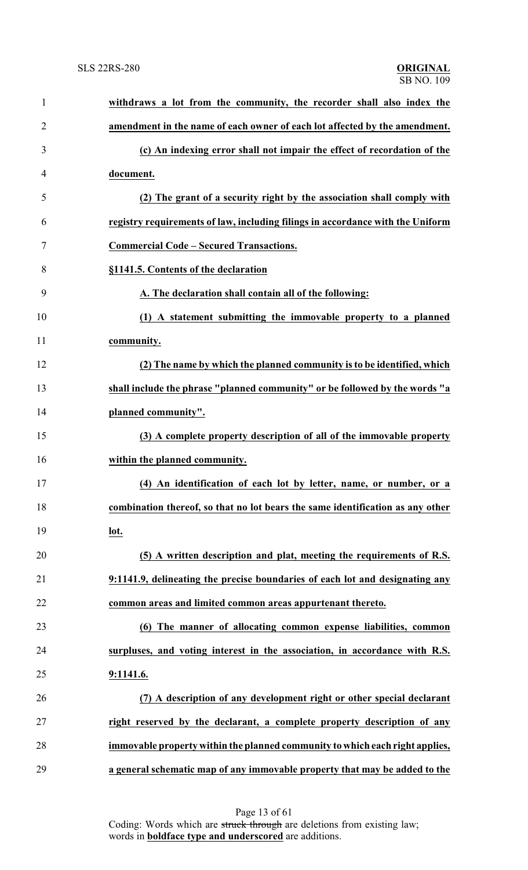| $\mathbf{1}$   | withdraws a lot from the community, the recorder shall also index the          |
|----------------|--------------------------------------------------------------------------------|
| $\overline{2}$ | amendment in the name of each owner of each lot affected by the amendment.     |
| 3              | (c) An indexing error shall not impair the effect of recordation of the        |
| $\overline{4}$ | document.                                                                      |
| 5              | (2) The grant of a security right by the association shall comply with         |
| 6              | registry requirements of law, including filings in accordance with the Uniform |
| 7              | <b>Commercial Code - Secured Transactions.</b>                                 |
| 8              | §1141.5. Contents of the declaration                                           |
| 9              | A. The declaration shall contain all of the following:                         |
| 10             | (1) A statement submitting the immovable property to a planned                 |
| 11             | community.                                                                     |
| 12             | (2) The name by which the planned community is to be identified, which         |
| 13             | shall include the phrase "planned community" or be followed by the words "a    |
| 14             | planned community".                                                            |
| 15             | (3) A complete property description of all of the immovable property           |
| 16             | within the planned community.                                                  |
| 17             | (4) An identification of each lot by letter, name, or number, or a             |
| 18             | combination thereof, so that no lot bears the same identification as any other |
| 19             | lot.                                                                           |
| 20             | (5) A written description and plat, meeting the requirements of R.S.           |
| 21             | 9:1141.9, delineating the precise boundaries of each lot and designating any   |
| 22             | common areas and limited common areas appurtenant thereto.                     |
| 23             | (6) The manner of allocating common expense liabilities, common                |
| 24             | surpluses, and voting interest in the association, in accordance with R.S.     |
| 25             | 9:1141.6.                                                                      |
| 26             | (7) A description of any development right or other special declarant          |
| 27             | right reserved by the declarant, a complete property description of any        |
| 28             | immovable property within the planned community to which each right applies,   |
| 29             | a general schematic map of any immovable property that may be added to the     |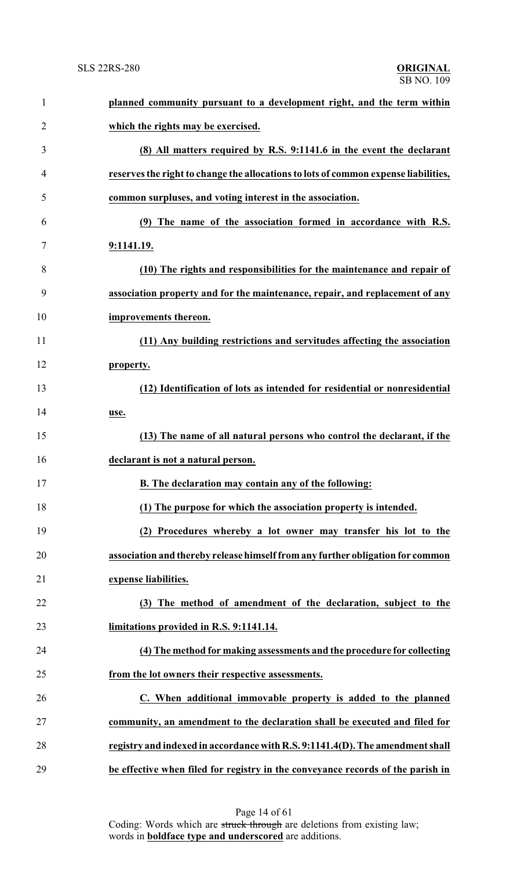| $\mathbf{1}$   | planned community pursuant to a development right, and the term within              |
|----------------|-------------------------------------------------------------------------------------|
| $\overline{2}$ | which the rights may be exercised.                                                  |
| 3              | (8) All matters required by R.S. 9:1141.6 in the event the declarant                |
| $\overline{4}$ | reserves the right to change the allocations to lots of common expense liabilities, |
| 5              | common surpluses, and voting interest in the association.                           |
| 6              | (9) The name of the association formed in accordance with R.S.                      |
| $\tau$         | 9:1141.19.                                                                          |
| 8              | (10) The rights and responsibilities for the maintenance and repair of              |
| 9              | association property and for the maintenance, repair, and replacement of any        |
| 10             | improvements thereon.                                                               |
| 11             | (11) Any building restrictions and servitudes affecting the association             |
| 12             | property.                                                                           |
| 13             | (12) Identification of lots as intended for residential or nonresidential           |
| 14             | use.                                                                                |
| 15             | (13) The name of all natural persons who control the declarant, if the              |
| 16             | declarant is not a natural person.                                                  |
| 17             | B. The declaration may contain any of the following:                                |
| 18             | (1) The purpose for which the association property is intended.                     |
| 19             | (2) Procedures whereby a lot owner may transfer his lot to the                      |
| 20             | association and thereby release himself from any further obligation for common      |
| 21             | expense liabilities.                                                                |
| 22             | (3) The method of amendment of the declaration, subject to the                      |
| 23             | limitations provided in R.S. 9:1141.14.                                             |
| 24             | (4) The method for making assessments and the procedure for collecting              |
| 25             | from the lot owners their respective assessments.                                   |
| 26             | C. When additional immovable property is added to the planned                       |
| 27             | community, an amendment to the declaration shall be executed and filed for          |
| 28             | registry and indexed in accordance with R.S. 9:1141.4(D). The amendment shall       |
| 29             | be effective when filed for registry in the conveyance records of the parish in     |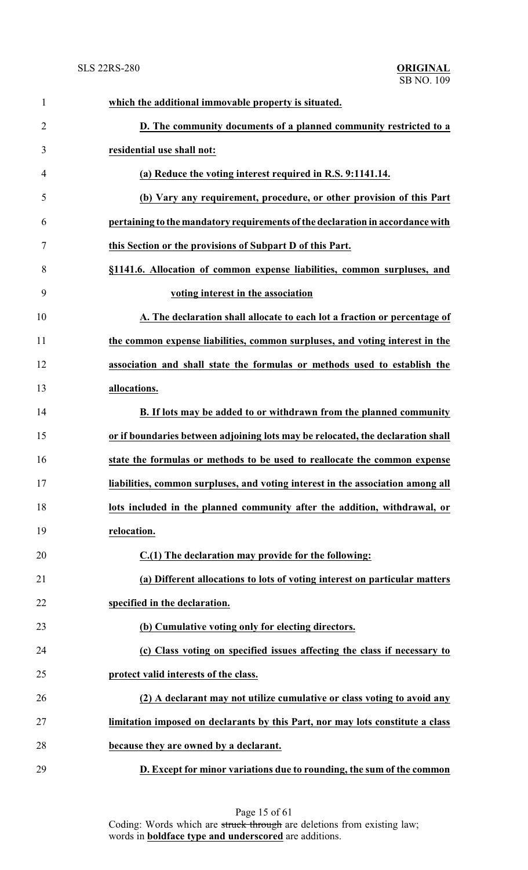| 1              | which the additional immovable property is situated.                            |
|----------------|---------------------------------------------------------------------------------|
| $\overline{2}$ | D. The community documents of a planned community restricted to a               |
| 3              | residential use shall not:                                                      |
| 4              | (a) Reduce the voting interest required in R.S. 9:1141.14.                      |
| 5              | (b) Vary any requirement, procedure, or other provision of this Part            |
| 6              | pertaining to the mandatory requirements of the declaration in accordance with  |
| 7              | this Section or the provisions of Subpart D of this Part.                       |
| 8              | §1141.6. Allocation of common expense liabilities, common surpluses, and        |
| 9              | voting interest in the association                                              |
| 10             | A. The declaration shall allocate to each lot a fraction or percentage of       |
| 11             | the common expense liabilities, common surpluses, and voting interest in the    |
| 12             | association and shall state the formulas or methods used to establish the       |
| 13             | allocations.                                                                    |
| 14             | B. If lots may be added to or withdrawn from the planned community              |
| 15             | or if boundaries between adjoining lots may be relocated, the declaration shall |
| 16             | state the formulas or methods to be used to reallocate the common expense       |
| 17             | liabilities, common surpluses, and voting interest in the association among all |
| 18             | lots included in the planned community after the addition, withdrawal, or       |
| 19             | relocation.                                                                     |
| 20             | C.(1) The declaration may provide for the following:                            |
| 21             | (a) Different allocations to lots of voting interest on particular matters      |
| 22             | specified in the declaration.                                                   |
| 23             | (b) Cumulative voting only for electing directors.                              |
| 24             | (c) Class voting on specified issues affecting the class if necessary to        |
| 25             | protect valid interests of the class.                                           |
| 26             | (2) A declarant may not utilize cumulative or class voting to avoid any         |
| 27             | limitation imposed on declarants by this Part, nor may lots constitute a class  |
| 28             | because they are owned by a declarant.                                          |
| 29             | D. Except for minor variations due to rounding, the sum of the common           |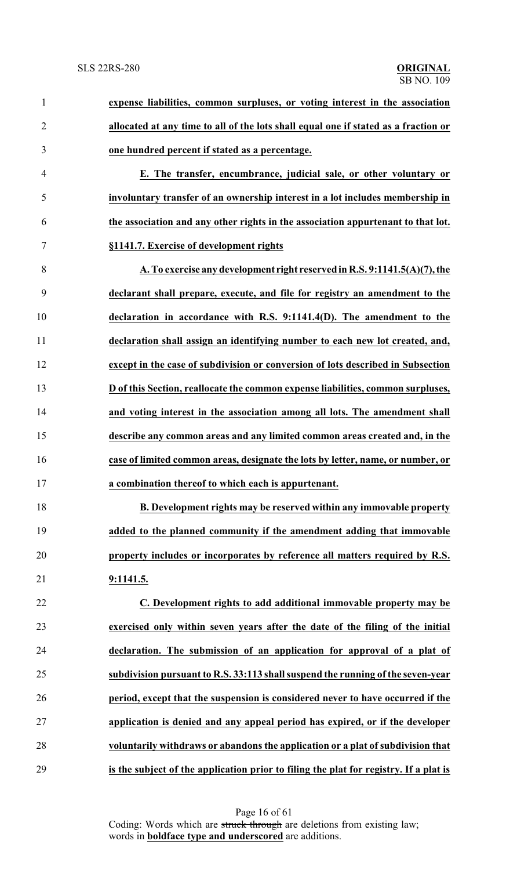| $\mathbf{1}$   | expense liabilities, common surpluses, or voting interest in the association          |
|----------------|---------------------------------------------------------------------------------------|
| $\overline{2}$ | allocated at any time to all of the lots shall equal one if stated as a fraction or   |
| 3              | one hundred percent if stated as a percentage.                                        |
| $\overline{4}$ | E. The transfer, encumbrance, judicial sale, or other voluntary or                    |
| 5              | involuntary transfer of an ownership interest in a lot includes membership in         |
| 6              | the association and any other rights in the association appurtenant to that lot.      |
| 7              | §1141.7. Exercise of development rights                                               |
| 8              | A. To exercise any development right reserved in R.S. 9:1141.5(A)(7), the             |
| 9              | declarant shall prepare, execute, and file for registry an amendment to the           |
| 10             | declaration in accordance with R.S. 9:1141.4(D). The amendment to the                 |
| 11             | declaration shall assign an identifying number to each new lot created, and,          |
| 12             | except in the case of subdivision or conversion of lots described in Subsection       |
| 13             | D of this Section, reallocate the common expense liabilities, common surpluses,       |
| 14             | and voting interest in the association among all lots. The amendment shall            |
| 15             | describe any common areas and any limited common areas created and, in the            |
| 16             | case of limited common areas, designate the lots by letter, name, or number, or       |
| 17             | a combination thereof to which each is appurtenant.                                   |
| 18             | B. Development rights may be reserved within any immovable property                   |
| 19             | added to the planned community if the amendment adding that immovable                 |
| 20             | property includes or incorporates by reference all matters required by R.S.           |
| 21             | 9:1141.5.                                                                             |
| 22             | C. Development rights to add additional immovable property may be                     |
| 23             | exercised only within seven years after the date of the filing of the initial         |
| 24             | declaration. The submission of an application for approval of a plat of               |
| 25             | subdivision pursuant to R.S. 33:113 shall suspend the running of the seven-year       |
| 26             | period, except that the suspension is considered never to have occurred if the        |
| 27             | application is denied and any appeal period has expired, or if the developer          |
| 28             | voluntarily withdraws or abandons the application or a plat of subdivision that       |
| 29             | is the subject of the application prior to filing the plat for registry. If a plat is |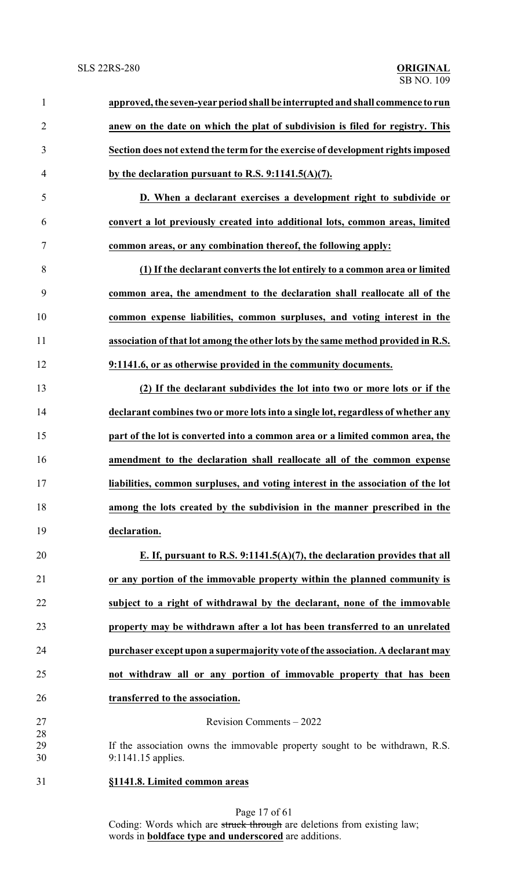| $\mathbf{1}$   | approved, the seven-year period shall be interrupted and shall commence to run                    |
|----------------|---------------------------------------------------------------------------------------------------|
| $\overline{2}$ | anew on the date on which the plat of subdivision is filed for registry. This                     |
| 3              | Section does not extend the term for the exercise of development rights imposed                   |
| $\overline{4}$ | by the declaration pursuant to R.S. $9:1141.5(A)(7)$ .                                            |
| 5              | D. When a declarant exercises a development right to subdivide or                                 |
| 6              | convert a lot previously created into additional lots, common areas, limited                      |
| 7              | common areas, or any combination thereof, the following apply:                                    |
| 8              | (1) If the declarant converts the lot entirely to a common area or limited                        |
| 9              | common area, the amendment to the declaration shall reallocate all of the                         |
| 10             | common expense liabilities, common surpluses, and voting interest in the                          |
| 11             | association of that lot among the other lots by the same method provided in R.S.                  |
| 12             | 9:1141.6, or as otherwise provided in the community documents.                                    |
| 13             | (2) If the declarant subdivides the lot into two or more lots or if the                           |
| 14             | declarant combines two or more lots into a single lot, regardless of whether any                  |
| 15             | part of the lot is converted into a common area or a limited common area, the                     |
| 16             | amendment to the declaration shall reallocate all of the common expense                           |
| 17             | liabilities, common surpluses, and voting interest in the association of the lot                  |
| 18             | among the lots created by the subdivision in the manner prescribed in the                         |
| 19             | declaration.                                                                                      |
| 20             | E. If, pursuant to R.S. 9:1141.5(A)(7), the declaration provides that all                         |
| 21             | or any portion of the immovable property within the planned community is                          |
| 22             | subject to a right of withdrawal by the declarant, none of the immovable                          |
| 23             | property may be withdrawn after a lot has been transferred to an unrelated                        |
| 24             | purchaser except upon a supermajority vote of the association. A declarant may                    |
| 25             | not withdraw all or any portion of immovable property that has been                               |
| 26             | transferred to the association.                                                                   |
| 27             | Revision Comments - 2022                                                                          |
| 28<br>29<br>30 | If the association owns the immovable property sought to be withdrawn, R.S.<br>9:1141.15 applies. |
| 31             | §1141.8. Limited common areas                                                                     |
|                |                                                                                                   |

Page 17 of 61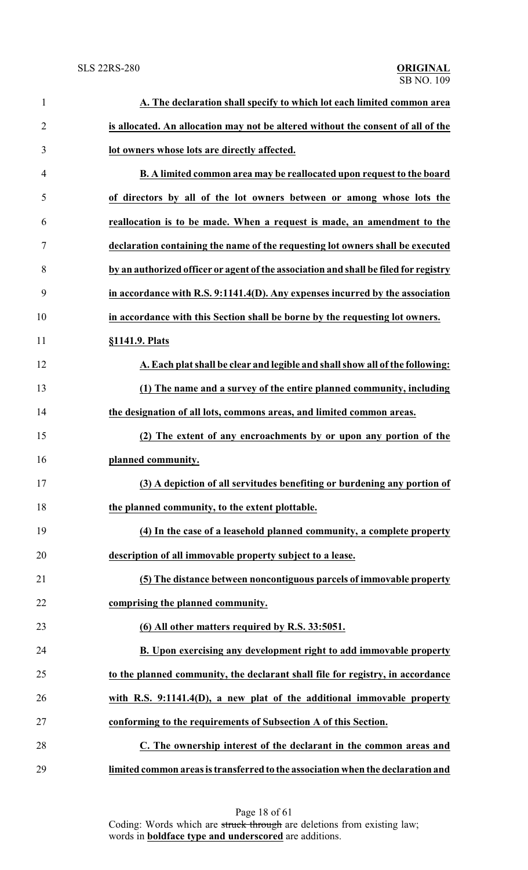| $\mathbf{1}$   | A. The declaration shall specify to which lot each limited common area               |
|----------------|--------------------------------------------------------------------------------------|
| $\overline{2}$ | is allocated. An allocation may not be altered without the consent of all of the     |
| 3              | lot owners whose lots are directly affected.                                         |
| $\overline{4}$ | <b>B.</b> A limited common area may be reallocated upon request to the board         |
| 5              | of directors by all of the lot owners between or among whose lots the                |
| 6              | reallocation is to be made. When a request is made, an amendment to the              |
| 7              | declaration containing the name of the requesting lot owners shall be executed       |
| 8              | by an authorized officer or agent of the association and shall be filed for registry |
| 9              | in accordance with R.S. 9:1141.4(D). Any expenses incurred by the association        |
| 10             | in accordance with this Section shall be borne by the requesting lot owners.         |
| 11             | §1141.9. Plats                                                                       |
| 12             | A. Each plat shall be clear and legible and shall show all of the following:         |
| 13             | (1) The name and a survey of the entire planned community, including                 |
| 14             | the designation of all lots, commons areas, and limited common areas.                |
| 15             | (2) The extent of any encroachments by or upon any portion of the                    |
| 16             | planned community.                                                                   |
| 17             | (3) A depiction of all servitudes benefiting or burdening any portion of             |
| 18             | the planned community, to the extent plottable.                                      |
| 19             | (4) In the case of a leasehold planned community, a complete property                |
| 20             | description of all immovable property subject to a lease.                            |
| 21             | (5) The distance between noncontiguous parcels of immovable property                 |
| 22             | comprising the planned community.                                                    |
| 23             | (6) All other matters required by R.S. 33:5051.                                      |
| 24             | B. Upon exercising any development right to add immovable property                   |
| 25             | to the planned community, the declarant shall file for registry, in accordance       |
| 26             | with R.S. 9:1141.4(D), a new plat of the additional immovable property               |
| 27             | conforming to the requirements of Subsection A of this Section.                      |
| 28             | C. The ownership interest of the declarant in the common areas and                   |
| 29             | limited common areas is transferred to the association when the declaration and      |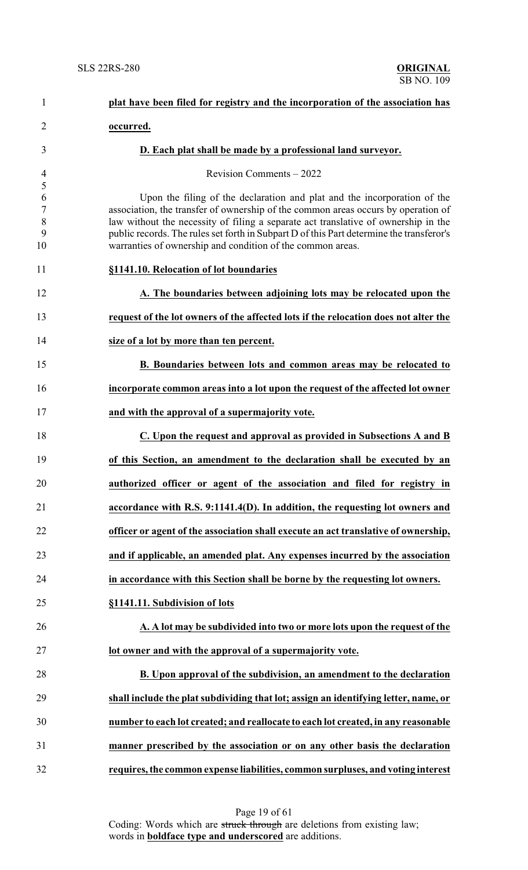| $\mathbf{1}$                             | plat have been filed for registry and the incorporation of the association has                                                                                                                                                                                                                                                                                                                                |
|------------------------------------------|---------------------------------------------------------------------------------------------------------------------------------------------------------------------------------------------------------------------------------------------------------------------------------------------------------------------------------------------------------------------------------------------------------------|
| $\overline{2}$                           | occurred.                                                                                                                                                                                                                                                                                                                                                                                                     |
| 3                                        | D. Each plat shall be made by a professional land surveyor.                                                                                                                                                                                                                                                                                                                                                   |
| $\overline{4}$                           | Revision Comments - 2022                                                                                                                                                                                                                                                                                                                                                                                      |
| 5<br>6<br>$\overline{7}$<br>8<br>9<br>10 | Upon the filing of the declaration and plat and the incorporation of the<br>association, the transfer of ownership of the common areas occurs by operation of<br>law without the necessity of filing a separate act translative of ownership in the<br>public records. The rules set forth in Subpart D of this Part determine the transferor's<br>warranties of ownership and condition of the common areas. |
| 11                                       | §1141.10. Relocation of lot boundaries                                                                                                                                                                                                                                                                                                                                                                        |
| 12                                       | A. The boundaries between adjoining lots may be relocated upon the                                                                                                                                                                                                                                                                                                                                            |
| 13                                       | request of the lot owners of the affected lots if the relocation does not alter the                                                                                                                                                                                                                                                                                                                           |
| 14                                       | size of a lot by more than ten percent.                                                                                                                                                                                                                                                                                                                                                                       |
| 15                                       | B. Boundaries between lots and common areas may be relocated to                                                                                                                                                                                                                                                                                                                                               |
| 16                                       | incorporate common areas into a lot upon the request of the affected lot owner                                                                                                                                                                                                                                                                                                                                |
| 17                                       | and with the approval of a supermajority vote.                                                                                                                                                                                                                                                                                                                                                                |
| 18                                       | C. Upon the request and approval as provided in Subsections A and B                                                                                                                                                                                                                                                                                                                                           |
| 19                                       | of this Section, an amendment to the declaration shall be executed by an                                                                                                                                                                                                                                                                                                                                      |
| 20                                       | authorized officer or agent of the association and filed for registry in                                                                                                                                                                                                                                                                                                                                      |
| 21                                       | accordance with R.S. 9:1141.4(D). In addition, the requesting lot owners and                                                                                                                                                                                                                                                                                                                                  |
| 22                                       | officer or agent of the association shall execute an act translative of ownership,                                                                                                                                                                                                                                                                                                                            |
| 23                                       | and if applicable, an amended plat. Any expenses incurred by the association                                                                                                                                                                                                                                                                                                                                  |
| 24                                       | in accordance with this Section shall be borne by the requesting lot owners.                                                                                                                                                                                                                                                                                                                                  |
| 25                                       | §1141.11. Subdivision of lots                                                                                                                                                                                                                                                                                                                                                                                 |
| 26                                       | A. A lot may be subdivided into two or more lots upon the request of the                                                                                                                                                                                                                                                                                                                                      |
| 27                                       | lot owner and with the approval of a supermajority vote.                                                                                                                                                                                                                                                                                                                                                      |
| 28                                       | B. Upon approval of the subdivision, an amendment to the declaration                                                                                                                                                                                                                                                                                                                                          |
| 29                                       | shall include the plat subdividing that lot; assign an identifying letter, name, or                                                                                                                                                                                                                                                                                                                           |
| 30                                       | number to each lot created; and reallocate to each lot created, in any reasonable                                                                                                                                                                                                                                                                                                                             |
| 31                                       | manner prescribed by the association or on any other basis the declaration                                                                                                                                                                                                                                                                                                                                    |
| 32                                       | requires, the common expense liabilities, common surpluses, and voting interest                                                                                                                                                                                                                                                                                                                               |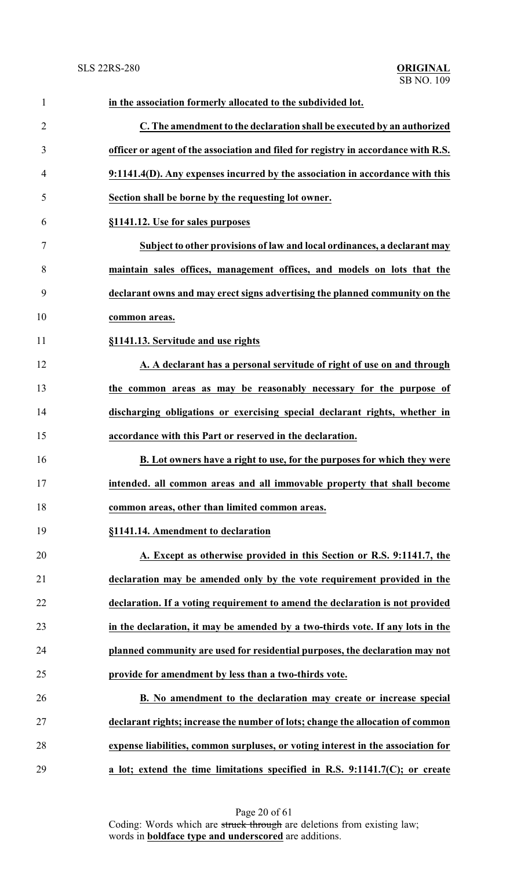| $\mathbf{1}$   | in the association formerly allocated to the subdivided lot.                       |
|----------------|------------------------------------------------------------------------------------|
| $\overline{2}$ | C. The amendment to the declaration shall be executed by an authorized             |
| 3              | officer or agent of the association and filed for registry in accordance with R.S. |
| $\overline{4}$ | 9:1141.4(D). Any expenses incurred by the association in accordance with this      |
| 5              | Section shall be borne by the requesting lot owner.                                |
| 6              | §1141.12. Use for sales purposes                                                   |
| $\tau$         | Subject to other provisions of law and local ordinances, a declarant may           |
| 8              | maintain sales offices, management offices, and models on lots that the            |
| 9              | declarant owns and may erect signs advertising the planned community on the        |
| 10             | common areas.                                                                      |
| 11             | §1141.13. Servitude and use rights                                                 |
| 12             | A. A declarant has a personal servitude of right of use on and through             |
| 13             | the common areas as may be reasonably necessary for the purpose of                 |
| 14             | discharging obligations or exercising special declarant rights, whether in         |
| 15             | accordance with this Part or reserved in the declaration.                          |
| 16             | B. Lot owners have a right to use, for the purposes for which they were            |
| 17             | intended. all common areas and all immovable property that shall become            |
| 18             | common areas, other than limited common areas.                                     |
| 19             | §1141.14. Amendment to declaration                                                 |
| 20             | A. Except as otherwise provided in this Section or R.S. 9:1141.7, the              |
| 21             | declaration may be amended only by the vote requirement provided in the            |
| 22             | declaration. If a voting requirement to amend the declaration is not provided      |
| 23             | in the declaration, it may be amended by a two-thirds vote. If any lots in the     |
| 24             | planned community are used for residential purposes, the declaration may not       |
| 25             | provide for amendment by less than a two-thirds vote.                              |
| 26             | B. No amendment to the declaration may create or increase special                  |
| 27             | declarant rights; increase the number of lots; change the allocation of common     |
| 28             | expense liabilities, common surpluses, or voting interest in the association for   |
| 29             | a lot; extend the time limitations specified in R.S. 9:1141.7(C); or create        |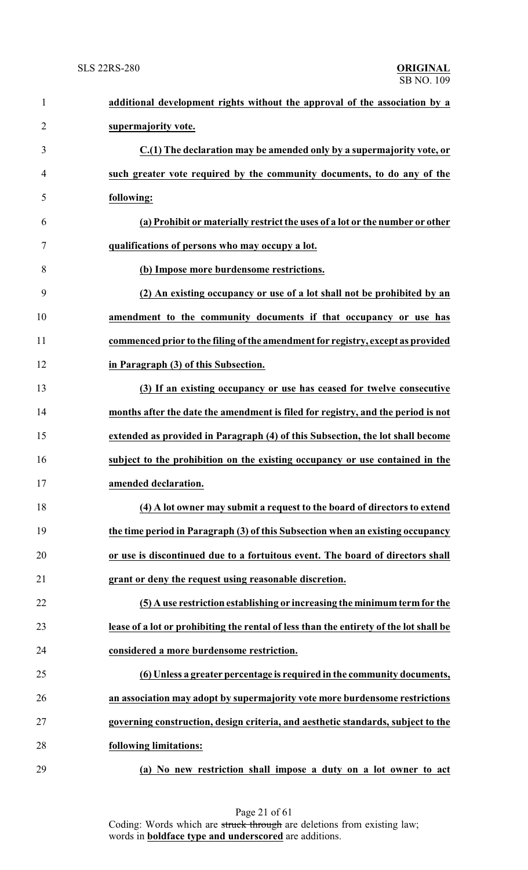| $\mathbf{1}$   | additional development rights without the approval of the association by a             |
|----------------|----------------------------------------------------------------------------------------|
| $\overline{2}$ | supermajority vote.                                                                    |
| 3              | C.(1) The declaration may be amended only by a supermajority vote, or                  |
| 4              | such greater vote required by the community documents, to do any of the                |
| 5              | following:                                                                             |
| 6              | (a) Prohibit or materially restrict the uses of a lot or the number or other           |
| $\tau$         | qualifications of persons who may occupy a lot.                                        |
| 8              | (b) Impose more burdensome restrictions.                                               |
| 9              | (2) An existing occupancy or use of a lot shall not be prohibited by an                |
| 10             | amendment to the community documents if that occupancy or use has                      |
| 11             | commenced prior to the filing of the amendment for registry, except as provided        |
| 12             | in Paragraph (3) of this Subsection.                                                   |
| 13             | (3) If an existing occupancy or use has ceased for twelve consecutive                  |
| 14             | months after the date the amendment is filed for registry, and the period is not       |
| 15             | extended as provided in Paragraph (4) of this Subsection, the lot shall become         |
| 16             | subject to the prohibition on the existing occupancy or use contained in the           |
| 17             | amended declaration.                                                                   |
| 18             | (4) A lot owner may submit a request to the board of directors to extend               |
| 19             | the time period in Paragraph (3) of this Subsection when an existing occupancy         |
| 20             | or use is discontinued due to a fortuitous event. The board of directors shall         |
| 21             | grant or deny the request using reasonable discretion.                                 |
| 22             | (5) A use restriction establishing or increasing the minimum term for the              |
| 23             | lease of a lot or prohibiting the rental of less than the entirety of the lot shall be |
| 24             | considered a more burdensome restriction.                                              |
| 25             | (6) Unless a greater percentage is required in the community documents,                |
| 26             | an association may adopt by supermajority vote more burdensome restrictions            |
| 27             | governing construction, design criteria, and aesthetic standards, subject to the       |
| 28             | following limitations:                                                                 |
| 29             | (a) No new restriction shall impose a duty on a lot owner to act                       |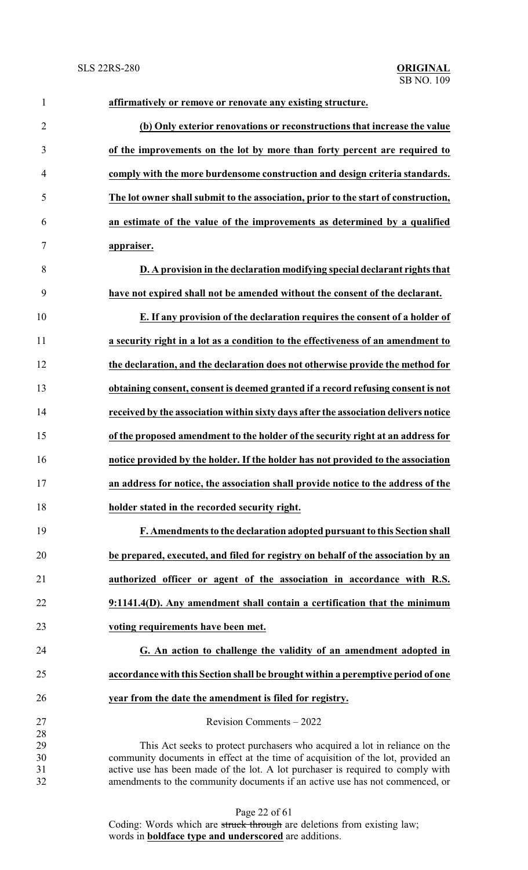| $\mathbf{1}$   | affirmatively or remove or renovate any existing structure.                                                                                                     |
|----------------|-----------------------------------------------------------------------------------------------------------------------------------------------------------------|
| $\overline{2}$ | (b) Only exterior renovations or reconstructions that increase the value                                                                                        |
| 3              | of the improvements on the lot by more than forty percent are required to                                                                                       |
| $\overline{4}$ | comply with the more burdensome construction and design criteria standards.                                                                                     |
| 5              | The lot owner shall submit to the association, prior to the start of construction,                                                                              |
| 6              | an estimate of the value of the improvements as determined by a qualified                                                                                       |
| 7              | appraiser.                                                                                                                                                      |
| 8              | D. A provision in the declaration modifying special declarant rights that                                                                                       |
| 9              | have not expired shall not be amended without the consent of the declarant.                                                                                     |
| 10             | E. If any provision of the declaration requires the consent of a holder of                                                                                      |
| 11             | a security right in a lot as a condition to the effectiveness of an amendment to                                                                                |
| 12             | the declaration, and the declaration does not otherwise provide the method for                                                                                  |
| 13             | obtaining consent, consent is deemed granted if a record refusing consent is not                                                                                |
| 14             | received by the association within sixty days after the association delivers notice                                                                             |
| 15             | of the proposed amendment to the holder of the security right at an address for                                                                                 |
| 16             | notice provided by the holder. If the holder has not provided to the association                                                                                |
| 17             | an address for notice, the association shall provide notice to the address of the                                                                               |
| 18             | holder stated in the recorded security right.                                                                                                                   |
| 19             | F. Amendments to the declaration adopted pursuant to this Section shall                                                                                         |
| 20             | be prepared, executed, and filed for registry on behalf of the association by an                                                                                |
| 21             | authorized officer or agent of the association in accordance with R.S.                                                                                          |
| 22             | 9:1141.4(D). Any amendment shall contain a certification that the minimum                                                                                       |
| 23             | voting requirements have been met.                                                                                                                              |
| 24             | G. An action to challenge the validity of an amendment adopted in                                                                                               |
| 25             | accordance with this Section shall be brought within a peremptive period of one                                                                                 |
| 26             | year from the date the amendment is filed for registry.                                                                                                         |
| 27             | Revision Comments - 2022                                                                                                                                        |
| 28             |                                                                                                                                                                 |
| 29             | This Act seeks to protect purchasers who acquired a lot in reliance on the                                                                                      |
| 30             | community documents in effect at the time of acquisition of the lot, provided an                                                                                |
| 31<br>32       | active use has been made of the lot. A lot purchaser is required to comply with<br>amendments to the community documents if an active use has not commenced, or |
|                |                                                                                                                                                                 |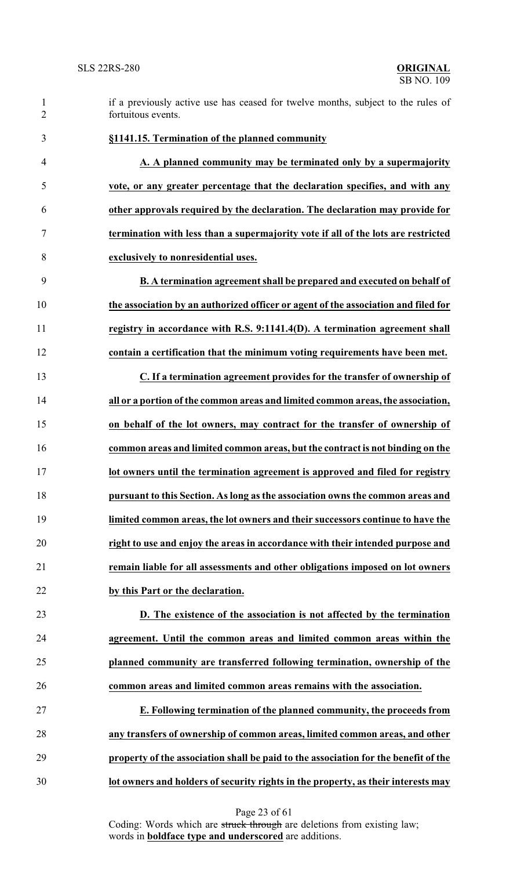- if a previously active use has ceased for twelve months, subject to the rules of fortuitous events.
- **A. A planned community may be terminated only by a supermajority vote, or any greater percentage that the declaration specifies, and with any other approvals required by the declaration. The declaration may provide for termination with less than a supermajority vote if all of the lots are restricted exclusively to nonresidential uses.**

**§1141.15. Termination of the planned community**

- **B. A termination agreement shall be prepared and executed on behalf of the association by an authorized officer or agent of the association and filed for registry in accordance with R.S. 9:1141.4(D). A termination agreement shall contain a certification that the minimum voting requirements have been met.**
- **C. If a termination agreement provides for the transfer of ownership of all or a portion of the common areas and limited common areas, the association, on behalf of the lot owners, may contract for the transfer of ownership of common areas and limited common areas, but the contract is not binding on the lot owners until the termination agreement is approved and filed for registry pursuant to this Section. As long as the association owns the common areas and limited common areas, the lot owners and their successors continue to have the right to use and enjoy the areas in accordance with their intended purpose and remain liable for all assessments and other obligations imposed on lot owners by this Part or the declaration.**
- **D. The existence of the association is not affected by the termination agreement. Until the common areas and limited common areas within the planned community are transferred following termination, ownership of the common areas and limited common areas remains with the association.**
- **E. Following termination of the planned community, the proceeds from any transfers of ownership of common areas, limited common areas, and other property of the association shall be paid to the association for the benefit of the lot owners and holders of security rights in the property, as their interests may**

Page 23 of 61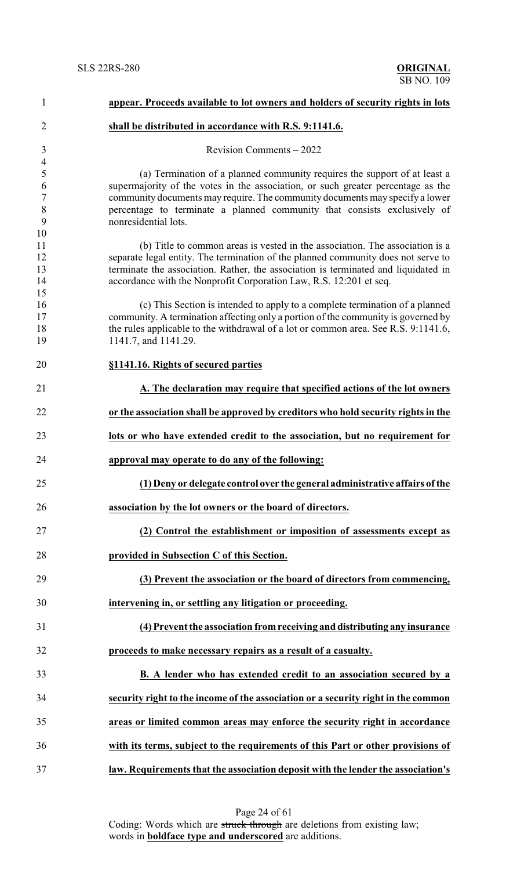| $\mathbf{1}$               | appear. Proceeds available to lot owners and holders of security rights in lots                                                                                                                                                                                                                                               |
|----------------------------|-------------------------------------------------------------------------------------------------------------------------------------------------------------------------------------------------------------------------------------------------------------------------------------------------------------------------------|
| $\overline{2}$             | shall be distributed in accordance with R.S. 9:1141.6.                                                                                                                                                                                                                                                                        |
| 3<br>$\overline{4}$        | Revision Comments - 2022                                                                                                                                                                                                                                                                                                      |
| 5<br>6<br>$\boldsymbol{7}$ | (a) Termination of a planned community requires the support of at least a<br>supermajority of the votes in the association, or such greater percentage as the<br>community documents may require. The community documents may specify a lower                                                                                 |
| 8<br>9<br>10               | percentage to terminate a planned community that consists exclusively of<br>nonresidential lots.                                                                                                                                                                                                                              |
| 11<br>12<br>13<br>14<br>15 | (b) Title to common areas is vested in the association. The association is a<br>separate legal entity. The termination of the planned community does not serve to<br>terminate the association. Rather, the association is terminated and liquidated in<br>accordance with the Nonprofit Corporation Law, R.S. 12:201 et seq. |
| 16<br>17<br>18<br>19       | (c) This Section is intended to apply to a complete termination of a planned<br>community. A termination affecting only a portion of the community is governed by<br>the rules applicable to the withdrawal of a lot or common area. See R.S. 9:1141.6,<br>1141.7, and 1141.29.                                               |
| 20                         | §1141.16. Rights of secured parties                                                                                                                                                                                                                                                                                           |
| 21                         | A. The declaration may require that specified actions of the lot owners                                                                                                                                                                                                                                                       |
| 22                         | or the association shall be approved by creditors who hold security rights in the                                                                                                                                                                                                                                             |
| 23                         | lots or who have extended credit to the association, but no requirement for                                                                                                                                                                                                                                                   |
| 24                         | approval may operate to do any of the following:                                                                                                                                                                                                                                                                              |
| 25                         | (1) Deny or delegate control over the general administrative affairs of the                                                                                                                                                                                                                                                   |
| 26                         | association by the lot owners or the board of directors.                                                                                                                                                                                                                                                                      |
| 27                         | (2) Control the establishment or imposition of assessments except as                                                                                                                                                                                                                                                          |
| 28                         | provided in Subsection C of this Section.                                                                                                                                                                                                                                                                                     |
| 29                         | (3) Prevent the association or the board of directors from commencing,                                                                                                                                                                                                                                                        |
| 30                         | intervening in, or settling any litigation or proceeding.                                                                                                                                                                                                                                                                     |
| 31                         | (4) Prevent the association from receiving and distributing any insurance                                                                                                                                                                                                                                                     |
| 32                         | proceeds to make necessary repairs as a result of a casualty.                                                                                                                                                                                                                                                                 |
| 33                         | <b>B.</b> A lender who has extended credit to an association secured by a                                                                                                                                                                                                                                                     |
| 34                         | security right to the income of the association or a security right in the common                                                                                                                                                                                                                                             |
| 35                         | areas or limited common areas may enforce the security right in accordance                                                                                                                                                                                                                                                    |
| 36                         | with its terms, subject to the requirements of this Part or other provisions of                                                                                                                                                                                                                                               |
| 37                         | law. Requirements that the association deposit with the lender the association's                                                                                                                                                                                                                                              |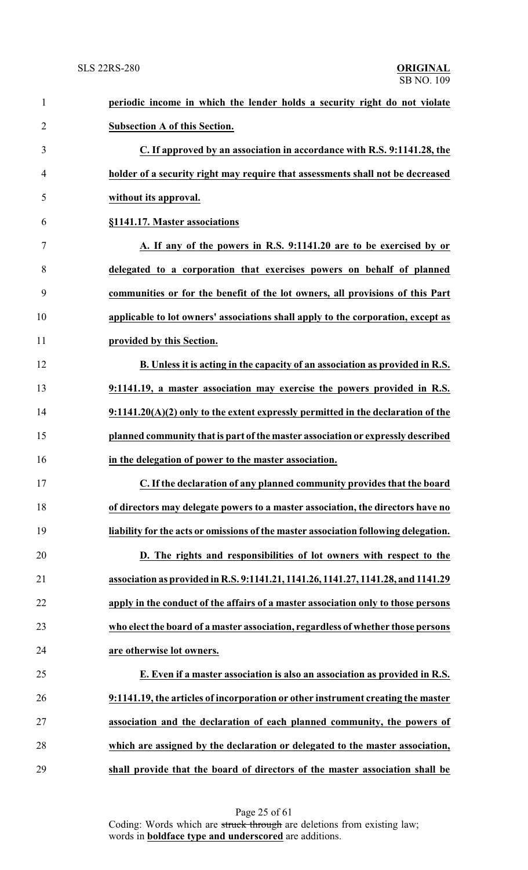| $\mathbf{1}$   | periodic income in which the lender holds a security right do not violate           |
|----------------|-------------------------------------------------------------------------------------|
| $\overline{2}$ | <b>Subsection A of this Section.</b>                                                |
| 3              | C. If approved by an association in accordance with R.S. 9:1141.28, the             |
| $\overline{4}$ | holder of a security right may require that assessments shall not be decreased      |
| 5              | without its approval.                                                               |
| 6              | §1141.17. Master associations                                                       |
| 7              | A. If any of the powers in R.S. 9:1141.20 are to be exercised by or                 |
| 8              | delegated to a corporation that exercises powers on behalf of planned               |
| 9              | communities or for the benefit of the lot owners, all provisions of this Part       |
| 10             | applicable to lot owners' associations shall apply to the corporation, except as    |
| 11             | provided by this Section.                                                           |
| 12             | B. Unless it is acting in the capacity of an association as provided in R.S.        |
| 13             | 9:1141.19, a master association may exercise the powers provided in R.S.            |
| 14             | $9:1141.20(A)(2)$ only to the extent expressly permitted in the declaration of the  |
| 15             | planned community that is part of the master association or expressly described     |
| 16             | in the delegation of power to the master association.                               |
|                | C. If the declaration of any planned community provides that the board              |
| 18             | of directors may delegate powers to a master association, the directors have no     |
| 19             | liability for the acts or omissions of the master association following delegation. |
| 20             | D. The rights and responsibilities of lot owners with respect to the                |
| 21             | association as provided in R.S. 9:1141.21, 1141.26, 1141.27, 1141.28, and 1141.29   |
| 22             | apply in the conduct of the affairs of a master association only to those persons   |
| 23             | who elect the board of a master association, regardless of whether those persons    |
| 24             | are otherwise lot owners.                                                           |
| 25             | E. Even if a master association is also an association as provided in R.S.          |
| 26             | 9:1141.19, the articles of incorporation or other instrument creating the master    |
| 27             | association and the declaration of each planned community, the powers of            |
| 28             | which are assigned by the declaration or delegated to the master association,       |
| 29             | shall provide that the board of directors of the master association shall be        |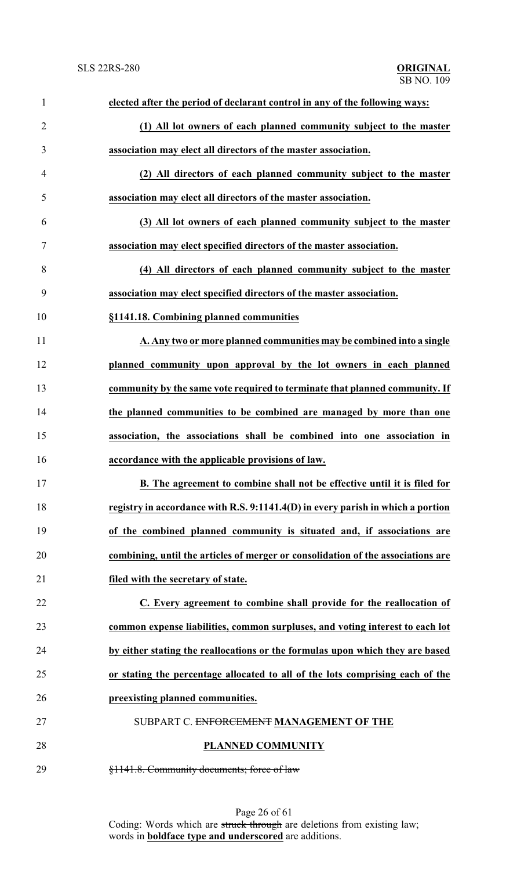| $\mathbf{1}$   | elected after the period of declarant control in any of the following ways:      |
|----------------|----------------------------------------------------------------------------------|
| $\overline{2}$ | (1) All lot owners of each planned community subject to the master               |
| 3              | association may elect all directors of the master association.                   |
| 4              | (2) All directors of each planned community subject to the master                |
| 5              | association may elect all directors of the master association.                   |
| 6              | (3) All lot owners of each planned community subject to the master               |
| $\tau$         | association may elect specified directors of the master association.             |
| 8              | (4) All directors of each planned community subject to the master                |
| 9              | association may elect specified directors of the master association.             |
| 10             | §1141.18. Combining planned communities                                          |
| 11             | A. Any two or more planned communities may be combined into a single             |
| 12             | planned community upon approval by the lot owners in each planned                |
| 13             | community by the same vote required to terminate that planned community. If      |
| 14             | the planned communities to be combined are managed by more than one              |
| 15             | association, the associations shall be combined into one association in          |
| 16             | accordance with the applicable provisions of law.                                |
| 17             | B. The agreement to combine shall not be effective until it is filed for         |
| 18             | registry in accordance with R.S. 9:1141.4(D) in every parish in which a portion  |
| 19             | of the combined planned community is situated and, if associations are           |
| 20             | combining, until the articles of merger or consolidation of the associations are |
| 21             | filed with the secretary of state.                                               |
| 22             | C. Every agreement to combine shall provide for the reallocation of              |
| 23             | common expense liabilities, common surpluses, and voting interest to each lot    |
| 24             | by either stating the reallocations or the formulas upon which they are based    |
| 25             | or stating the percentage allocated to all of the lots comprising each of the    |
| 26             | preexisting planned communities.                                                 |
| 27             | SUBPART C. ENFORCEMENT MANAGEMENT OF THE                                         |
| 28             | <b>PLANNED COMMUNITY</b>                                                         |
| 29             | §1141.8. Community documents; force of law                                       |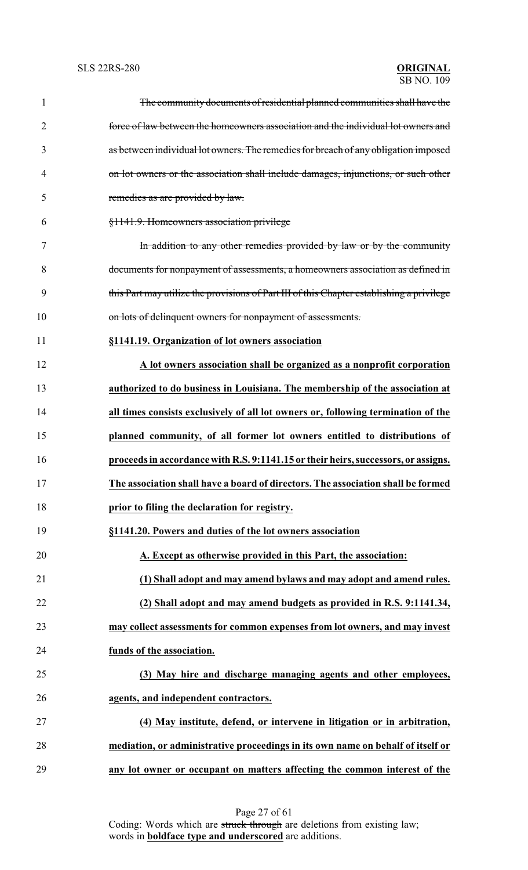| $\mathbf{1}$   | The community documents of residential planned communities shall have the                 |
|----------------|-------------------------------------------------------------------------------------------|
| $\overline{2}$ | force of law between the homeowners association and the individual lot owners and         |
| 3              | as between individual lot owners. The remedies for breach of any obligation imposed       |
| $\overline{4}$ | on lot owners or the association shall include damages, injunctions, or such other        |
| 5              | remedies as are provided by law.                                                          |
| 6              | §1141.9. Homeowners association privilege                                                 |
| 7              | In addition to any other remedies provided by law or by the community                     |
| 8              | documents for nonpayment of assessments, a homeowners association as defined in           |
| 9              | this Part may utilize the provisions of Part III of this Chapter establishing a privilege |
| 10             | on lots of delinquent owners for nonpayment of assessments.                               |
| 11             | §1141.19. Organization of lot owners association                                          |
| 12             | A lot owners association shall be organized as a nonprofit corporation                    |
| 13             | authorized to do business in Louisiana. The membership of the association at              |
| 14             | all times consists exclusively of all lot owners or, following termination of the         |
| 15             | planned community, of all former lot owners entitled to distributions of                  |
| 16             | proceeds in accordance with R.S. 9:1141.15 or their heirs, successors, or assigns.        |
| 17             | The association shall have a board of directors. The association shall be formed          |
| 18             | prior to filing the declaration for registry.                                             |
| 19             | §1141.20. Powers and duties of the lot owners association                                 |
| 20             | A. Except as otherwise provided in this Part, the association:                            |
| 21             | (1) Shall adopt and may amend bylaws and may adopt and amend rules.                       |
| 22             | (2) Shall adopt and may amend budgets as provided in R.S. 9:1141.34,                      |
| 23             | may collect assessments for common expenses from lot owners, and may invest               |
| 24             | funds of the association.                                                                 |
| 25             | (3) May hire and discharge managing agents and other employees,                           |
| 26             | agents, and independent contractors.                                                      |
| 27             | (4) May institute, defend, or intervene in litigation or in arbitration,                  |
| 28             | mediation, or administrative proceedings in its own name on behalf of itself or           |
| 29             | any lot owner or occupant on matters affecting the common interest of the                 |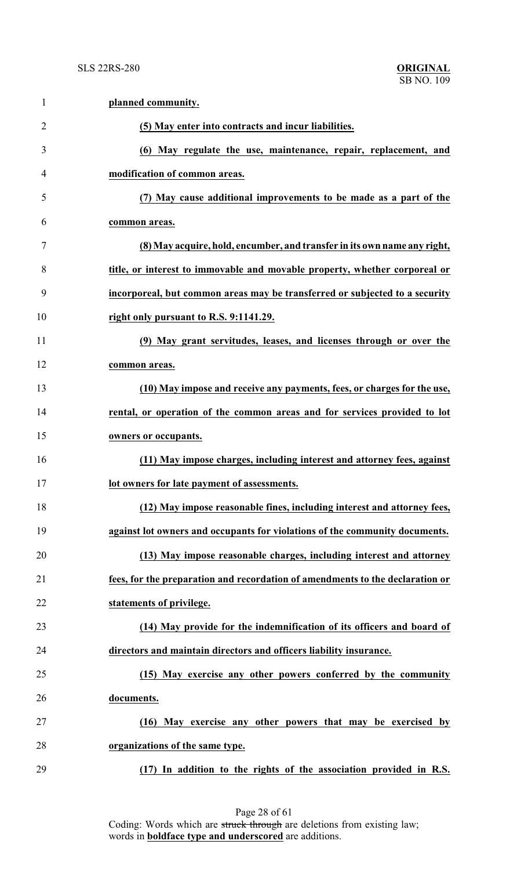| $\mathbf{1}$   | planned community.                                                            |
|----------------|-------------------------------------------------------------------------------|
| $\overline{2}$ | (5) May enter into contracts and incur liabilities.                           |
| 3              | (6) May regulate the use, maintenance, repair, replacement, and               |
| 4              | modification of common areas.                                                 |
| 5              | (7) May cause additional improvements to be made as a part of the             |
| 6              | common areas.                                                                 |
| 7              | (8) May acquire, hold, encumber, and transfer in its own name any right,      |
| 8              | title, or interest to immovable and movable property, whether corporeal or    |
| 9              | incorporeal, but common areas may be transferred or subjected to a security   |
| 10             | right only pursuant to R.S. 9:1141.29.                                        |
| 11             | (9) May grant servitudes, leases, and licenses through or over the            |
| 12             | common areas.                                                                 |
| 13             | (10) May impose and receive any payments, fees, or charges for the use,       |
| 14             | rental, or operation of the common areas and for services provided to lot     |
| 15             | owners or occupants.                                                          |
| 16             | (11) May impose charges, including interest and attorney fees, against        |
| 17             | lot owners for late payment of assessments.                                   |
| 18             | (12) May impose reasonable fines, including interest and attorney fees,       |
| 19             | against lot owners and occupants for violations of the community documents.   |
| 20             | (13) May impose reasonable charges, including interest and attorney           |
| 21             | fees, for the preparation and recordation of amendments to the declaration or |
| 22             | statements of privilege.                                                      |
| 23             | (14) May provide for the indemnification of its officers and board of         |
| 24             | directors and maintain directors and officers liability insurance.            |
| 25             | (15) May exercise any other powers conferred by the community                 |
| 26             | documents.                                                                    |
| 27             | (16) May exercise any other powers that may be exercised by                   |
| 28             | organizations of the same type.                                               |
| 29             | (17) In addition to the rights of the association provided in R.S.            |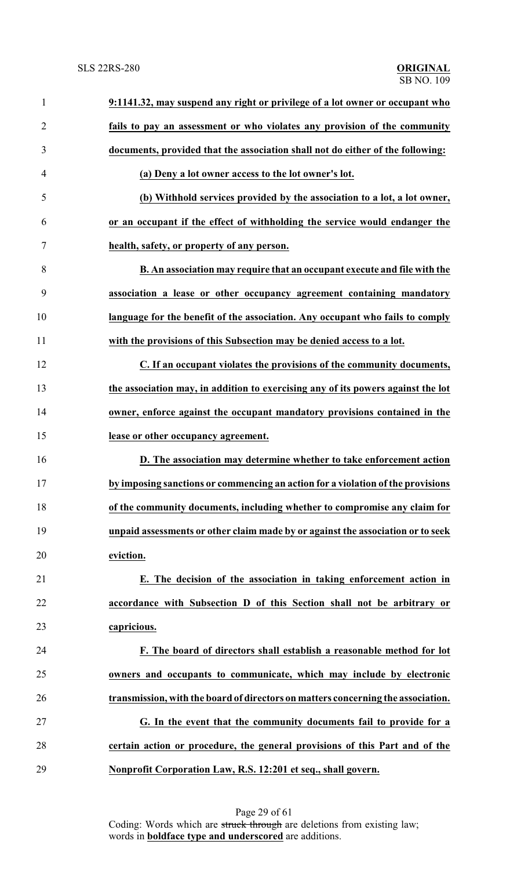| $\mathbf{1}$   | 9:1141.32, may suspend any right or privilege of a lot owner or occupant who     |
|----------------|----------------------------------------------------------------------------------|
| $\overline{2}$ | fails to pay an assessment or who violates any provision of the community        |
| 3              | documents, provided that the association shall not do either of the following:   |
| 4              | (a) Deny a lot owner access to the lot owner's lot.                              |
| 5              | (b) Withhold services provided by the association to a lot, a lot owner,         |
| 6              | or an occupant if the effect of withholding the service would endanger the       |
| 7              | health, safety, or property of any person.                                       |
| 8              | B. An association may require that an occupant execute and file with the         |
| 9              | association a lease or other occupancy agreement containing mandatory            |
| 10             | language for the benefit of the association. Any occupant who fails to comply    |
| 11             | with the provisions of this Subsection may be denied access to a lot.            |
| 12             | C. If an occupant violates the provisions of the community documents,            |
| 13             | the association may, in addition to exercising any of its powers against the lot |
| 14             | owner, enforce against the occupant mandatory provisions contained in the        |
| 15             | lease or other occupancy agreement.                                              |
| 16             | D. The association may determine whether to take enforcement action              |
| 17             | by imposing sanctions or commencing an action for a violation of the provisions  |
| 18             | of the community documents, including whether to compromise any claim for        |
| 19             | unpaid assessments or other claim made by or against the association or to seek  |
| 20             | eviction.                                                                        |
| 21             | E. The decision of the association in taking enforcement action in               |
| 22             | accordance with Subsection D of this Section shall not be arbitrary or           |
| 23             | capricious.                                                                      |
| 24             | F. The board of directors shall establish a reasonable method for lot            |
| 25             | owners and occupants to communicate, which may include by electronic             |
| 26             | transmission, with the board of directors on matters concerning the association. |
| 27             | G. In the event that the community documents fail to provide for a               |
| 28             | certain action or procedure, the general provisions of this Part and of the      |
| 29             | Nonprofit Corporation Law, R.S. 12:201 et seq., shall govern.                    |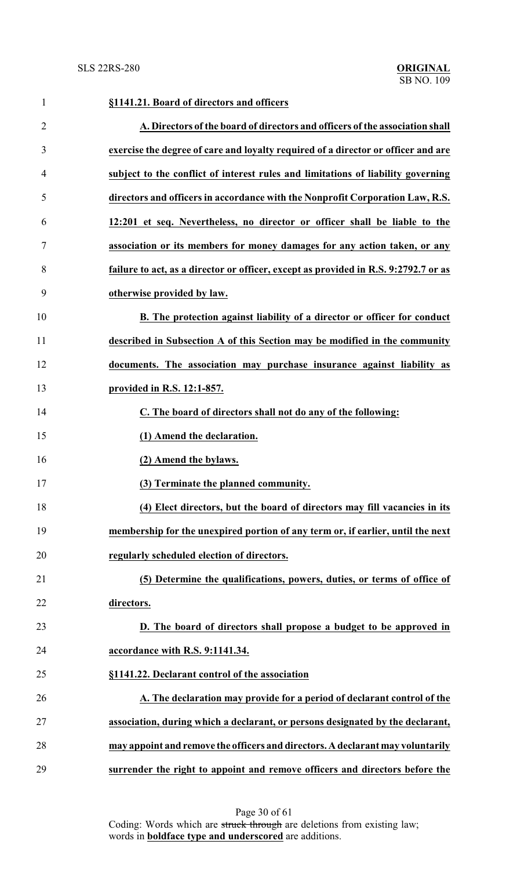| $\mathbf{1}$   | §1141.21. Board of directors and officers                                           |
|----------------|-------------------------------------------------------------------------------------|
| $\overline{2}$ | A. Directors of the board of directors and officers of the association shall        |
| 3              | exercise the degree of care and loyalty required of a director or officer and are   |
| 4              | subject to the conflict of interest rules and limitations of liability governing    |
| 5              | directors and officers in accordance with the Nonprofit Corporation Law, R.S.       |
| 6              | 12:201 et seq. Nevertheless, no director or officer shall be liable to the          |
| 7              | association or its members for money damages for any action taken, or any           |
| 8              | failure to act, as a director or officer, except as provided in R.S. 9:2792.7 or as |
| 9              | otherwise provided by law.                                                          |
| 10             | B. The protection against liability of a director or officer for conduct            |
| 11             | described in Subsection A of this Section may be modified in the community          |
| 12             | documents. The association may purchase insurance against liability as              |
| 13             | provided in R.S. 12:1-857.                                                          |
| 14             | C. The board of directors shall not do any of the following:                        |
| 15             | (1) Amend the declaration.                                                          |
| 16             | (2) Amend the bylaws.                                                               |
| 17             | (3) Terminate the planned community.                                                |
| 18             | (4) Elect directors, but the board of directors may fill vacancies in its           |
| 19             | membership for the unexpired portion of any term or, if earlier, until the next     |
| 20             | regularly scheduled election of directors.                                          |
| 21             | (5) Determine the qualifications, powers, duties, or terms of office of             |
| 22             | directors.                                                                          |
| 23             | D. The board of directors shall propose a budget to be approved in                  |
| 24             | accordance with R.S. 9:1141.34.                                                     |
| 25             | §1141.22. Declarant control of the association                                      |
| 26             | A. The declaration may provide for a period of declarant control of the             |
| 27             | association, during which a declarant, or persons designated by the declarant,      |
| 28             | may appoint and remove the officers and directors. A declarant may voluntarily      |
| 29             | surrender the right to appoint and remove officers and directors before the         |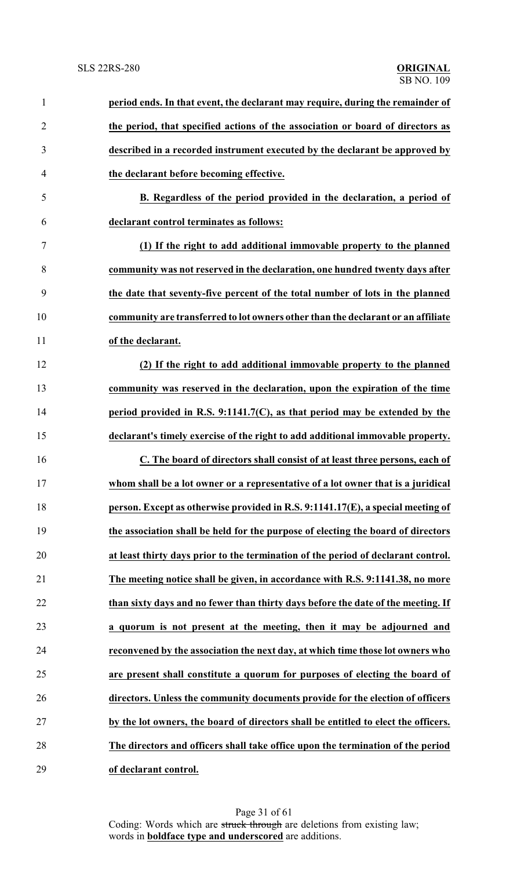| $\mathbf{1}$   | period ends. In that event, the declarant may require, during the remainder of     |
|----------------|------------------------------------------------------------------------------------|
| $\overline{2}$ | the period, that specified actions of the association or board of directors as     |
| 3              | described in a recorded instrument executed by the declarant be approved by        |
| $\overline{4}$ | the declarant before becoming effective.                                           |
| 5              | B. Regardless of the period provided in the declaration, a period of               |
| 6              | declarant control terminates as follows:                                           |
| 7              | (1) If the right to add additional immovable property to the planned               |
| 8              | community was not reserved in the declaration, one hundred twenty days after       |
| 9              | the date that seventy-five percent of the total number of lots in the planned      |
| 10             | community are transferred to lot owners other than the declarant or an affiliate   |
| 11             | of the declarant.                                                                  |
| 12             | (2) If the right to add additional immovable property to the planned               |
| 13             | community was reserved in the declaration, upon the expiration of the time         |
| 14             | period provided in R.S. 9:1141.7(C), as that period may be extended by the         |
| 15             | declarant's timely exercise of the right to add additional immovable property.     |
| 16             | C. The board of directors shall consist of at least three persons, each of         |
| 17             | whom shall be a lot owner or a representative of a lot owner that is a juridical   |
| 18             | person. Except as otherwise provided in R.S. 9:1141.17(E), a special meeting of    |
| 19             | the association shall be held for the purpose of electing the board of directors   |
| 20             | at least thirty days prior to the termination of the period of declarant control.  |
| 21             | The meeting notice shall be given, in accordance with R.S. 9:1141.38, no more      |
| 22             | than sixty days and no fewer than thirty days before the date of the meeting. If   |
| 23             | a quorum is not present at the meeting, then it may be adjourned and               |
| 24             | reconvened by the association the next day, at which time those lot owners who     |
| 25             | are present shall constitute a quorum for purposes of electing the board of        |
| 26             | directors. Unless the community documents provide for the election of officers     |
| 27             | by the lot owners, the board of directors shall be entitled to elect the officers. |
| 28             | The directors and officers shall take office upon the termination of the period    |
| 29             | of declarant control.                                                              |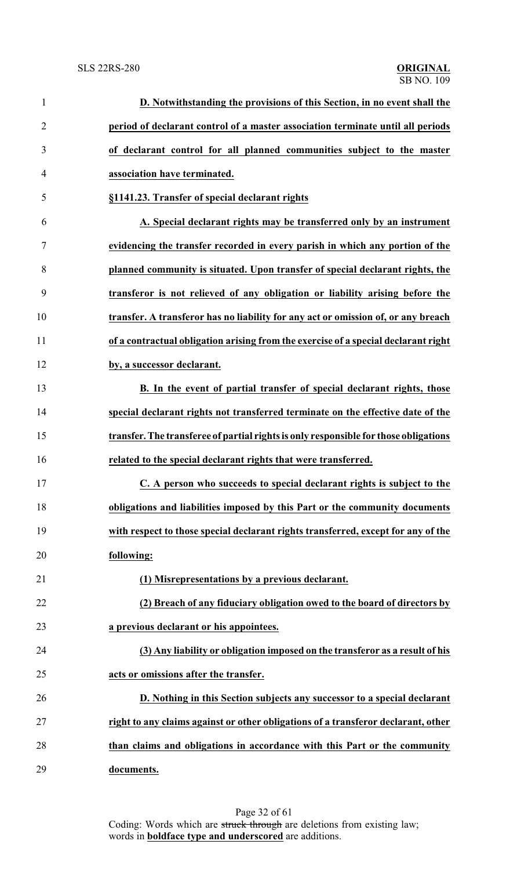| $\mathbf{1}$   | D. Notwithstanding the provisions of this Section, in no event shall the             |
|----------------|--------------------------------------------------------------------------------------|
| $\overline{2}$ | period of declarant control of a master association terminate until all periods      |
| 3              | of declarant control for all planned communities subject to the master               |
| $\overline{4}$ | association have terminated.                                                         |
| 5              | §1141.23. Transfer of special declarant rights                                       |
| 6              | A. Special declarant rights may be transferred only by an instrument                 |
| 7              | evidencing the transfer recorded in every parish in which any portion of the         |
| 8              | planned community is situated. Upon transfer of special declarant rights, the        |
| 9              | transferor is not relieved of any obligation or liability arising before the         |
| 10             | transfer. A transferor has no liability for any act or omission of, or any breach    |
| 11             | of a contractual obligation arising from the exercise of a special declarant right   |
| 12             | by, a successor declarant.                                                           |
| 13             | <b>B.</b> In the event of partial transfer of special declarant rights, those        |
| 14             | special declarant rights not transferred terminate on the effective date of the      |
| 15             | transfer. The transferee of partial rights is only responsible for those obligations |
| 16             | related to the special declarant rights that were transferred.                       |
| 17             | C. A person who succeeds to special declarant rights is subject to the               |
| 18             | obligations and liabilities imposed by this Part or the community documents          |
| 19             | with respect to those special declarant rights transferred, except for any of the    |
| 20             | following:                                                                           |
| 21             | (1) Misrepresentations by a previous declarant.                                      |
| 22             | (2) Breach of any fiduciary obligation owed to the board of directors by             |
| 23             | a previous declarant or his appointees.                                              |
| 24             | (3) Any liability or obligation imposed on the transferor as a result of his         |
| 25             | acts or omissions after the transfer.                                                |
| 26             | D. Nothing in this Section subjects any successor to a special declarant             |
| 27             | right to any claims against or other obligations of a transferor declarant, other    |
| 28             | than claims and obligations in accordance with this Part or the community            |
| 29             | documents.                                                                           |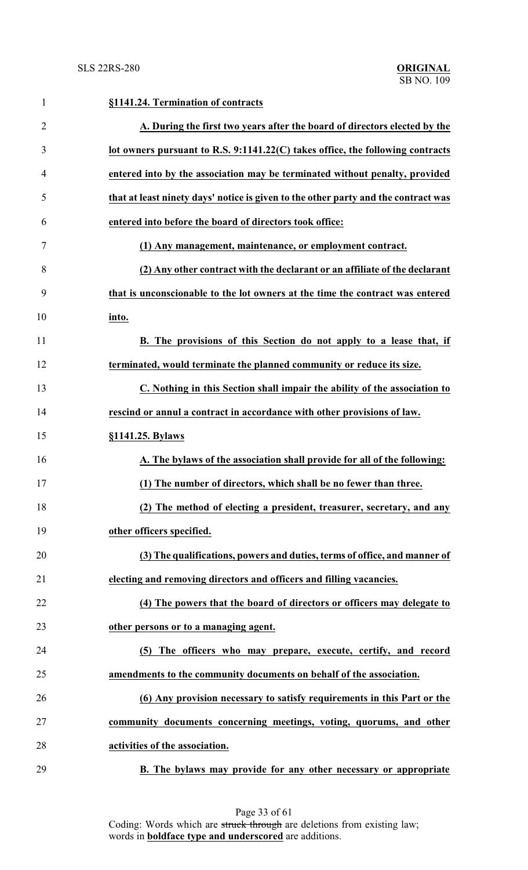| $\mathbf{1}$   | §1141.24. Termination of contracts                                                 |
|----------------|------------------------------------------------------------------------------------|
| $\overline{2}$ | A. During the first two years after the board of directors elected by the          |
| 3              | lot owners pursuant to R.S. 9:1141.22(C) takes office, the following contracts     |
| $\overline{4}$ | entered into by the association may be terminated without penalty, provided        |
| 5              | that at least ninety days' notice is given to the other party and the contract was |
| 6              | entered into before the board of directors took office:                            |
| 7              | (1) Any management, maintenance, or employment contract.                           |
| 8              | (2) Any other contract with the declarant or an affiliate of the declarant         |
| 9              | that is unconscionable to the lot owners at the time the contract was entered      |
| 10             | into.                                                                              |
| 11             | B. The provisions of this Section do not apply to a lease that, if                 |
| 12             | terminated, would terminate the planned community or reduce its size.              |
| 13             | C. Nothing in this Section shall impair the ability of the association to          |
| 14             | rescind or annul a contract in accordance with other provisions of law.            |
| 15             | §1141.25. Bylaws                                                                   |
| 16             | A. The bylaws of the association shall provide for all of the following:           |
| 17             | (1) The number of directors, which shall be no fewer than three.                   |
| 18             | (2) The method of electing a president, treasurer, secretary, and any              |
| 19             | other officers specified.                                                          |
| 20             | (3) The qualifications, powers and duties, terms of office, and manner of          |
| 21             | electing and removing directors and officers and filling vacancies.                |
| 22             | (4) The powers that the board of directors or officers may delegate to             |
| 23             | other persons or to a managing agent.                                              |
| 24             | (5) The officers who may prepare, execute, certify, and record                     |
| 25             | amendments to the community documents on behalf of the association.                |
| 26             | (6) Any provision necessary to satisfy requirements in this Part or the            |
| 27             | community documents concerning meetings, voting, quorums, and other                |
| 28             | activities of the association.                                                     |
| 29             | B. The bylaws may provide for any other necessary or appropriate                   |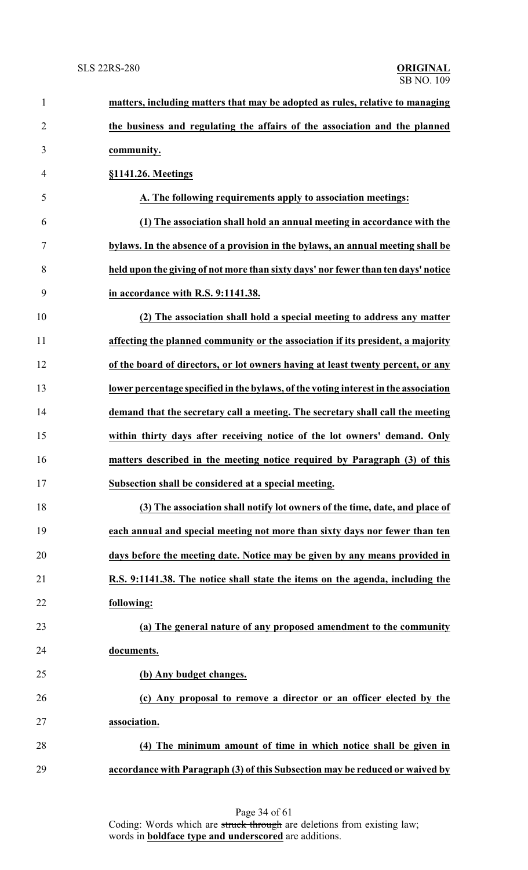| $\mathbf{1}$   | matters, including matters that may be adopted as rules, relative to managing       |
|----------------|-------------------------------------------------------------------------------------|
| $\overline{c}$ | the business and regulating the affairs of the association and the planned          |
| $\mathfrak{Z}$ | community.                                                                          |
| 4              | §1141.26. Meetings                                                                  |
| 5              | A. The following requirements apply to association meetings:                        |
| 6              | (1) The association shall hold an annual meeting in accordance with the             |
| 7              | bylaws. In the absence of a provision in the bylaws, an annual meeting shall be     |
| 8              | held upon the giving of not more than sixty days' nor fewer than ten days' notice   |
| 9              | in accordance with R.S. 9:1141.38.                                                  |
| 10             | (2) The association shall hold a special meeting to address any matter              |
| 11             | affecting the planned community or the association if its president, a majority     |
| 12             | of the board of directors, or lot owners having at least twenty percent, or any     |
| 13             | lower percentage specified in the bylaws, of the voting interest in the association |
| 14             | demand that the secretary call a meeting. The secretary shall call the meeting      |
| 15             | within thirty days after receiving notice of the lot owners' demand. Only           |
| 16             | matters described in the meeting notice required by Paragraph (3) of this           |
| 17             | Subsection shall be considered at a special meeting.                                |
| 18             | (3) The association shall notify lot owners of the time, date, and place of         |
| 19             | each annual and special meeting not more than sixty days nor fewer than ten         |
| 20             | days before the meeting date. Notice may be given by any means provided in          |
| 21             | R.S. 9:1141.38. The notice shall state the items on the agenda, including the       |
| 22             | following:                                                                          |
| 23             | (a) The general nature of any proposed amendment to the community                   |
| 24             | documents.                                                                          |
| 25             | (b) Any budget changes.                                                             |
| 26             | (c) Any proposal to remove a director or an officer elected by the                  |
| 27             | association.                                                                        |
| 28             | (4) The minimum amount of time in which notice shall be given in                    |
| 29             | accordance with Paragraph (3) of this Subsection may be reduced or waived by        |
|                |                                                                                     |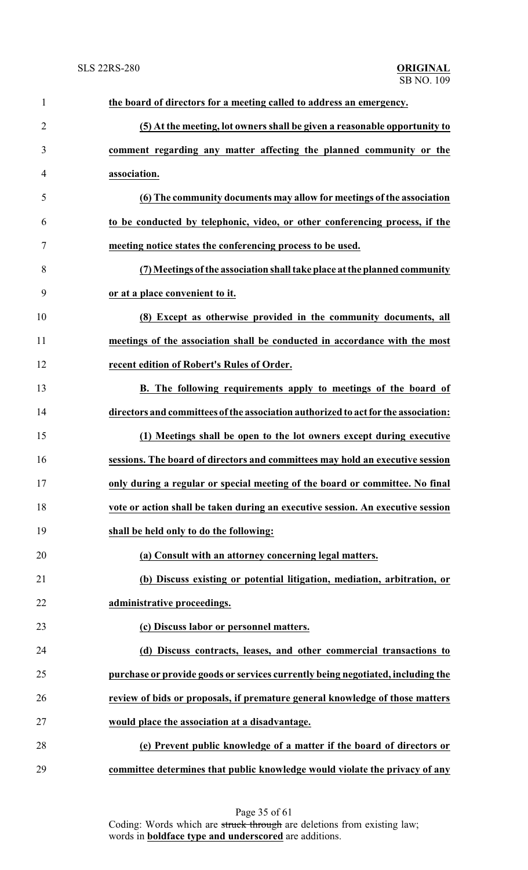| $\mathbf{1}$   | the board of directors for a meeting called to address an emergency.               |
|----------------|------------------------------------------------------------------------------------|
| $\overline{2}$ | (5) At the meeting, lot owners shall be given a reasonable opportunity to          |
| 3              | comment regarding any matter affecting the planned community or the                |
| $\overline{4}$ | association.                                                                       |
| 5              | (6) The community documents may allow for meetings of the association              |
| 6              | to be conducted by telephonic, video, or other conferencing process, if the        |
| 7              | meeting notice states the conferencing process to be used.                         |
| 8              | (7) Meetings of the association shall take place at the planned community          |
| 9              | or at a place convenient to it.                                                    |
| 10             | (8) Except as otherwise provided in the community documents, all                   |
| 11             | meetings of the association shall be conducted in accordance with the most         |
| 12             | recent edition of Robert's Rules of Order.                                         |
| 13             | <b>B.</b> The following requirements apply to meetings of the board of             |
| 14             | directors and committees of the association authorized to act for the association: |
| 15             | (1) Meetings shall be open to the lot owners except during executive               |
| 16             | sessions. The board of directors and committees may hold an executive session      |
| 17             | only during a regular or special meeting of the board or committee. No final       |
| 18             | vote or action shall be taken during an executive session. An executive session    |
| 19             | shall be held only to do the following:                                            |
| 20             | (a) Consult with an attorney concerning legal matters.                             |
| 21             | (b) Discuss existing or potential litigation, mediation, arbitration, or           |
| 22             | administrative proceedings.                                                        |
| 23             | (c) Discuss labor or personnel matters.                                            |
| 24             | (d) Discuss contracts, leases, and other commercial transactions to                |
| 25             | purchase or provide goods or services currently being negotiated, including the    |
| 26             | review of bids or proposals, if premature general knowledge of those matters       |
| 27             | would place the association at a disadvantage.                                     |
| 28             | (e) Prevent public knowledge of a matter if the board of directors or              |
| 29             | committee determines that public knowledge would violate the privacy of any        |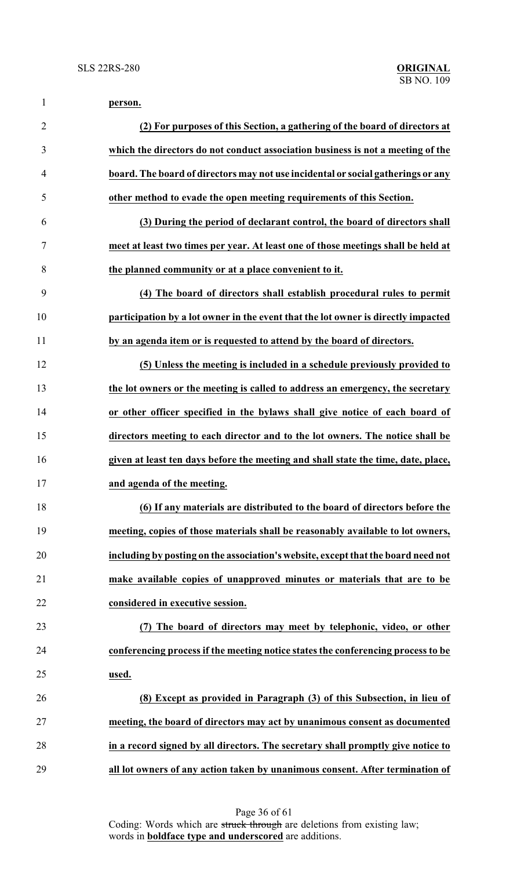| 1              | person.                                                                           |
|----------------|-----------------------------------------------------------------------------------|
| $\overline{2}$ | (2) For purposes of this Section, a gathering of the board of directors at        |
| 3              | which the directors do not conduct association business is not a meeting of the   |
| 4              | board. The board of directors may not use incidental or social gatherings or any  |
| 5              | other method to evade the open meeting requirements of this Section.              |
| 6              | (3) During the period of declarant control, the board of directors shall          |
| 7              | meet at least two times per year. At least one of those meetings shall be held at |
| 8              | the planned community or at a place convenient to it.                             |
| 9              | (4) The board of directors shall establish procedural rules to permit             |
| 10             | participation by a lot owner in the event that the lot owner is directly impacted |
| 11             | by an agenda item or is requested to attend by the board of directors.            |
| 12             | (5) Unless the meeting is included in a schedule previously provided to           |
| 13             | the lot owners or the meeting is called to address an emergency, the secretary    |
| 14             | or other officer specified in the bylaws shall give notice of each board of       |
| 15             | directors meeting to each director and to the lot owners. The notice shall be     |
| 16             | given at least ten days before the meeting and shall state the time, date, place, |
| 17             | and agenda of the meeting.                                                        |
| 18             | (6) If any materials are distributed to the board of directors before the         |
| 19             | meeting, copies of those materials shall be reasonably available to lot owners,   |
| 20             | including by posting on the association's website, except that the board need not |
| 21             | make available copies of unapproved minutes or materials that are to be           |
| 22             | considered in executive session.                                                  |
| 23             | (7) The board of directors may meet by telephonic, video, or other                |
| 24             | conferencing process if the meeting notice states the conferencing process to be  |
| 25             | used.                                                                             |
| 26             | (8) Except as provided in Paragraph (3) of this Subsection, in lieu of            |
| 27             | meeting, the board of directors may act by unanimous consent as documented        |
| 28             | in a record signed by all directors. The secretary shall promptly give notice to  |
| 29             | all lot owners of any action taken by unanimous consent. After termination of     |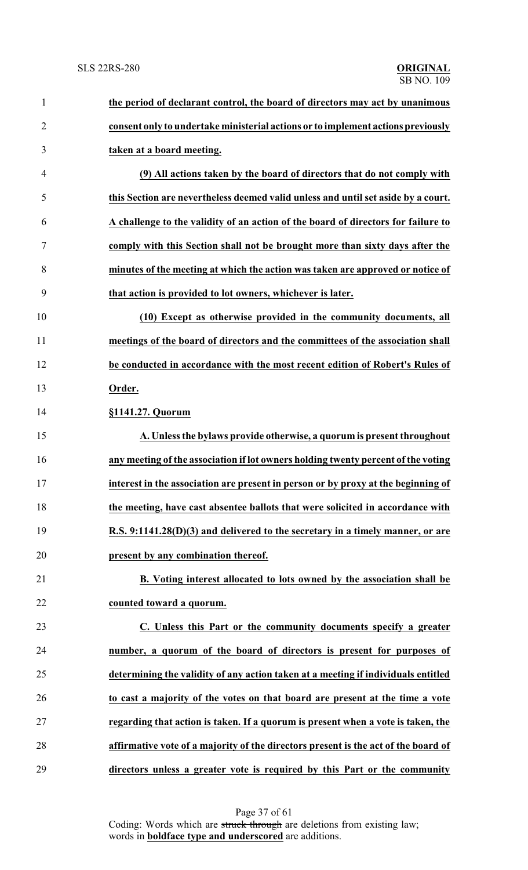| $\mathbf{1}$   | the period of declarant control, the board of directors may act by unanimous       |
|----------------|------------------------------------------------------------------------------------|
| $\overline{2}$ | consent only to undertake ministerial actions or to implement actions previously   |
| 3              | taken at a board meeting.                                                          |
| 4              | (9) All actions taken by the board of directors that do not comply with            |
| 5              | this Section are nevertheless deemed valid unless and until set aside by a court.  |
| 6              | A challenge to the validity of an action of the board of directors for failure to  |
| 7              | comply with this Section shall not be brought more than sixty days after the       |
| 8              | minutes of the meeting at which the action was taken are approved or notice of     |
| 9              | that action is provided to lot owners, whichever is later.                         |
| 10             | (10) Except as otherwise provided in the community documents, all                  |
| 11             | meetings of the board of directors and the committees of the association shall     |
| 12             | be conducted in accordance with the most recent edition of Robert's Rules of       |
| 13             | Order.                                                                             |
| 14             | §1141.27. Quorum                                                                   |
| 15             | A. Unless the bylaws provide otherwise, a quorum is present throughout             |
| 16             | any meeting of the association if lot owners holding twenty percent of the voting  |
| 17             | interest in the association are present in person or by proxy at the beginning of  |
| 18             | the meeting, have cast absentee ballots that were solicited in accordance with     |
| 19             | R.S. 9:1141.28(D)(3) and delivered to the secretary in a timely manner, or are     |
| 20             | present by any combination thereof.                                                |
| 21             | B. Voting interest allocated to lots owned by the association shall be             |
| 22             | counted toward a quorum.                                                           |
| 23             | C. Unless this Part or the community documents specify a greater                   |
| 24             | number, a quorum of the board of directors is present for purposes of              |
| 25             | determining the validity of any action taken at a meeting if individuals entitled  |
| 26             | to cast a majority of the votes on that board are present at the time a vote       |
| 27             | regarding that action is taken. If a quorum is present when a vote is taken, the   |
| 28             | affirmative vote of a majority of the directors present is the act of the board of |
| 29             | directors unless a greater vote is required by this Part or the community          |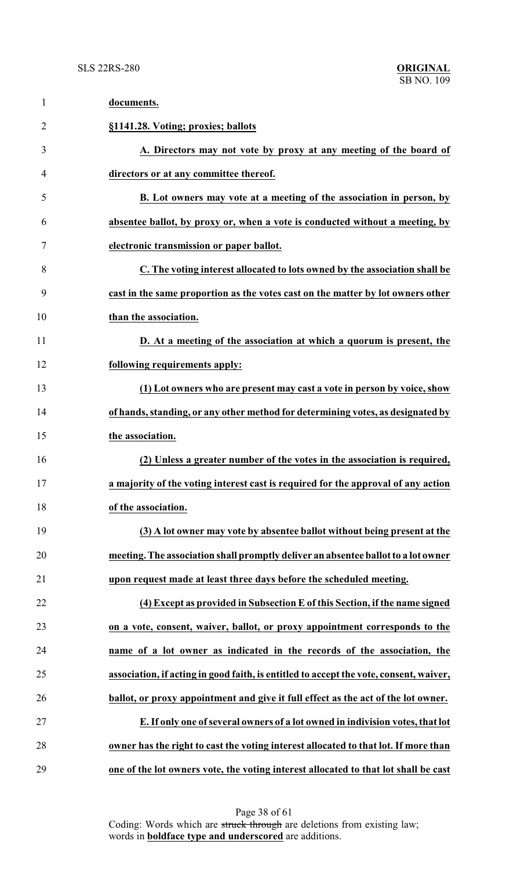| $\mathbf{1}$   | documents.                                                                             |
|----------------|----------------------------------------------------------------------------------------|
| $\overline{2}$ | §1141.28. Voting; proxies; ballots                                                     |
| 3              | A. Directors may not vote by proxy at any meeting of the board of                      |
| 4              | directors or at any committee thereof.                                                 |
| 5              | B. Lot owners may vote at a meeting of the association in person, by                   |
| 6              | absentee ballot, by proxy or, when a vote is conducted without a meeting, by           |
| 7              | electronic transmission or paper ballot.                                               |
| 8              | C. The voting interest allocated to lots owned by the association shall be             |
| 9              | cast in the same proportion as the votes cast on the matter by lot owners other        |
| 10             | than the association.                                                                  |
| 11             | D. At a meeting of the association at which a quorum is present, the                   |
| 12             | following requirements apply:                                                          |
| 13             | (1) Lot owners who are present may cast a vote in person by voice, show                |
| 14             | of hands, standing, or any other method for determining votes, as designated by        |
| 15             | the association.                                                                       |
| 16             | (2) Unless a greater number of the votes in the association is required,               |
| 17             | a majority of the voting interest cast is required for the approval of any action      |
| 18             | of the association.                                                                    |
| 19             | (3) A lot owner may vote by absentee ballot without being present at the               |
| 20             | meeting. The association shall promptly deliver an absentee ballot to a lot owner      |
| 21             | upon request made at least three days before the scheduled meeting.                    |
| 22             | (4) Except as provided in Subsection E of this Section, if the name signed             |
| 23             | on a vote, consent, waiver, ballot, or proxy appointment corresponds to the            |
| 24             | name of a lot owner as indicated in the records of the association, the                |
| 25             | association, if acting in good faith, is entitled to accept the vote, consent, waiver, |
| 26             | ballot, or proxy appointment and give it full effect as the act of the lot owner.      |
| 27             | E. If only one of several owners of a lot owned in indivision votes, that lot          |
| 28             | owner has the right to cast the voting interest allocated to that lot. If more than    |
| 29             | one of the lot owners vote, the voting interest allocated to that lot shall be cast    |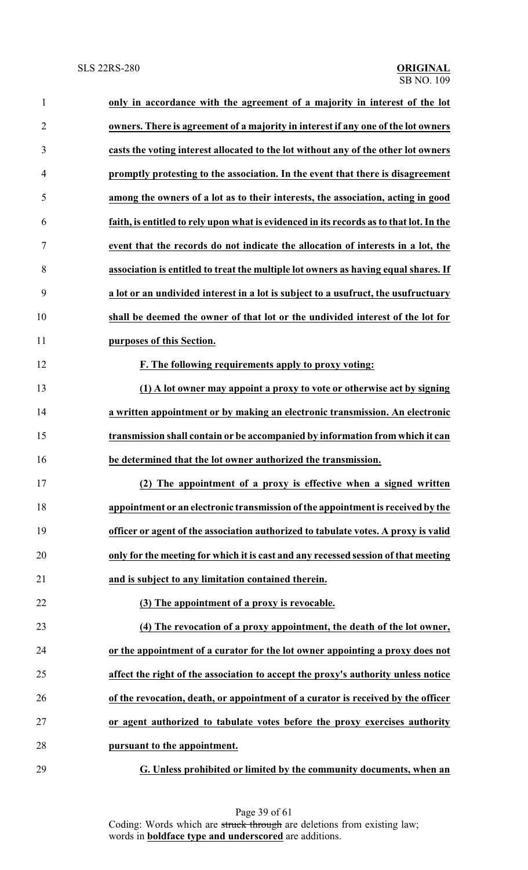| 1              | only in accordance with the agreement of a majority in interest of the lot              |
|----------------|-----------------------------------------------------------------------------------------|
| $\overline{2}$ | owners. There is agreement of a majority in interest if any one of the lot owners       |
| 3              | casts the voting interest allocated to the lot without any of the other lot owners      |
| 4              | promptly protesting to the association. In the event that there is disagreement         |
| 5              | among the owners of a lot as to their interests, the association, acting in good        |
| 6              | faith, is entitled to rely upon what is evidenced in its records as to that lot. In the |
| 7              | event that the records do not indicate the allocation of interests in a lot, the        |
| 8              | association is entitled to treat the multiple lot owners as having equal shares. If     |
| 9              | a lot or an undivided interest in a lot is subject to a usufruct, the usufructuary      |
| 10             | shall be deemed the owner of that lot or the undivided interest of the lot for          |
| 11             | purposes of this Section.                                                               |
| 12             | F. The following requirements apply to proxy voting:                                    |
| 13             | (1) A lot owner may appoint a proxy to vote or otherwise act by signing                 |
| 14             | a written appointment or by making an electronic transmission. An electronic            |
| 15             | transmission shall contain or be accompanied by information from which it can           |
| 16             | be determined that the lot owner authorized the transmission.                           |
| 17             | (2) The appointment of a proxy is effective when a signed written                       |
| 18             | appointment or an electronic transmission of the appointment is received by the         |
| 19             | officer or agent of the association authorized to tabulate votes. A proxy is valid      |
| 20             | only for the meeting for which it is cast and any recessed session of that meeting      |
| 21             | and is subject to any limitation contained therein.                                     |
| 22             | (3) The appointment of a proxy is revocable.                                            |
| 23             | (4) The revocation of a proxy appointment, the death of the lot owner,                  |
| 24             | or the appointment of a curator for the lot owner appointing a proxy does not           |
| 25             | affect the right of the association to accept the proxy's authority unless notice       |
| 26             | of the revocation, death, or appointment of a curator is received by the officer        |
| 27             | or agent authorized to tabulate votes before the proxy exercises authority              |
| 28             | pursuant to the appointment.                                                            |
| 29             | G. Unless prohibited or limited by the community documents, when an                     |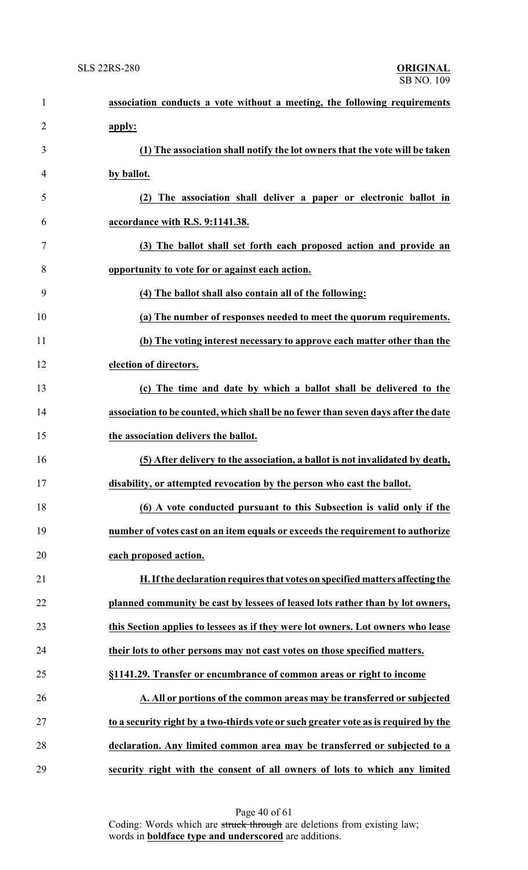| $\mathbf{1}$   | association conducts a vote without a meeting, the following requirements           |
|----------------|-------------------------------------------------------------------------------------|
| $\overline{2}$ | apply:                                                                              |
| 3              | (1) The association shall notify the lot owners that the vote will be taken         |
| $\overline{4}$ | by ballot.                                                                          |
| 5              | (2) The association shall deliver a paper or electronic ballot in                   |
| 6              | accordance with R.S. 9:1141.38.                                                     |
| 7              | (3) The ballot shall set forth each proposed action and provide an                  |
| 8              | opportunity to vote for or against each action.                                     |
| 9              | (4) The ballot shall also contain all of the following:                             |
| 10             | (a) The number of responses needed to meet the quorum requirements.                 |
| 11             | (b) The voting interest necessary to approve each matter other than the             |
| 12             | election of directors.                                                              |
| 13             | (c) The time and date by which a ballot shall be delivered to the                   |
| 14             | association to be counted, which shall be no fewer than seven days after the date   |
| 15             | the association delivers the ballot.                                                |
| 16             | (5) After delivery to the association, a ballot is not invalidated by death,        |
| 17             | disability, or attempted revocation by the person who cast the ballot.              |
| 18             | (6) A vote conducted pursuant to this Subsection is valid only if the               |
| 19             | number of votes cast on an item equals or exceeds the requirement to authorize      |
| 20             | each proposed action.                                                               |
| 21             | H. If the declaration requires that votes on specified matters affecting the        |
| 22             | planned community be cast by lessees of leased lots rather than by lot owners,      |
| 23             | this Section applies to lessees as if they were lot owners. Lot owners who lease    |
| 24             | their lots to other persons may not cast votes on those specified matters.          |
| 25             | §1141.29. Transfer or encumbrance of common areas or right to income                |
| 26             | A. All or portions of the common areas may be transferred or subjected              |
| 27             | to a security right by a two-thirds vote or such greater vote as is required by the |
| 28             | declaration. Any limited common area may be transferred or subjected to a           |
| 29             | security right with the consent of all owners of lots to which any limited          |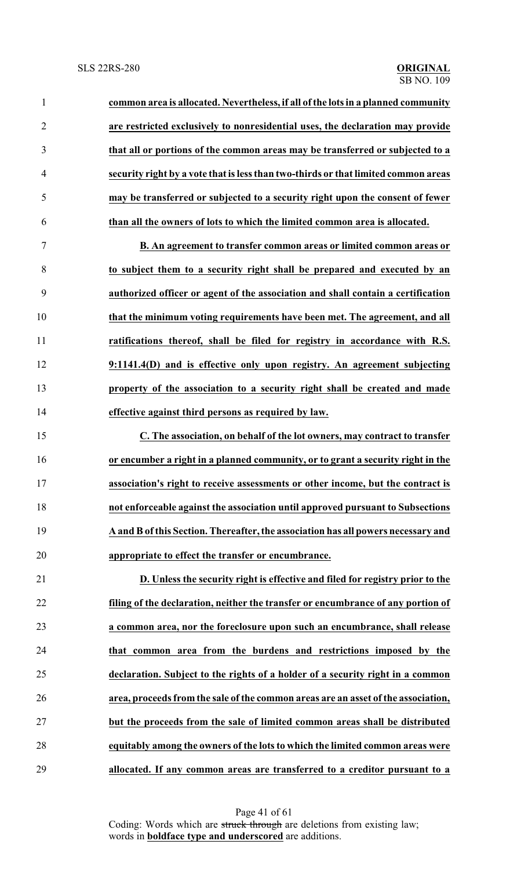**common area is allocated. Nevertheless, if all of the lots in a planned community are restricted exclusively to nonresidential uses, the declaration may provide that all or portions of the common areas may be transferred or subjected to a security right by a vote that is less than two-thirds or that limited common areas may be transferred or subjected to a security right upon the consent of fewer than all the owners of lots to which the limited common area is allocated.**

 **B. An agreement to transfer common areas or limited common areas or to subject them to a security right shall be prepared and executed by an authorized officer or agent of the association and shall contain a certification that the minimum voting requirements have been met. The agreement, and all ratifications thereof, shall be filed for registry in accordance with R.S. 9:1141.4(D) and is effective only upon registry. An agreement subjecting property of the association to a security right shall be created and made effective against third persons as required by law.**

 **C. The association, on behalf of the lot owners, may contract to transfer or encumber a right in a planned community, or to grant a security right in the association's right to receive assessments or other income, but the contract is not enforceable against the association until approved pursuant to Subsections A and B of this Section. Thereafter, the association has all powers necessary and appropriate to effect the transfer or encumbrance.**

 **D. Unless the security right is effective and filed for registry prior to the filing of the declaration, neither the transfer or encumbrance of any portion of a common area, nor the foreclosure upon such an encumbrance, shall release that common area from the burdens and restrictions imposed by the declaration. Subject to the rights of a holder of a security right in a common area, proceeds from the sale of the common areas are an asset of the association, but the proceeds from the sale of limited common areas shall be distributed equitably among the owners of the lots to which the limited common areas were allocated. If any common areas are transferred to a creditor pursuant to a**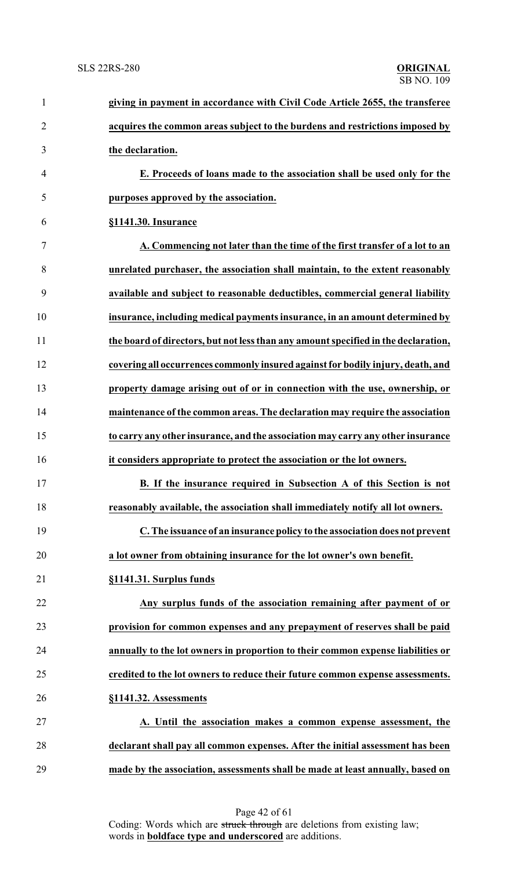| $\mathbf{1}$   | giving in payment in accordance with Civil Code Article 2655, the transferee       |
|----------------|------------------------------------------------------------------------------------|
| $\overline{2}$ | acquires the common areas subject to the burdens and restrictions imposed by       |
| 3              | the declaration.                                                                   |
| 4              | E. Proceeds of loans made to the association shall be used only for the            |
| 5              | purposes approved by the association.                                              |
| 6              | §1141.30. Insurance                                                                |
| 7              | A. Commencing not later than the time of the first transfer of a lot to an         |
| 8              | unrelated purchaser, the association shall maintain, to the extent reasonably      |
| 9              | available and subject to reasonable deductibles, commercial general liability      |
| 10             | insurance, including medical payments insurance, in an amount determined by        |
| 11             | the board of directors, but not less than any amount specified in the declaration, |
| 12             | covering all occurrences commonly insured against for bodily injury, death, and    |
| 13             | property damage arising out of or in connection with the use, ownership, or        |
| 14             | maintenance of the common areas. The declaration may require the association       |
| 15             | to carry any other insurance, and the association may carry any other insurance    |
| 16             | it considers appropriate to protect the association or the lot owners.             |
| 17             | B. If the insurance required in Subsection A of this Section is not                |
| 18             | reasonably available, the association shall immediately notify all lot owners.     |
| 19             | C. The issuance of an insurance policy to the association does not prevent         |
| 20             | a lot owner from obtaining insurance for the lot owner's own benefit.              |
| 21             | §1141.31. Surplus funds                                                            |
| 22             | Any surplus funds of the association remaining after payment of or                 |
| 23             | provision for common expenses and any prepayment of reserves shall be paid         |
| 24             | annually to the lot owners in proportion to their common expense liabilities or    |
| 25             | credited to the lot owners to reduce their future common expense assessments.      |
| 26             | §1141.32. Assessments                                                              |
| 27             | A. Until the association makes a common expense assessment, the                    |
| 28             | declarant shall pay all common expenses. After the initial assessment has been     |
| 29             | made by the association, assessments shall be made at least annually, based on     |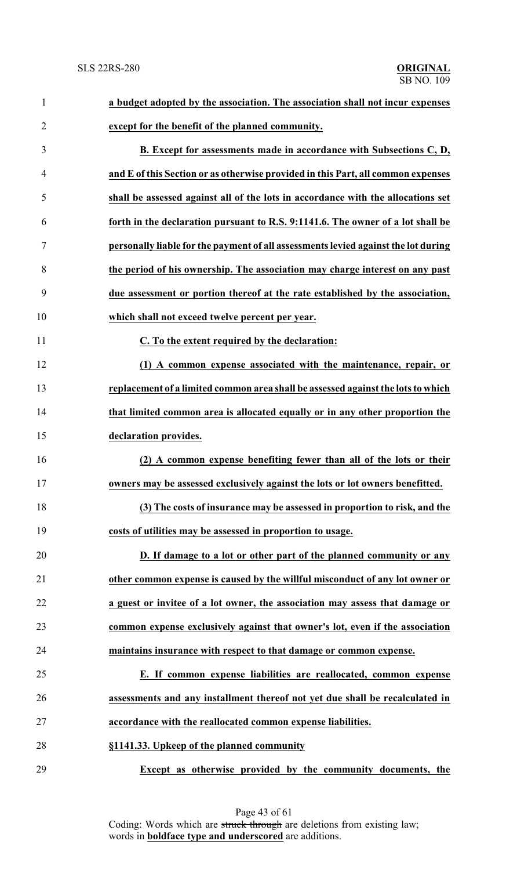| $\mathbf{1}$   | a budget adopted by the association. The association shall not incur expenses      |
|----------------|------------------------------------------------------------------------------------|
| $\overline{2}$ | except for the benefit of the planned community.                                   |
| 3              | <b>B.</b> Except for assessments made in accordance with Subsections C, D,         |
| $\overline{4}$ | and E of this Section or as otherwise provided in this Part, all common expenses   |
| 5              | shall be assessed against all of the lots in accordance with the allocations set   |
| 6              | forth in the declaration pursuant to R.S. 9:1141.6. The owner of a lot shall be    |
| $\overline{7}$ | personally liable for the payment of all assessments levied against the lot during |
| 8              | the period of his ownership. The association may charge interest on any past       |
| 9              | due assessment or portion thereof at the rate established by the association,      |
| 10             | which shall not exceed twelve percent per year.                                    |
| 11             | C. To the extent required by the declaration:                                      |
| 12             | (1) A common expense associated with the maintenance, repair, or                   |
| 13             | replacement of a limited common area shall be assessed against the lots to which   |
| 14             | that limited common area is allocated equally or in any other proportion the       |
| 15             | declaration provides.                                                              |
| 16             | (2) A common expense benefiting fewer than all of the lots or their                |
| 17             | owners may be assessed exclusively against the lots or lot owners benefitted.      |
| 18             | (3) The costs of insurance may be assessed in proportion to risk, and the          |
| 19             | costs of utilities may be assessed in proportion to usage.                         |
| 20             | D. If damage to a lot or other part of the planned community or any                |
| 21             | other common expense is caused by the willful misconduct of any lot owner or       |
| 22             | a guest or invitee of a lot owner, the association may assess that damage or       |
| 23             | common expense exclusively against that owner's lot, even if the association       |
| 24             | maintains insurance with respect to that damage or common expense.                 |
| 25             | E. If common expense liabilities are reallocated, common expense                   |
| 26             | assessments and any installment thereof not yet due shall be recalculated in       |
| 27             | accordance with the reallocated common expense liabilities.                        |
| 28             | §1141.33. Upkeep of the planned community                                          |
| 29             | Except as otherwise provided by the community documents, the                       |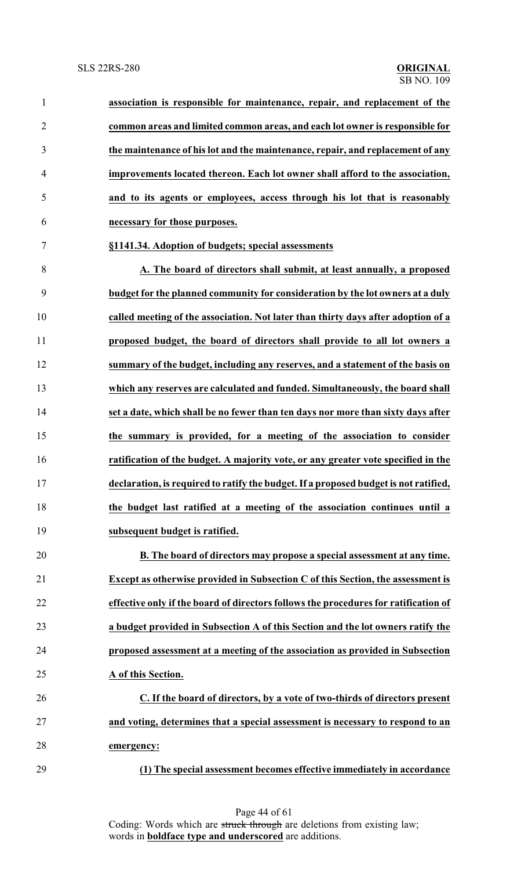| $\mathbf{1}$   | association is responsible for maintenance, repair, and replacement of the           |
|----------------|--------------------------------------------------------------------------------------|
| $\overline{2}$ | common areas and limited common areas, and each lot owner is responsible for         |
| 3              | the maintenance of his lot and the maintenance, repair, and replacement of any       |
| 4              | improvements located thereon. Each lot owner shall afford to the association,        |
| 5              | and to its agents or employees, access through his lot that is reasonably            |
| 6              | necessary for those purposes.                                                        |
| 7              | §1141.34. Adoption of budgets; special assessments                                   |
| 8              | A. The board of directors shall submit, at least annually, a proposed                |
| 9              | budget for the planned community for consideration by the lot owners at a duly       |
| 10             | called meeting of the association. Not later than thirty days after adoption of a    |
| 11             | proposed budget, the board of directors shall provide to all lot owners a            |
| 12             | summary of the budget, including any reserves, and a statement of the basis on       |
| 13             | which any reserves are calculated and funded. Simultaneously, the board shall        |
| 14             | set a date, which shall be no fewer than ten days nor more than sixty days after     |
| 15             | the summary is provided, for a meeting of the association to consider                |
| 16             | ratification of the budget. A majority vote, or any greater vote specified in the    |
| 17             | declaration, is required to ratify the budget. If a proposed budget is not ratified, |
| 18             | the budget last ratified at a meeting of the association continues until a           |
| 19             | subsequent budget is ratified.                                                       |
| 20             | B. The board of directors may propose a special assessment at any time.              |
| 21             | Except as otherwise provided in Subsection C of this Section, the assessment is      |
| 22             | effective only if the board of directors follows the procedures for ratification of  |
| 23             | a budget provided in Subsection A of this Section and the lot owners ratify the      |
| 24             | proposed assessment at a meeting of the association as provided in Subsection        |
| 25             | A of this Section.                                                                   |
| 26             | C. If the board of directors, by a vote of two-thirds of directors present           |
| 27             | and voting, determines that a special assessment is necessary to respond to an       |
| 28             | emergency:                                                                           |
| 29             | (1) The special assessment becomes effective immediately in accordance               |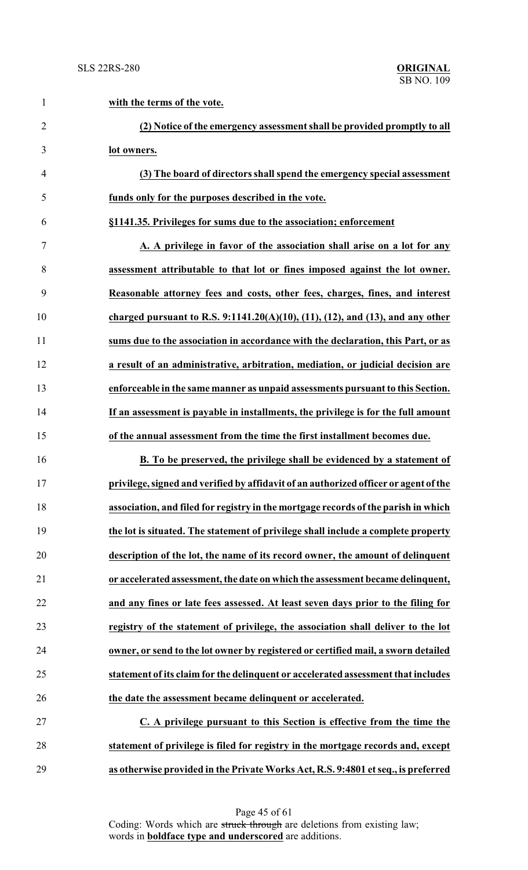| $\mathbf{1}$   | with the terms of the vote.                                                          |
|----------------|--------------------------------------------------------------------------------------|
| $\overline{2}$ | (2) Notice of the emergency assessment shall be provided promptly to all             |
| 3              | lot owners.                                                                          |
| $\overline{4}$ | (3) The board of directors shall spend the emergency special assessment              |
| 5              | funds only for the purposes described in the vote.                                   |
| 6              | §1141.35. Privileges for sums due to the association; enforcement                    |
| $\tau$         | A. A privilege in favor of the association shall arise on a lot for any              |
| 8              | assessment attributable to that lot or fines imposed against the lot owner.          |
| 9              | Reasonable attorney fees and costs, other fees, charges, fines, and interest         |
| 10             | charged pursuant to R.S. $9:1141.20(A)(10), (11), (12),$ and (13), and any other     |
| 11             | sums due to the association in accordance with the declaration, this Part, or as     |
| 12             | a result of an administrative, arbitration, mediation, or judicial decision are      |
| 13             | enforceable in the same manner as unpaid assessments pursuant to this Section.       |
| 14             | If an assessment is payable in installments, the privilege is for the full amount    |
| 15             | of the annual assessment from the time the first installment becomes due.            |
| 16             | B. To be preserved, the privilege shall be evidenced by a statement of               |
| 17             | privilege, signed and verified by affidavit of an authorized officer or agent of the |
| 18             | association, and filed for registry in the mortgage records of the parish in which   |
| 19             | the lot is situated. The statement of privilege shall include a complete property    |
| 20             | description of the lot, the name of its record owner, the amount of delinquent       |
| 21             | or accelerated assessment, the date on which the assessment became delinquent,       |
| 22             | and any fines or late fees assessed. At least seven days prior to the filing for     |
| 23             | registry of the statement of privilege, the association shall deliver to the lot     |
| 24             | owner, or send to the lot owner by registered or certified mail, a sworn detailed    |
| 25             | statement of its claim for the delinquent or accelerated assessment that includes    |
| 26             | the date the assessment became delinquent or accelerated.                            |
| 27             | C. A privilege pursuant to this Section is effective from the time the               |
| 28             | statement of privilege is filed for registry in the mortgage records and, except     |
| 29             | as otherwise provided in the Private Works Act, R.S. 9:4801 et seq., is preferred    |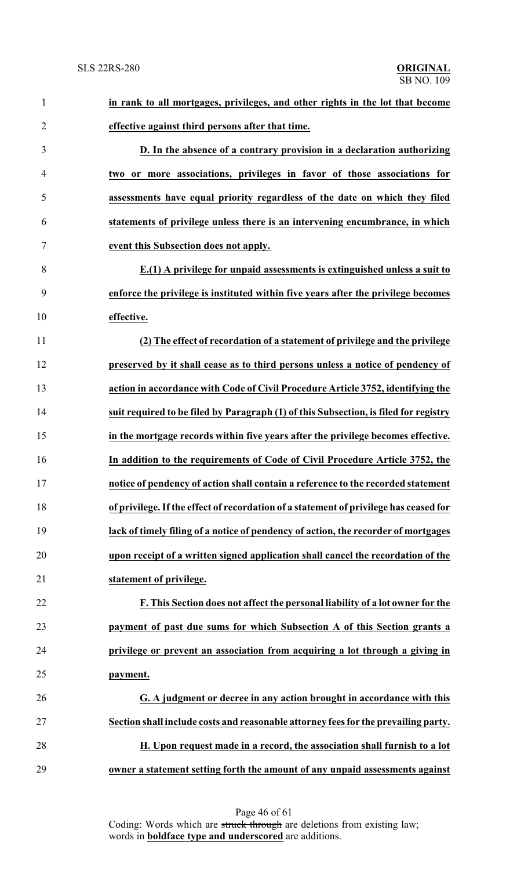| $\mathbf{1}$   | in rank to all mortgages, privileges, and other rights in the lot that become         |
|----------------|---------------------------------------------------------------------------------------|
| $\overline{2}$ | effective against third persons after that time.                                      |
| 3              | D. In the absence of a contrary provision in a declaration authorizing                |
| $\overline{4}$ | two or more associations, privileges in favor of those associations for               |
| 5              | assessments have equal priority regardless of the date on which they filed            |
| 6              | statements of privilege unless there is an intervening encumbrance, in which          |
| 7              | event this Subsection does not apply.                                                 |
| 8              | E.(1) A privilege for unpaid assessments is extinguished unless a suit to             |
| 9              | enforce the privilege is instituted within five years after the privilege becomes     |
| 10             | effective.                                                                            |
| 11             | (2) The effect of recordation of a statement of privilege and the privilege           |
| 12             | preserved by it shall cease as to third persons unless a notice of pendency of        |
| 13             | action in accordance with Code of Civil Procedure Article 3752, identifying the       |
| 14             | suit required to be filed by Paragraph (1) of this Subsection, is filed for registry  |
| 15             | in the mortgage records within five years after the privilege becomes effective.      |
| 16             | In addition to the requirements of Code of Civil Procedure Article 3752, the          |
| 17             | notice of pendency of action shall contain a reference to the recorded statement      |
| 18             | of privilege. If the effect of recordation of a statement of privilege has ceased for |
| 19             | lack of timely filing of a notice of pendency of action, the recorder of mortgages    |
| 20             | upon receipt of a written signed application shall cancel the recordation of the      |
| 21             | statement of privilege.                                                               |
| 22             | F. This Section does not affect the personal liability of a lot owner for the         |
| 23             | payment of past due sums for which Subsection A of this Section grants a              |
| 24             | privilege or prevent an association from acquiring a lot through a giving in          |
| 25             | payment.                                                                              |
| 26             | G. A judgment or decree in any action brought in accordance with this                 |
| 27             | Section shall include costs and reasonable attorney fees for the prevailing party.    |
| 28             | H. Upon request made in a record, the association shall furnish to a lot              |
| 29             | owner a statement setting forth the amount of any unpaid assessments against          |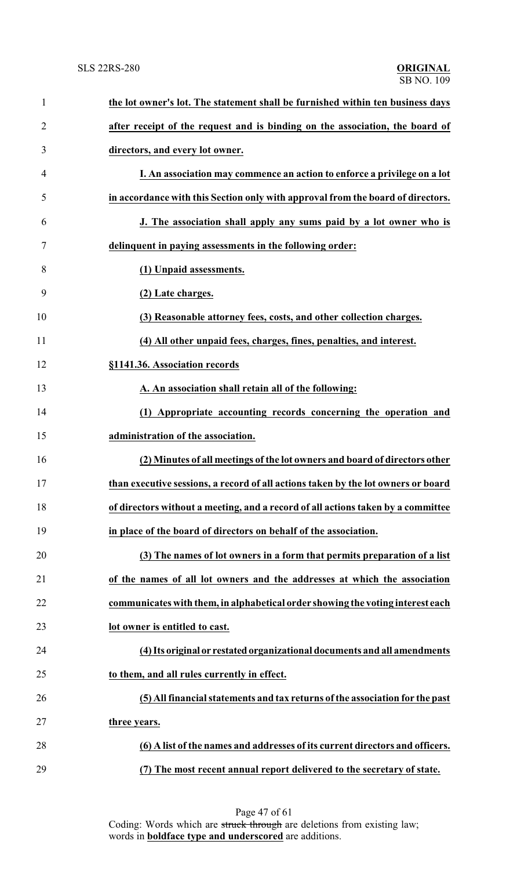| $\mathbf{1}$   | the lot owner's lot. The statement shall be furnished within ten business days    |
|----------------|-----------------------------------------------------------------------------------|
| $\overline{2}$ | after receipt of the request and is binding on the association, the board of      |
| 3              | directors, and every lot owner.                                                   |
| 4              | I. An association may commence an action to enforce a privilege on a lot          |
| 5              | in accordance with this Section only with approval from the board of directors.   |
| 6              | J. The association shall apply any sums paid by a lot owner who is                |
| 7              | delinquent in paying assessments in the following order:                          |
| 8              | (1) Unpaid assessments.                                                           |
| 9              | (2) Late charges.                                                                 |
| 10             | (3) Reasonable attorney fees, costs, and other collection charges.                |
| 11             | (4) All other unpaid fees, charges, fines, penalties, and interest.               |
| 12             | §1141.36. Association records                                                     |
| 13             | A. An association shall retain all of the following:                              |
| 14             | (1) Appropriate accounting records concerning the operation and                   |
| 15             | administration of the association.                                                |
| 16             | (2) Minutes of all meetings of the lot owners and board of directors other        |
| 17             | than executive sessions, a record of all actions taken by the lot owners or board |
| 18             | of directors without a meeting, and a record of all actions taken by a committee  |
| 19             | in place of the board of directors on behalf of the association.                  |
| 20             | (3) The names of lot owners in a form that permits preparation of a list          |
| 21             | of the names of all lot owners and the addresses at which the association         |
| 22             | communicates with them, in alphabetical order showing the voting interest each    |
| 23             | lot owner is entitled to cast.                                                    |
| 24             | (4) Its original or restated organizational documents and all amendments          |
| 25             | to them, and all rules currently in effect.                                       |
| 26             | (5) All financial statements and tax returns of the association for the past      |
| 27             | three years.                                                                      |
| 28             | (6) A list of the names and addresses of its current directors and officers.      |
| 29             | (7) The most recent annual report delivered to the secretary of state.            |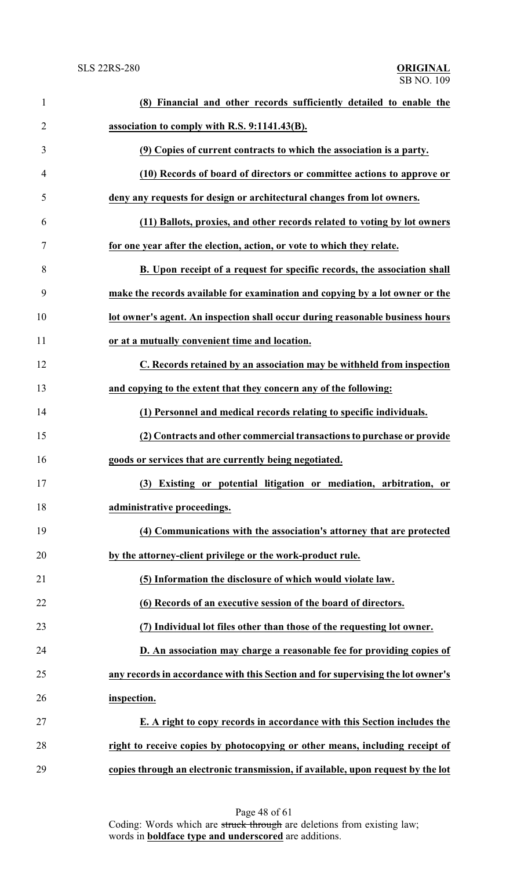| $\mathbf{1}$   | (8) Financial and other records sufficiently detailed to enable the              |
|----------------|----------------------------------------------------------------------------------|
| $\overline{2}$ | association to comply with R.S. 9:1141.43(B).                                    |
| 3              | (9) Copies of current contracts to which the association is a party.             |
| $\overline{4}$ | (10) Records of board of directors or committee actions to approve or            |
| 5              | deny any requests for design or architectural changes from lot owners.           |
| 6              | (11) Ballots, proxies, and other records related to voting by lot owners         |
| 7              | for one year after the election, action, or vote to which they relate.           |
| 8              | B. Upon receipt of a request for specific records, the association shall         |
| 9              | make the records available for examination and copying by a lot owner or the     |
| 10             | lot owner's agent. An inspection shall occur during reasonable business hours    |
| 11             | or at a mutually convenient time and location.                                   |
| 12             | C. Records retained by an association may be withheld from inspection            |
| 13             | and copying to the extent that they concern any of the following:                |
| 14             | (1) Personnel and medical records relating to specific individuals.              |
| 15             | (2) Contracts and other commercial transactions to purchase or provide           |
| 16             | goods or services that are currently being negotiated.                           |
| 17             | (3) Existing or potential litigation or mediation, arbitration, or               |
| 18             | administrative proceedings.                                                      |
| 19             | (4) Communications with the association's attorney that are protected            |
| 20             | by the attorney-client privilege or the work-product rule.                       |
| 21             | (5) Information the disclosure of which would violate law.                       |
| 22             | (6) Records of an executive session of the board of directors.                   |
| 23             | (7) Individual lot files other than those of the requesting lot owner.           |
| 24             | D. An association may charge a reasonable fee for providing copies of            |
| 25             | any records in accordance with this Section and for supervising the lot owner's  |
| 26             | inspection.                                                                      |
| 27             | E. A right to copy records in accordance with this Section includes the          |
| 28             | right to receive copies by photocopying or other means, including receipt of     |
| 29             | copies through an electronic transmission, if available, upon request by the lot |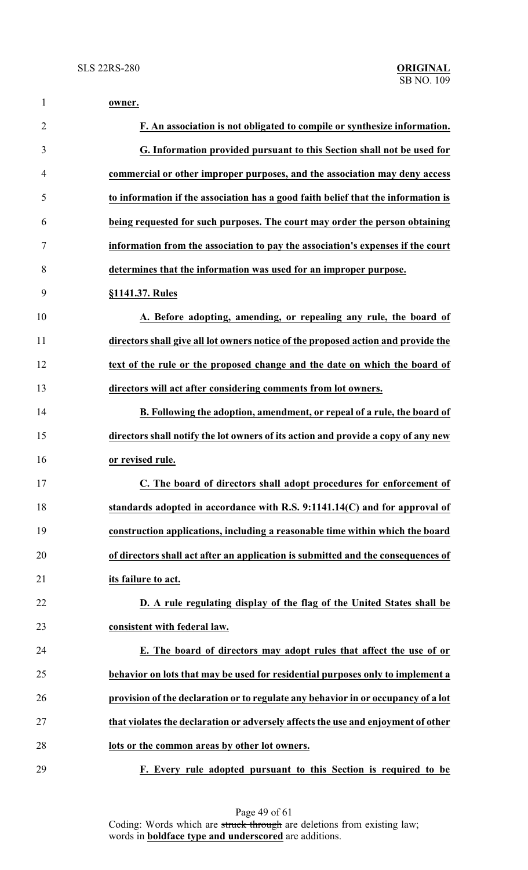| $\mathbf{1}$   | owner.                                                                            |
|----------------|-----------------------------------------------------------------------------------|
| $\overline{2}$ | F. An association is not obligated to compile or synthesize information.          |
| 3              | G. Information provided pursuant to this Section shall not be used for            |
| $\overline{4}$ | commercial or other improper purposes, and the association may deny access        |
| 5              | to information if the association has a good faith belief that the information is |
| 6              | being requested for such purposes. The court may order the person obtaining       |
| 7              | information from the association to pay the association's expenses if the court   |
| 8              | determines that the information was used for an improper purpose.                 |
| 9              | §1141.37. Rules                                                                   |
| 10             | A. Before adopting, amending, or repealing any rule, the board of                 |
| 11             | directors shall give all lot owners notice of the proposed action and provide the |
| 12             | text of the rule or the proposed change and the date on which the board of        |
| 13             | directors will act after considering comments from lot owners.                    |
| 14             | B. Following the adoption, amendment, or repeal of a rule, the board of           |
| 15             | directors shall notify the lot owners of its action and provide a copy of any new |
| 16             | or revised rule.                                                                  |
| 17             | C. The board of directors shall adopt procedures for enforcement of               |
| 18             | standards adopted in accordance with R.S. 9:1141.14(C) and for approval of        |
| 19             | construction applications, including a reasonable time within which the board     |
| 20             | of directors shall act after an application is submitted and the consequences of  |
| 21             | its failure to act.                                                               |
| 22             | D. A rule regulating display of the flag of the United States shall be            |
| 23             | consistent with federal law.                                                      |
| 24             | E. The board of directors may adopt rules that affect the use of or               |
| 25             | behavior on lots that may be used for residential purposes only to implement a    |
| 26             | provision of the declaration or to regulate any behavior in or occupancy of a lot |
| 27             | that violates the declaration or adversely affects the use and enjoyment of other |
| 28             | lots or the common areas by other lot owners.                                     |
| 29             | F. Every rule adopted pursuant to this Section is required to be                  |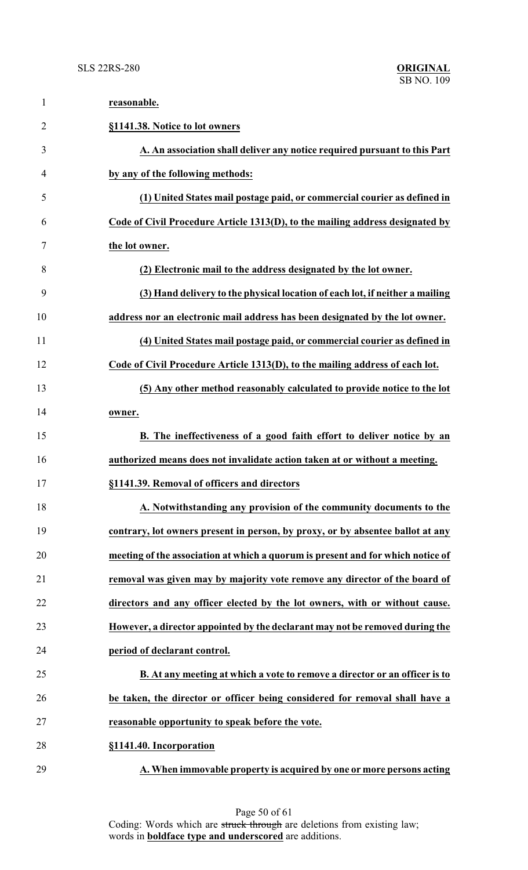| $\mathbf{1}$   | reasonable.                                                                     |
|----------------|---------------------------------------------------------------------------------|
| $\overline{2}$ | §1141.38. Notice to lot owners                                                  |
| 3              | A. An association shall deliver any notice required pursuant to this Part       |
| 4              | by any of the following methods:                                                |
| 5              | (1) United States mail postage paid, or commercial courier as defined in        |
| 6              | Code of Civil Procedure Article 1313(D), to the mailing address designated by   |
| 7              | the lot owner.                                                                  |
| 8              | (2) Electronic mail to the address designated by the lot owner.                 |
| 9              | (3) Hand delivery to the physical location of each lot, if neither a mailing    |
| 10             | address nor an electronic mail address has been designated by the lot owner.    |
| 11             | (4) United States mail postage paid, or commercial courier as defined in        |
| 12             | Code of Civil Procedure Article 1313(D), to the mailing address of each lot.    |
| 13             | (5) Any other method reasonably calculated to provide notice to the lot         |
| 14             | owner.                                                                          |
| 15             | B. The ineffectiveness of a good faith effort to deliver notice by an           |
| 16             | authorized means does not invalidate action taken at or without a meeting.      |
| 17             | §1141.39. Removal of officers and directors                                     |
| 18             | A. Notwithstanding any provision of the community documents to the              |
| 19             | contrary, lot owners present in person, by proxy, or by absentee ballot at any  |
| 20             | meeting of the association at which a quorum is present and for which notice of |
| 21             | removal was given may by majority vote remove any director of the board of      |
| 22             | directors and any officer elected by the lot owners, with or without cause.     |
| 23             | However, a director appointed by the declarant may not be removed during the    |
| 24             | period of declarant control.                                                    |
| 25             | B. At any meeting at which a vote to remove a director or an officer is to      |
| 26             | be taken, the director or officer being considered for removal shall have a     |
| 27             | reasonable opportunity to speak before the vote.                                |
| 28             | §1141.40. Incorporation                                                         |
| 29             | A. When immovable property is acquired by one or more persons acting            |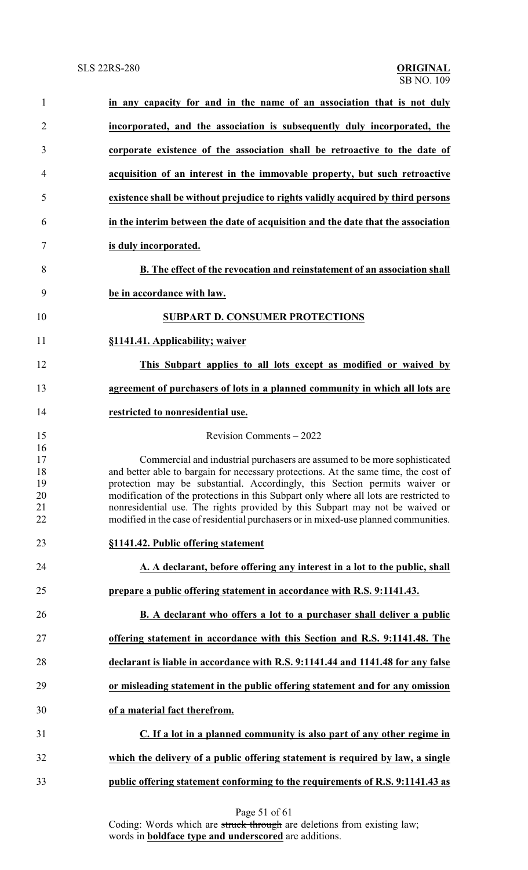| $\mathbf{1}$   | in any capacity for and in the name of an association that is not duly                                                                                              |
|----------------|---------------------------------------------------------------------------------------------------------------------------------------------------------------------|
| $\overline{2}$ | incorporated, and the association is subsequently duly incorporated, the                                                                                            |
| 3              | corporate existence of the association shall be retroactive to the date of                                                                                          |
| 4              | acquisition of an interest in the immovable property, but such retroactive                                                                                          |
| 5              | existence shall be without prejudice to rights validly acquired by third persons                                                                                    |
| 6              | in the interim between the date of acquisition and the date that the association                                                                                    |
| 7              | is duly incorporated.                                                                                                                                               |
| 8              | B. The effect of the revocation and reinstatement of an association shall                                                                                           |
| 9              | be in accordance with law.                                                                                                                                          |
| 10             | <b>SUBPART D. CONSUMER PROTECTIONS</b>                                                                                                                              |
| 11             | §1141.41. Applicability; waiver                                                                                                                                     |
| 12             | This Subpart applies to all lots except as modified or waived by                                                                                                    |
| 13             | agreement of purchasers of lots in a planned community in which all lots are                                                                                        |
| 14             | restricted to nonresidential use.                                                                                                                                   |
| 15             | Revision Comments - 2022                                                                                                                                            |
| 16             |                                                                                                                                                                     |
| 17             | Commercial and industrial purchasers are assumed to be more sophisticated                                                                                           |
| 18             | and better able to bargain for necessary protections. At the same time, the cost of                                                                                 |
| 19             | protection may be substantial. Accordingly, this Section permits waiver or                                                                                          |
| 20             | modification of the protections in this Subpart only where all lots are restricted to                                                                               |
| 21<br>22       | nonresidential use. The rights provided by this Subpart may not be waived or<br>modified in the case of residential purchasers or in mixed-use planned communities. |
| 23             | §1141.42. Public offering statement                                                                                                                                 |
| 24             | A. A declarant, before offering any interest in a lot to the public, shall                                                                                          |
| 25             | prepare a public offering statement in accordance with R.S. 9:1141.43.                                                                                              |
| 26             | B. A declarant who offers a lot to a purchaser shall deliver a public                                                                                               |
| 27             | offering statement in accordance with this Section and R.S. 9:1141.48. The                                                                                          |
| 28             | declarant is liable in accordance with R.S. 9:1141.44 and 1141.48 for any false                                                                                     |
| 29             | or misleading statement in the public offering statement and for any omission                                                                                       |
| 30             | of a material fact therefrom.                                                                                                                                       |
| 31             | C. If a lot in a planned community is also part of any other regime in                                                                                              |
| 32             | which the delivery of a public offering statement is required by law, a single                                                                                      |
| 33             | public offering statement conforming to the requirements of R.S. 9:1141.43 as                                                                                       |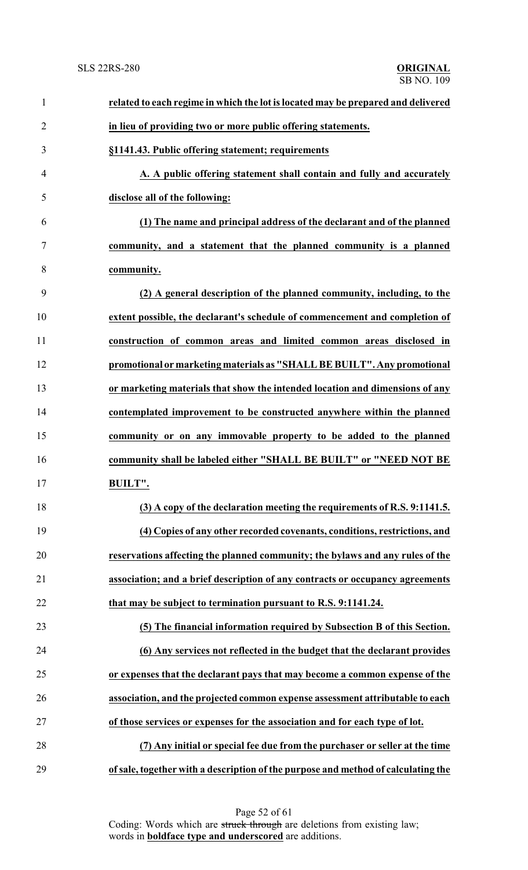## SB NO. 109 SLS 22RS-280 **ORIGINAL**

| $\mathbf{1}$   | related to each regime in which the lot is located may be prepared and delivered  |
|----------------|-----------------------------------------------------------------------------------|
| $\overline{2}$ | in lieu of providing two or more public offering statements.                      |
| 3              | §1141.43. Public offering statement; requirements                                 |
| 4              | A. A public offering statement shall contain and fully and accurately             |
| 5              | disclose all of the following:                                                    |
| 6              | (1) The name and principal address of the declarant and of the planned            |
| 7              | community, and a statement that the planned community is a planned                |
| 8              | community.                                                                        |
| 9              | (2) A general description of the planned community, including, to the             |
| 10             | extent possible, the declarant's schedule of commencement and completion of       |
| 11             | construction of common areas and limited common areas disclosed in                |
| 12             | promotional or marketing materials as "SHALL BE BUILT". Any promotional           |
| 13             | or marketing materials that show the intended location and dimensions of any      |
| 14             | contemplated improvement to be constructed anywhere within the planned            |
| 15             | community or on any immovable property to be added to the planned                 |
| 16             | community shall be labeled either "SHALL BE BUILT" or "NEED NOT BE                |
| 17             | <b>BUILT".</b>                                                                    |
| 18             | (3) A copy of the declaration meeting the requirements of R.S. 9:1141.5.          |
| 19             | (4) Copies of any other recorded covenants, conditions, restrictions, and         |
| 20             | reservations affecting the planned community; the bylaws and any rules of the     |
| 21             | association; and a brief description of any contracts or occupancy agreements     |
| 22             | that may be subject to termination pursuant to R.S. 9:1141.24.                    |
| 23             | (5) The financial information required by Subsection B of this Section.           |
| 24             | (6) Any services not reflected in the budget that the declarant provides          |
| 25             | or expenses that the declarant pays that may become a common expense of the       |
| 26             | association, and the projected common expense assessment attributable to each     |
| 27             | of those services or expenses for the association and for each type of lot.       |
| 28             | (7) Any initial or special fee due from the purchaser or seller at the time       |
| 29             | of sale, together with a description of the purpose and method of calculating the |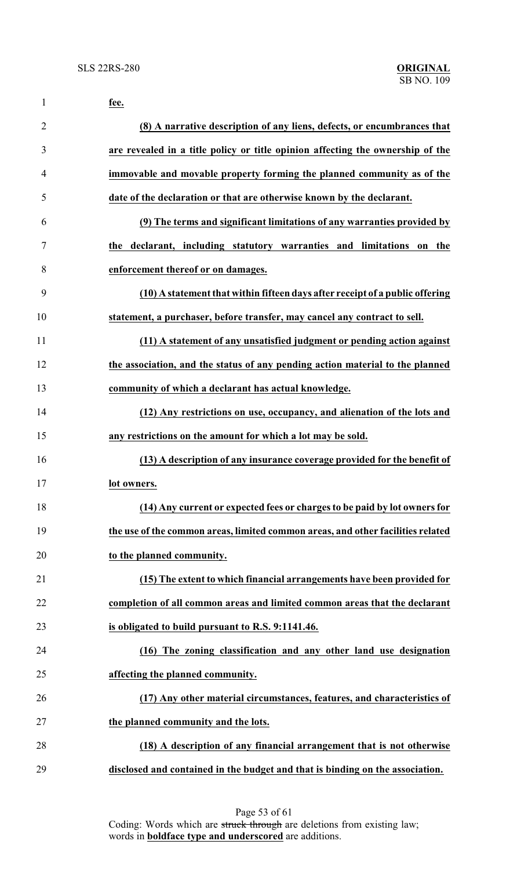| $\mathbf{1}$   | fee.                                                                            |
|----------------|---------------------------------------------------------------------------------|
| $\overline{2}$ | (8) A narrative description of any liens, defects, or encumbrances that         |
| 3              | are revealed in a title policy or title opinion affecting the ownership of the  |
| 4              | immovable and movable property forming the planned community as of the          |
| 5              | date of the declaration or that are otherwise known by the declarant.           |
| 6              | (9) The terms and significant limitations of any warranties provided by         |
| 7              | the declarant, including statutory warranties and limitations<br>the<br>on      |
| 8              | enforcement thereof or on damages.                                              |
| 9              | (10) A statement that within fifteen days after receipt of a public offering    |
| 10             | statement, a purchaser, before transfer, may cancel any contract to sell.       |
| 11             | (11) A statement of any unsatisfied judgment or pending action against          |
| 12             | the association, and the status of any pending action material to the planned   |
| 13             | community of which a declarant has actual knowledge.                            |
| 14             | (12) Any restrictions on use, occupancy, and alienation of the lots and         |
| 15             | any restrictions on the amount for which a lot may be sold.                     |
| 16             | (13) A description of any insurance coverage provided for the benefit of        |
| 17             | lot owners.                                                                     |
| 18             | (14) Any current or expected fees or charges to be paid by lot owners for       |
| 19             | the use of the common areas, limited common areas, and other facilities related |
| 20             | to the planned community.                                                       |
| 21             | (15) The extent to which financial arrangements have been provided for          |
| 22             | completion of all common areas and limited common areas that the declarant      |
| 23             | is obligated to build pursuant to R.S. 9:1141.46.                               |
| 24             | (16) The zoning classification and any other land use designation               |
| 25             | affecting the planned community.                                                |
| 26             | (17) Any other material circumstances, features, and characteristics of         |
| 27             | the planned community and the lots.                                             |
| 28             | (18) A description of any financial arrangement that is not otherwise           |
| 29             | disclosed and contained in the budget and that is binding on the association.   |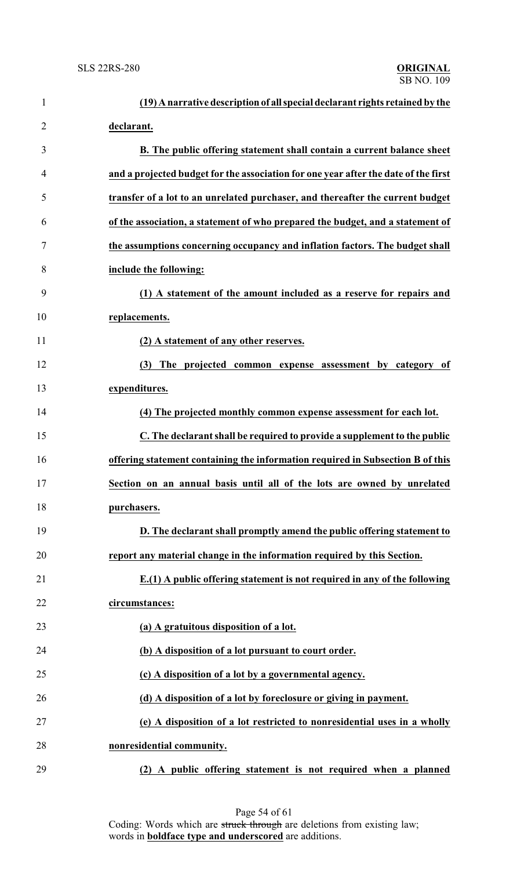| $\mathbf{1}$   | (19) A narrative description of all special declarant rights retained by the        |
|----------------|-------------------------------------------------------------------------------------|
| $\overline{2}$ | declarant.                                                                          |
| 3              | B. The public offering statement shall contain a current balance sheet              |
| 4              | and a projected budget for the association for one year after the date of the first |
| 5              | transfer of a lot to an unrelated purchaser, and thereafter the current budget      |
| 6              | of the association, a statement of who prepared the budget, and a statement of      |
| $\tau$         | the assumptions concerning occupancy and inflation factors. The budget shall        |
| 8              | include the following:                                                              |
| 9              | (1) A statement of the amount included as a reserve for repairs and                 |
| 10             | replacements.                                                                       |
| 11             | (2) A statement of any other reserves.                                              |
| 12             | The projected common expense assessment by category of<br>(3)                       |
| 13             | expenditures.                                                                       |
| 14             | (4) The projected monthly common expense assessment for each lot.                   |
| 15             | C. The declarant shall be required to provide a supplement to the public            |
| 16             | offering statement containing the information required in Subsection B of this      |
| 17             | Section on an annual basis until all of the lots are owned by unrelated             |
| 18             | purchasers.                                                                         |
| 19             | D. The declarant shall promptly amend the public offering statement to              |
| 20             | report any material change in the information required by this Section.             |
| 21             | $E(1)$ A public offering statement is not required in any of the following          |
| 22             | circumstances:                                                                      |
| 23             | (a) A gratuitous disposition of a lot.                                              |
| 24             | (b) A disposition of a lot pursuant to court order.                                 |
| 25             | (c) A disposition of a lot by a governmental agency.                                |
| 26             | (d) A disposition of a lot by foreclosure or giving in payment.                     |
| 27             | (e) A disposition of a lot restricted to nonresidential uses in a wholly            |
| 28             | nonresidential community.                                                           |
| 29             | (2) A public offering statement is not required when a planned                      |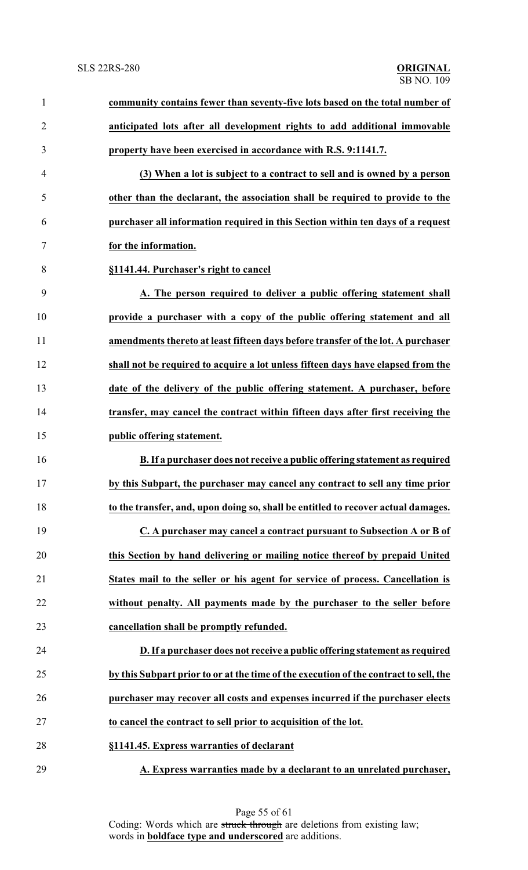| $\mathbf{1}$   | community contains fewer than seventy-five lots based on the total number of          |
|----------------|---------------------------------------------------------------------------------------|
| $\overline{2}$ | anticipated lots after all development rights to add additional immovable             |
| 3              | property have been exercised in accordance with R.S. 9:1141.7.                        |
| $\overline{4}$ | (3) When a lot is subject to a contract to sell and is owned by a person              |
| 5              | other than the declarant, the association shall be required to provide to the         |
| 6              | purchaser all information required in this Section within ten days of a request       |
| 7              | for the information.                                                                  |
| 8              | §1141.44. Purchaser's right to cancel                                                 |
| 9              | A. The person required to deliver a public offering statement shall                   |
| 10             | provide a purchaser with a copy of the public offering statement and all              |
| 11             | amendments thereto at least fifteen days before transfer of the lot. A purchaser      |
| 12             | shall not be required to acquire a lot unless fifteen days have elapsed from the      |
| 13             | date of the delivery of the public offering statement. A purchaser, before            |
| 14             | transfer, may cancel the contract within fifteen days after first receiving the       |
| 15             | public offering statement.                                                            |
| 16             | B. If a purchaser does not receive a public offering statement as required            |
| 17             | by this Subpart, the purchaser may cancel any contract to sell any time prior         |
| 18             | to the transfer, and, upon doing so, shall be entitled to recover actual damages.     |
| 19             | C. A purchaser may cancel a contract pursuant to Subsection A or B of                 |
| 20             | this Section by hand delivering or mailing notice thereof by prepaid United           |
| 21             | States mail to the seller or his agent for service of process. Cancellation is        |
| 22             | without penalty. All payments made by the purchaser to the seller before              |
| 23             | cancellation shall be promptly refunded.                                              |
| 24             | D. If a purchaser does not receive a public offering statement as required            |
| 25             | by this Subpart prior to or at the time of the execution of the contract to sell, the |
| 26             | purchaser may recover all costs and expenses incurred if the purchaser elects         |
| 27             | to cancel the contract to sell prior to acquisition of the lot.                       |
| 28             | §1141.45. Express warranties of declarant                                             |
| 29             | A. Express warranties made by a declarant to an unrelated purchaser,                  |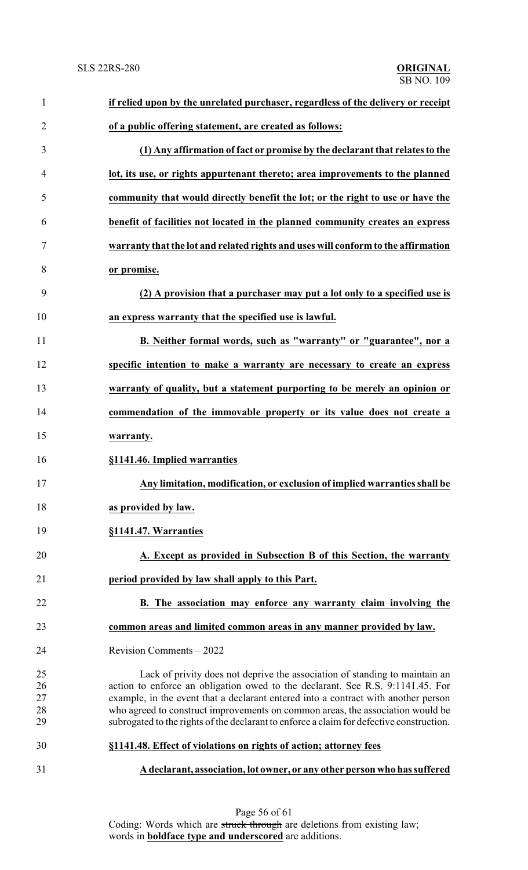| $\mathbf{1}$   | if relied upon by the unrelated purchaser, regardless of the delivery or receipt         |
|----------------|------------------------------------------------------------------------------------------|
| $\overline{2}$ | of a public offering statement, are created as follows:                                  |
| 3              | (1) Any affirmation of fact or promise by the declarant that relates to the              |
| 4              | lot, its use, or rights appurtenant thereto; area improvements to the planned            |
| 5              | community that would directly benefit the lot; or the right to use or have the           |
| 6              | benefit of facilities not located in the planned community creates an express            |
| 7              | warranty that the lot and related rights and uses will conform to the affirmation        |
| 8              | or promise.                                                                              |
| 9              | (2) A provision that a purchaser may put a lot only to a specified use is                |
| 10             | an express warranty that the specified use is lawful.                                    |
| 11             | B. Neither formal words, such as "warranty" or "guarantee", nor a                        |
| 12             | specific intention to make a warranty are necessary to create an express                 |
| 13             | warranty of quality, but a statement purporting to be merely an opinion or               |
| 14             | commendation of the immovable property or its value does not create a                    |
| 15             | warranty.                                                                                |
| 16             | §1141.46. Implied warranties                                                             |
| 17             | Any limitation, modification, or exclusion of implied warranties shall be                |
| 18             | as provided by law.                                                                      |
| 19             | §1141.47. Warranties                                                                     |
| 20             | A. Except as provided in Subsection B of this Section, the warranty                      |
| 21             | period provided by law shall apply to this Part.                                         |
| 22             | B. The association may enforce any warranty claim involving the                          |
| 23             | common areas and limited common areas in any manner provided by law.                     |
| 24             | Revision Comments - 2022                                                                 |
| 25             | Lack of privity does not deprive the association of standing to maintain an              |
| 26             | action to enforce an obligation owed to the declarant. See R.S. 9:1141.45. For           |
| 27             | example, in the event that a declarant entered into a contract with another person       |
| 28             | who agreed to construct improvements on common areas, the association would be           |
| 29             | subrogated to the rights of the declarant to enforce a claim for defective construction. |
| 30             | §1141.48. Effect of violations on rights of action; attorney fees                        |
| 31             | A declarant, association, lot owner, or any other person who has suffered                |
|                |                                                                                          |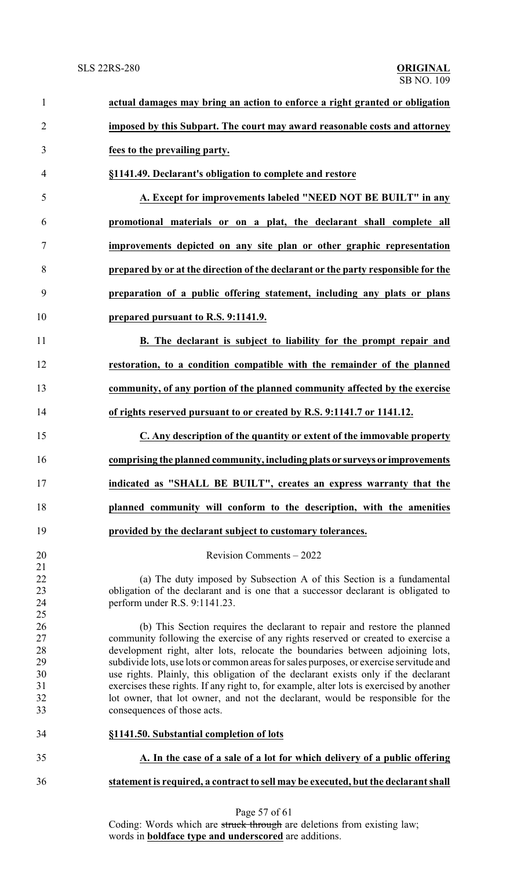| $\mathbf{1}$   | actual damages may bring an action to enforce a right granted or obligation              |  |
|----------------|------------------------------------------------------------------------------------------|--|
| $\overline{2}$ | imposed by this Subpart. The court may award reasonable costs and attorney               |  |
| 3              | fees to the prevailing party.                                                            |  |
| 4              | §1141.49. Declarant's obligation to complete and restore                                 |  |
| 5              | A. Except for improvements labeled "NEED NOT BE BUILT" in any                            |  |
| 6              | promotional materials or on a plat, the declarant shall complete all                     |  |
| 7              | improvements depicted on any site plan or other graphic representation                   |  |
| 8              | prepared by or at the direction of the declarant or the party responsible for the        |  |
| 9              | preparation of a public offering statement, including any plats or plans                 |  |
| 10             | prepared pursuant to R.S. 9:1141.9.                                                      |  |
| 11             | B. The declarant is subject to liability for the prompt repair and                       |  |
| 12             | restoration, to a condition compatible with the remainder of the planned                 |  |
| 13             | community, of any portion of the planned community affected by the exercise              |  |
| 14             | of rights reserved pursuant to or created by R.S. 9:1141.7 or 1141.12.                   |  |
| 15             | C. Any description of the quantity or extent of the immovable property                   |  |
| 16             | comprising the planned community, including plats or surveys or improvements             |  |
| 17             | indicated as "SHALL BE BUILT", creates an express warranty that the                      |  |
| 18             | planned community will conform to the description, with the amenities                    |  |
| 19             | provided by the declarant subject to customary tolerances.                               |  |
| 20             | Revision Comments - 2022                                                                 |  |
| 21<br>22       |                                                                                          |  |
|                | (a) The duty imposed by Subsection A of this Section is a fundamental                    |  |
| 23             | obligation of the declarant and is one that a successor declarant is obligated to        |  |
| 24<br>25       | perform under R.S. 9:1141.23.                                                            |  |
|                | (b) This Section requires the declarant to repair and restore the planned                |  |
| 26<br>27       | community following the exercise of any rights reserved or created to exercise a         |  |
| 28             | development right, alter lots, relocate the boundaries between adjoining lots,           |  |
| 29             | subdivide lots, use lots or common areas for sales purposes, or exercise servitude and   |  |
| 30             | use rights. Plainly, this obligation of the declarant exists only if the declarant       |  |
| 31             | exercises these rights. If any right to, for example, alter lots is exercised by another |  |
| 32             | lot owner, that lot owner, and not the declarant, would be responsible for the           |  |
| 33             | consequences of those acts.                                                              |  |
| 34             | §1141.50. Substantial completion of lots                                                 |  |
| 35             | A. In the case of a sale of a lot for which delivery of a public offering                |  |
| 36             | statement is required, a contract to sell may be executed, but the declarant shall       |  |
|                |                                                                                          |  |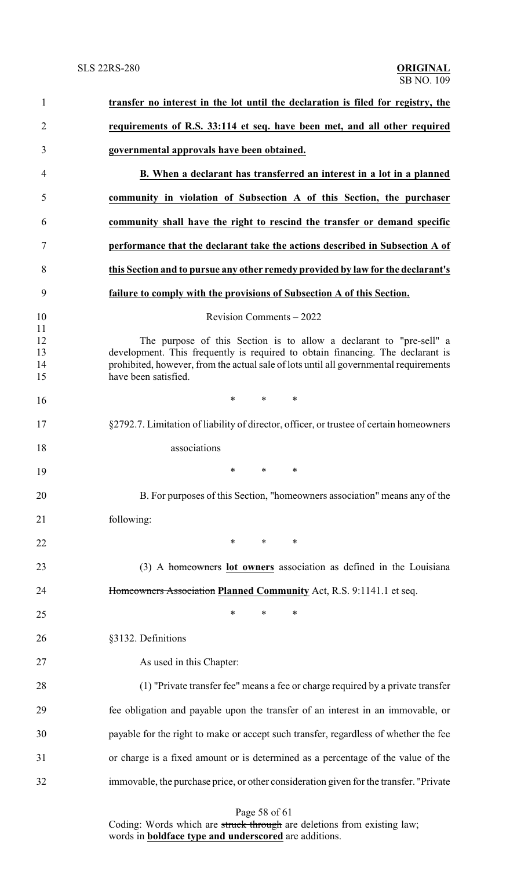| $\mathbf{1}$               | transfer no interest in the lot until the declaration is filed for registry, the                                                                                                                                                                                       |  |  |
|----------------------------|------------------------------------------------------------------------------------------------------------------------------------------------------------------------------------------------------------------------------------------------------------------------|--|--|
| $\overline{2}$             | requirements of R.S. 33:114 et seq. have been met, and all other required                                                                                                                                                                                              |  |  |
| 3                          | governmental approvals have been obtained.                                                                                                                                                                                                                             |  |  |
| 4                          | B. When a declarant has transferred an interest in a lot in a planned                                                                                                                                                                                                  |  |  |
| 5                          | community in violation of Subsection A of this Section, the purchaser                                                                                                                                                                                                  |  |  |
| 6                          | community shall have the right to rescind the transfer or demand specific                                                                                                                                                                                              |  |  |
| 7                          | performance that the declarant take the actions described in Subsection A of                                                                                                                                                                                           |  |  |
| 8                          | this Section and to pursue any other remedy provided by law for the declarant's                                                                                                                                                                                        |  |  |
| 9                          | failure to comply with the provisions of Subsection A of this Section.                                                                                                                                                                                                 |  |  |
| 10                         | Revision Comments $-2022$                                                                                                                                                                                                                                              |  |  |
| 11<br>12<br>13<br>14<br>15 | The purpose of this Section is to allow a declarant to "pre-sell" a<br>development. This frequently is required to obtain financing. The declarant is<br>prohibited, however, from the actual sale of lots until all governmental requirements<br>have been satisfied. |  |  |
| 16                         | $*$ $*$<br>$*$ and $*$<br>$\ast$                                                                                                                                                                                                                                       |  |  |
| 17                         | §2792.7. Limitation of liability of director, officer, or trustee of certain homeowners                                                                                                                                                                                |  |  |
| 18                         | associations                                                                                                                                                                                                                                                           |  |  |
| 19                         | $\ast$<br>$\ast$<br>$\ast$                                                                                                                                                                                                                                             |  |  |
| 20                         | B. For purposes of this Section, "homeowners association" means any of the                                                                                                                                                                                             |  |  |
| 21                         | following:                                                                                                                                                                                                                                                             |  |  |
| 22                         | $*$ and $*$<br>$\ast$<br>$\ast$                                                                                                                                                                                                                                        |  |  |
| 23                         | (3) A homeowners lot owners association as defined in the Louisiana                                                                                                                                                                                                    |  |  |
| 24                         | Homeowners Association Planned Community Act, R.S. 9:1141.1 et seq.                                                                                                                                                                                                    |  |  |
| 25                         | $\ast$<br>$\ast$<br>∗                                                                                                                                                                                                                                                  |  |  |
| 26                         | §3132. Definitions                                                                                                                                                                                                                                                     |  |  |
| 27                         | As used in this Chapter:                                                                                                                                                                                                                                               |  |  |
| 28                         | (1) "Private transfer fee" means a fee or charge required by a private transfer                                                                                                                                                                                        |  |  |
| 29                         | fee obligation and payable upon the transfer of an interest in an immovable, or                                                                                                                                                                                        |  |  |
| 30                         | payable for the right to make or accept such transfer, regardless of whether the fee                                                                                                                                                                                   |  |  |
| 31                         | or charge is a fixed amount or is determined as a percentage of the value of the                                                                                                                                                                                       |  |  |
| 32                         | immovable, the purchase price, or other consideration given for the transfer. "Private                                                                                                                                                                                 |  |  |
|                            | Page 58 of 61                                                                                                                                                                                                                                                          |  |  |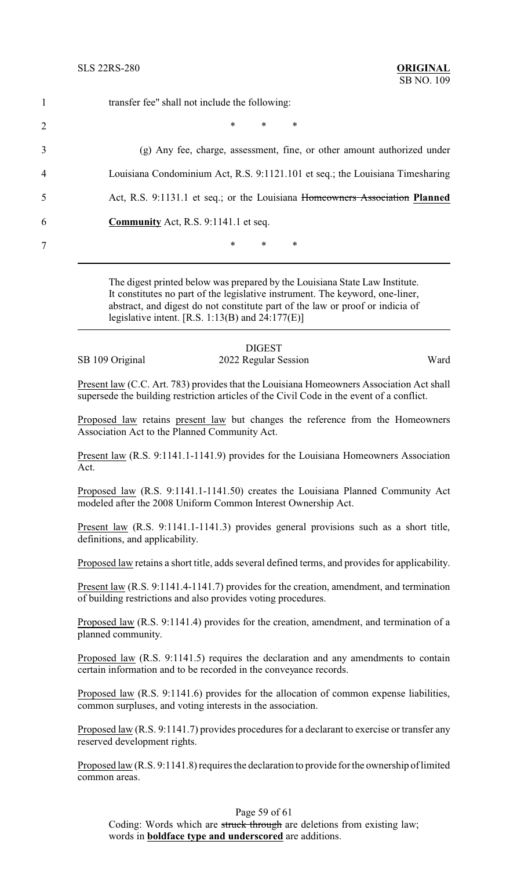|                | transfer fee" shall not include the following:                                |
|----------------|-------------------------------------------------------------------------------|
| $\overline{2}$ | $\ast$<br>$\ast$<br>*                                                         |
| 3              | (g) Any fee, charge, assessment, fine, or other amount authorized under       |
| 4              | Louisiana Condominium Act, R.S. 9:1121.101 et seq.; the Louisiana Timesharing |
| 5              | Act, R.S. 9:1131.1 et seq.; or the Louisiana Homeowners Association Planned   |
| 6              | <b>Community</b> Act, R.S. 9:1141.1 et seq.                                   |
|                | $\ast$<br>∗<br>*                                                              |

The digest printed below was prepared by the Louisiana State Law Institute. It constitutes no part of the legislative instrument. The keyword, one-liner, abstract, and digest do not constitute part of the law or proof or indicia of legislative intent.  $[R.S. 1:13(B)$  and  $24:177(E)$ ]

|                 | <b>DIGEST</b>        |      |
|-----------------|----------------------|------|
| SB 109 Original | 2022 Regular Session | Ward |

Present law (C.C. Art. 783) provides that the Louisiana Homeowners Association Act shall supersede the building restriction articles of the Civil Code in the event of a conflict.

Proposed law retains present law but changes the reference from the Homeowners Association Act to the Planned Community Act.

Present law (R.S. 9:1141.1-1141.9) provides for the Louisiana Homeowners Association Act.

Proposed law (R.S. 9:1141.1-1141.50) creates the Louisiana Planned Community Act modeled after the 2008 Uniform Common Interest Ownership Act.

Present law (R.S. 9:1141.1-1141.3) provides general provisions such as a short title, definitions, and applicability.

Proposed law retains a short title, adds several defined terms, and provides for applicability.

Present law (R.S. 9:1141.4-1141.7) provides for the creation, amendment, and termination of building restrictions and also provides voting procedures.

Proposed law (R.S. 9:1141.4) provides for the creation, amendment, and termination of a planned community.

Proposed law (R.S. 9:1141.5) requires the declaration and any amendments to contain certain information and to be recorded in the conveyance records.

Proposed law (R.S. 9:1141.6) provides for the allocation of common expense liabilities, common surpluses, and voting interests in the association.

Proposed law (R.S. 9:1141.7) provides procedures for a declarant to exercise or transfer any reserved development rights.

Proposed law (R.S. 9:1141.8) requires the declaration to provide for the ownership of limited common areas.

## Page 59 of 61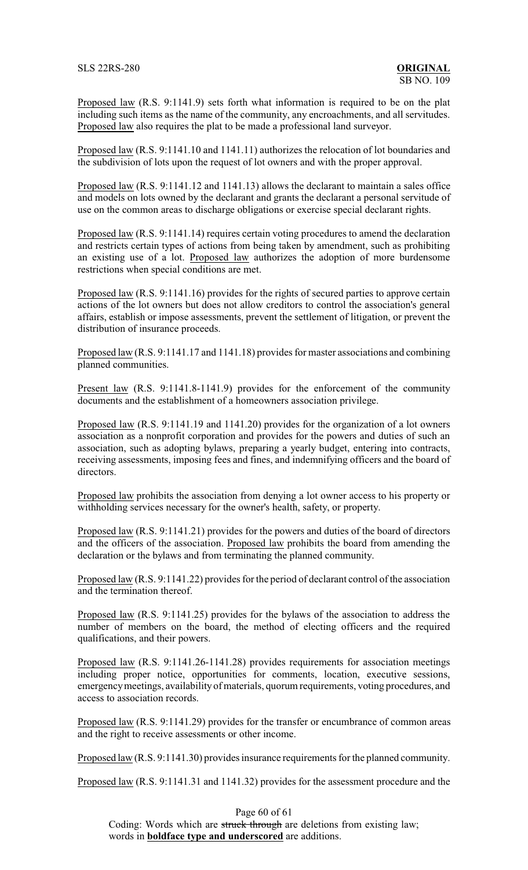SLS 22RS-280 **ORIGINAL**

Proposed law (R.S. 9:1141.9) sets forth what information is required to be on the plat including such items as the name of the community, any encroachments, and all servitudes. Proposed law also requires the plat to be made a professional land surveyor.

Proposed law (R.S. 9:1141.10 and 1141.11) authorizes the relocation of lot boundaries and the subdivision of lots upon the request of lot owners and with the proper approval.

Proposed law (R.S. 9:1141.12 and 1141.13) allows the declarant to maintain a sales office and models on lots owned by the declarant and grants the declarant a personal servitude of use on the common areas to discharge obligations or exercise special declarant rights.

Proposed law (R.S. 9:1141.14) requires certain voting procedures to amend the declaration and restricts certain types of actions from being taken by amendment, such as prohibiting an existing use of a lot. Proposed law authorizes the adoption of more burdensome restrictions when special conditions are met.

Proposed law (R.S. 9:1141.16) provides for the rights of secured parties to approve certain actions of the lot owners but does not allow creditors to control the association's general affairs, establish or impose assessments, prevent the settlement of litigation, or prevent the distribution of insurance proceeds.

Proposed law (R.S. 9:1141.17 and 1141.18) provides for master associations and combining planned communities.

Present law (R.S. 9:1141.8-1141.9) provides for the enforcement of the community documents and the establishment of a homeowners association privilege.

Proposed law (R.S. 9:1141.19 and 1141.20) provides for the organization of a lot owners association as a nonprofit corporation and provides for the powers and duties of such an association, such as adopting bylaws, preparing a yearly budget, entering into contracts, receiving assessments, imposing fees and fines, and indemnifying officers and the board of directors.

Proposed law prohibits the association from denying a lot owner access to his property or withholding services necessary for the owner's health, safety, or property.

Proposed law (R.S. 9:1141.21) provides for the powers and duties of the board of directors and the officers of the association. Proposed law prohibits the board from amending the declaration or the bylaws and from terminating the planned community.

Proposed law (R.S. 9:1141.22) provides for the period of declarant control of the association and the termination thereof.

Proposed law (R.S. 9:1141.25) provides for the bylaws of the association to address the number of members on the board, the method of electing officers and the required qualifications, and their powers.

Proposed law (R.S. 9:1141.26-1141.28) provides requirements for association meetings including proper notice, opportunities for comments, location, executive sessions, emergencymeetings, availability of materials, quorum requirements, voting procedures, and access to association records.

Proposed law (R.S. 9:1141.29) provides for the transfer or encumbrance of common areas and the right to receive assessments or other income.

Proposed law (R.S. 9:1141.30) provides insurance requirements for the planned community.

Proposed law (R.S. 9:1141.31 and 1141.32) provides for the assessment procedure and the

Page 60 of 61